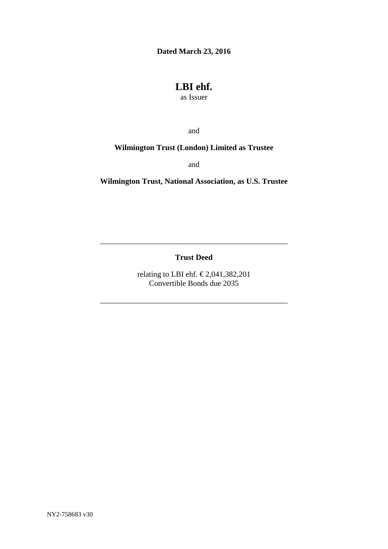**Dated March 23, 2016**

# **LBI ehf.**

as Issuer

and

# **Wilmington Trust (London) Limited as Trustee**

and

**Wilmington Trust, National Association, as U.S. Trustee**

**Trust Deed**

\_\_\_\_\_\_\_\_\_\_\_\_\_\_\_\_\_\_\_\_\_\_\_\_\_\_\_\_\_\_\_\_\_\_\_\_\_\_\_\_\_\_\_\_\_\_\_\_

relating to LBI ehf.  $\text{\textsterling}2,041,382,201$ Convertible Bonds due 2035

\_\_\_\_\_\_\_\_\_\_\_\_\_\_\_\_\_\_\_\_\_\_\_\_\_\_\_\_\_\_\_\_\_\_\_\_\_\_\_\_\_\_\_\_\_\_\_\_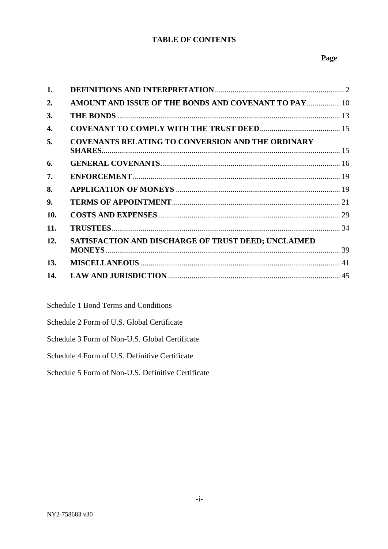# **TABLE OF CONTENTS**

# **Page**

| 1.  |                                                            |  |
|-----|------------------------------------------------------------|--|
| 2.  | AMOUNT AND ISSUE OF THE BONDS AND COVENANT TO PAY  10      |  |
| 3.  |                                                            |  |
| 4.  |                                                            |  |
| 5.  | <b>COVENANTS RELATING TO CONVERSION AND THE ORDINARY</b>   |  |
| 6.  |                                                            |  |
| 7.  |                                                            |  |
| 8.  |                                                            |  |
| 9.  |                                                            |  |
| 10. |                                                            |  |
| 11. |                                                            |  |
| 12. | <b>SATISFACTION AND DISCHARGE OF TRUST DEED; UNCLAIMED</b> |  |
| 13. |                                                            |  |
| 14. |                                                            |  |

Schedule 1 Bond Terms and Conditions

Schedule 2 Form of U.S. Global Certificate

Schedule 3 Form of Non-U.S. Global Certificate

Schedule 4 Form of U.S. Definitive Certificate

Schedule 5 Form of Non-U.S. Definitive Certificate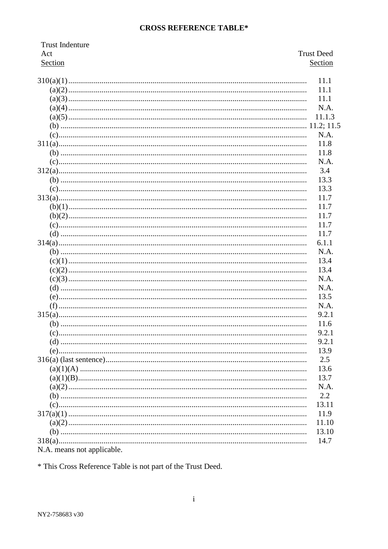# **CROSS REFERENCE TABLE\***

| <b>Trust Indenture</b>     |                   |
|----------------------------|-------------------|
| Act                        | <b>Trust Deed</b> |
| Section                    | Section           |
|                            | 11.1              |
|                            | 11.1              |
|                            | 11.1              |
|                            | N.A.              |
|                            | 11.1.3            |
|                            |                   |
|                            | N.A.              |
|                            |                   |
|                            | 11.8              |
|                            | 11.8              |
|                            | N.A.              |
|                            | 3.4               |
|                            | 13.3              |
|                            | 13.3              |
|                            | 11.7              |
|                            | 11.7              |
|                            | 11.7              |
|                            | 11.7              |
|                            | 11.7              |
|                            | 6.1.1             |
|                            | N.A.              |
|                            | 13.4              |
|                            | 13.4              |
|                            | N.A.              |
|                            | N.A.              |
|                            |                   |
|                            | 13.5              |
|                            | N.A.              |
|                            | 9.2.1             |
|                            | 11.6              |
|                            | 9.2.1             |
|                            | 9.2.1             |
|                            | 13.9              |
|                            | 2.5               |
|                            | 13.6              |
|                            | 13.7              |
|                            | N.A.              |
|                            | 2.2               |
|                            | 13.11             |
|                            | 11.9              |
|                            | 11.10             |
|                            | 13.10             |
|                            |                   |
|                            | 14.7              |
| N.A. means not applicable. |                   |

\* This Cross Reference Table is not part of the Trust Deed.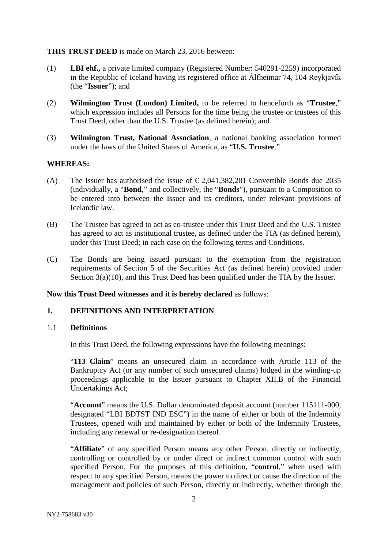### **THIS TRUST DEED** is made on March 23, 2016 between:

- (1) **LBI ehf.,** a private limited company (Registered Number: 540291-2259) incorporated in the Republic of Iceland having its registered office at Álfheimar 74, 104 Reykjavík (the "**Issuer**"); and
- (2) **Wilmington Trust (London) Limited,** to be referred to henceforth as "**Trustee**," which expression includes all Persons for the time being the trustee or trustees of this Trust Deed, other than the U.S. Trustee (as defined herein); and
- (3) **Wilmington Trust, National Association**, a national banking association formed under the laws of the United States of America, as "**U.S. Trustee**."

### **WHEREAS:**

- (A) The Issuer has authorised the issue of  $\epsilon$  2,041,382,201 Convertible Bonds due 2035 (individually, a "**Bond**," and collectively, the "**Bonds**"), pursuant to a Composition to be entered into between the Issuer and its creditors, under relevant provisions of Icelandic law.
- (B) The Trustee has agreed to act as co-trustee under this Trust Deed and the U.S. Trustee has agreed to act as institutional trustee, as defined under the TIA (as defined herein), under this Trust Deed; in each case on the following terms and Conditions.
- (C) The Bonds are being issued pursuant to the exemption from the registration requirements of Section 5 of the Securities Act (as defined herein) provided under Section 3(a)(10), and this Trust Deed has been qualified under the TIA by the Issuer.

**Now this Trust Deed witnesses and it is hereby declared** as follows:

# <span id="page-3-0"></span>**1. DEFINITIONS AND INTERPRETATION**

### 1.1 **Definitions**

In this Trust Deed, the following expressions have the following meanings:

"**113 Claim**" means an unsecured claim in accordance with Article 113 of the Bankruptcy Act (or any number of such unsecured claims) lodged in the winding-up proceedings applicable to the Issuer pursuant to Chapter XII.B of the Financial Undertakings Act;

"**Account**" means the U.S. Dollar denominated deposit account (number 115111-000, designated "LBI BDTST IND ESC") in the name of either or both of the Indemnity Trustees, opened with and maintained by either or both of the Indemnity Trustees, including any renewal or re-designation thereof.

"**Affiliate**" of any specified Person means any other Person, directly or indirectly, controlling or controlled by or under direct or indirect common control with such specified Person. For the purposes of this definition, "**control**," when used with respect to any specified Person, means the power to direct or cause the direction of the management and policies of such Person, directly or indirectly, whether through the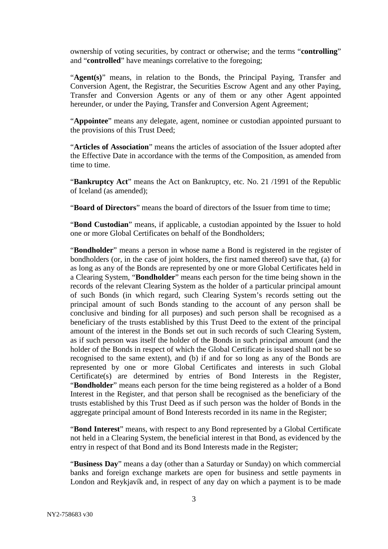ownership of voting securities, by contract or otherwise; and the terms "**controlling**" and "**controlled**" have meanings correlative to the foregoing;

"**Agent(s)**" means, in relation to the Bonds, the Principal Paying, Transfer and Conversion Agent, the Registrar, the Securities Escrow Agent and any other Paying, Transfer and Conversion Agents or any of them or any other Agent appointed hereunder, or under the Paying, Transfer and Conversion Agent Agreement;

"**Appointee**" means any delegate, agent, nominee or custodian appointed pursuant to the provisions of this Trust Deed;

"**Articles of Association**" means the articles of association of the Issuer adopted after the Effective Date in accordance with the terms of the Composition, as amended from time to time.

"**Bankruptcy Act**" means the Act on Bankruptcy, etc. No. 21 /1991 of the Republic of Iceland (as amended);

"**Board of Directors**" means the board of directors of the Issuer from time to time;

"**Bond Custodian**" means, if applicable, a custodian appointed by the Issuer to hold one or more Global Certificates on behalf of the Bondholders;

"**Bondholder**" means a person in whose name a Bond is registered in the register of bondholders (or, in the case of joint holders, the first named thereof) save that, (a) for as long as any of the Bonds are represented by one or more Global Certificates held in a Clearing System, "**Bondholder**" means each person for the time being shown in the records of the relevant Clearing System as the holder of a particular principal amount of such Bonds (in which regard, such Clearing System's records setting out the principal amount of such Bonds standing to the account of any person shall be conclusive and binding for all purposes) and such person shall be recognised as a beneficiary of the trusts established by this Trust Deed to the extent of the principal amount of the interest in the Bonds set out in such records of such Clearing System, as if such person was itself the holder of the Bonds in such principal amount (and the holder of the Bonds in respect of which the Global Certificate is issued shall not be so recognised to the same extent), and (b) if and for so long as any of the Bonds are represented by one or more Global Certificates and interests in such Global Certificate(s) are determined by entries of Bond Interests in the Register, "**Bondholder**" means each person for the time being registered as a holder of a Bond Interest in the Register, and that person shall be recognised as the beneficiary of the trusts established by this Trust Deed as if such person was the holder of Bonds in the aggregate principal amount of Bond Interests recorded in its name in the Register;

"**Bond Interest**" means, with respect to any Bond represented by a Global Certificate not held in a Clearing System, the beneficial interest in that Bond, as evidenced by the entry in respect of that Bond and its Bond Interests made in the Register;

"**Business Day**" means a day (other than a Saturday or Sunday) on which commercial banks and foreign exchange markets are open for business and settle payments in London and Reykjavík and, in respect of any day on which a payment is to be made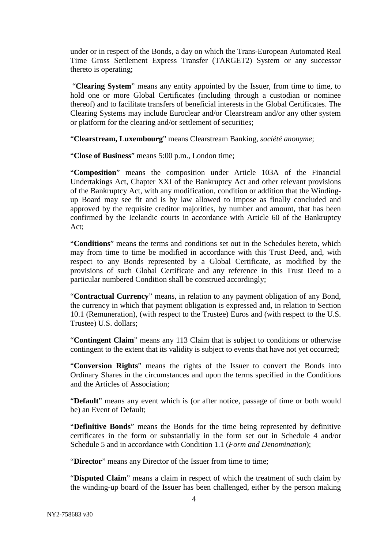under or in respect of the Bonds, a day on which the Trans-European Automated Real Time Gross Settlement Express Transfer (TARGET2) System or any successor thereto is operating;

"**Clearing System**" means any entity appointed by the Issuer, from time to time, to hold one or more Global Certificates (including through a custodian or nominee thereof) and to facilitate transfers of beneficial interests in the Global Certificates. The Clearing Systems may include Euroclear and/or Clearstream and/or any other system or platform for the clearing and/or settlement of securities;

"**Clearstream, Luxembourg**" means Clearstream Banking, *société anonyme*;

"**Close of Business**" means 5:00 p.m., London time;

"**Composition**" means the composition under Article 103A of the Financial Undertakings Act, Chapter XXI of the Bankruptcy Act and other relevant provisions of the Bankruptcy Act, with any modification, condition or addition that the Windingup Board may see fit and is by law allowed to impose as finally concluded and approved by the requisite creditor majorities, by number and amount, that has been confirmed by the Icelandic courts in accordance with Article 60 of the Bankruptcy Act;

"**Conditions**" means the terms and conditions set out in the Schedules hereto, which may from time to time be modified in accordance with this Trust Deed, and, with respect to any Bonds represented by a Global Certificate, as modified by the provisions of such Global Certificate and any reference in this Trust Deed to a particular numbered Condition shall be construed accordingly;

"**Contractual Currency**" means, in relation to any payment obligation of any Bond, the currency in which that payment obligation is expressed and, in relation to Section [10.1](#page-30-1) (Remuneration), (with respect to the Trustee) Euros and (with respect to the U.S. Trustee) U.S. dollars;

"**Contingent Claim**" means any 113 Claim that is subject to conditions or otherwise contingent to the extent that its validity is subject to events that have not yet occurred;

"**Conversion Rights**" means the rights of the Issuer to convert the Bonds into Ordinary Shares in the circumstances and upon the terms specified in the Conditions and the Articles of Association;

"**Default**" means any event which is (or after notice, passage of time or both would be) an Event of Default;

"**Definitive Bonds**" means the Bonds for the time being represented by definitive certificates in the form or substantially in the form set out in Schedule 4 and/or Schedule 5 and in accordance with Condition 1.1 (*Form and Denomination*);

"**Director**" means any Director of the Issuer from time to time;

"**Disputed Claim**" means a claim in respect of which the treatment of such claim by the winding-up board of the Issuer has been challenged, either by the person making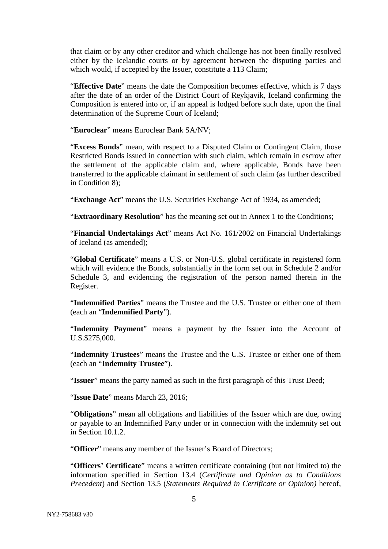that claim or by any other creditor and which challenge has not been finally resolved either by the Icelandic courts or by agreement between the disputing parties and which would, if accepted by the Issuer, constitute a 113 Claim;

"**Effective Date**" means the date the Composition becomes effective, which is 7 days after the date of an order of the District Court of Reykjavik, Iceland confirming the Composition is entered into or, if an appeal is lodged before such date, upon the final determination of the Supreme Court of Iceland;

"**Euroclear**" means Euroclear Bank SA/NV;

"**Excess Bonds**" mean, with respect to a Disputed Claim or Contingent Claim, those Restricted Bonds issued in connection with such claim, which remain in escrow after the settlement of the applicable claim and, where applicable, Bonds have been transferred to the applicable claimant in settlement of such claim (as further described in Condition 8);

"**Exchange Act**" means the U.S. Securities Exchange Act of 1934, as amended;

"**Extraordinary Resolution**" has the meaning set out in Annex 1 to the Conditions;

"**Financial Undertakings Act**" means Act No. 161/2002 on Financial Undertakings of Iceland (as amended);

"**Global Certificate**" means a U.S. or Non-U.S. global certificate in registered form which will evidence the Bonds, substantially in the form set out in Schedule 2 and/or Schedule 3, and evidencing the registration of the person named therein in the Register.

"**Indemnified Parties**" means the Trustee and the U.S. Trustee or either one of them (each an "**Indemnified Party**").

"**Indemnity Payment**" means a payment by the Issuer into the Account of U.S.\$275,000.

"**Indemnity Trustees**" means the Trustee and the U.S. Trustee or either one of them (each an "**Indemnity Trustee**").

"**Issuer**" means the party named as such in the first paragraph of this Trust Deed;

"**Issue Date**" means March 23, 2016;

"**Obligations**" mean all obligations and liabilities of the Issuer which are due, owing or payable to an Indemnified Party under or in connection with the indemnity set out in Section 10.1.2.

"**Officer**" means any member of the Issuer's Board of Directors;

"**Officers' Certificate**" means a written certificate containing (but not limited to) the information specified in Section [13.4](#page-43-1) (*Certificate and Opinion as to Conditions Precedent*) and Section [13.5](#page-43-2) (*Statements Required in Certificate or Opinion)* hereof,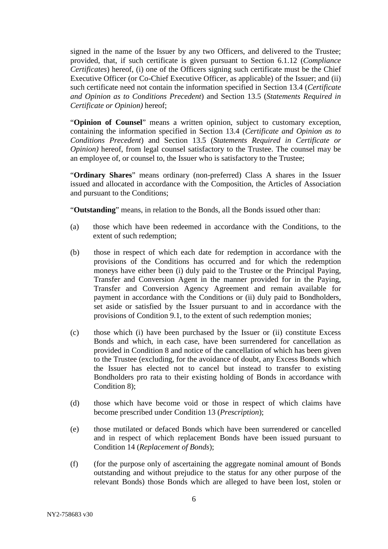signed in the name of the Issuer by any two Officers, and delivered to the Trustee; provided, that, if such certificate is given pursuant to Section 6.1.12 (*Compliance Certificates*) hereof, (i) one of the Officers signing such certificate must be the Chief Executive Officer (or Co-Chief Executive Officer, as applicable) of the Issuer; and (ii) such certificate need not contain the information specified in Section [13.4](#page-43-1) (*Certificate and Opinion as to Conditions Precedent*) and Section [13.5](#page-43-2) (*Statements Required in Certificate or Opinion)* hereof;

"**Opinion of Counsel**" means a written opinion, subject to customary exception, containing the information specified in Section [13.4](#page-43-1) (*Certificate and Opinion as to Conditions Precedent*) and Section [13.5](#page-43-2) (*Statements Required in Certificate or Opinion)* hereof, from legal counsel satisfactory to the Trustee. The counsel may be an employee of, or counsel to, the Issuer who is satisfactory to the Trustee;

"**Ordinary Shares**" means ordinary (non-preferred) Class A shares in the Issuer issued and allocated in accordance with the Composition, the Articles of Association and pursuant to the Conditions;

"**Outstanding**" means, in relation to the Bonds, all the Bonds issued other than:

- (a) those which have been redeemed in accordance with the Conditions, to the extent of such redemption;
- (b) those in respect of which each date for redemption in accordance with the provisions of the Conditions has occurred and for which the redemption moneys have either been (i) duly paid to the Trustee or the Principal Paying, Transfer and Conversion Agent in the manner provided for in the Paying, Transfer and Conversion Agency Agreement and remain available for payment in accordance with the Conditions or (ii) duly paid to Bondholders, set aside or satisfied by the Issuer pursuant to and in accordance with the provisions of Condition 9.1, to the extent of such redemption monies;
- (c) those which (i) have been purchased by the Issuer or (ii) constitute Excess Bonds and which, in each case, have been surrendered for cancellation as provided in Condition 8 and notice of the cancellation of which has been given to the Trustee (excluding, for the avoidance of doubt, any Excess Bonds which the Issuer has elected not to cancel but instead to transfer to existing Bondholders pro rata to their existing holding of Bonds in accordance with Condition 8);
- (d) those which have become void or those in respect of which claims have become prescribed under Condition 13 (*Prescription*);
- (e) those mutilated or defaced Bonds which have been surrendered or cancelled and in respect of which replacement Bonds have been issued pursuant to Condition 14 (*Replacement of Bonds*);
- (f) (for the purpose only of ascertaining the aggregate nominal amount of Bonds outstanding and without prejudice to the status for any other purpose of the relevant Bonds) those Bonds which are alleged to have been lost, stolen or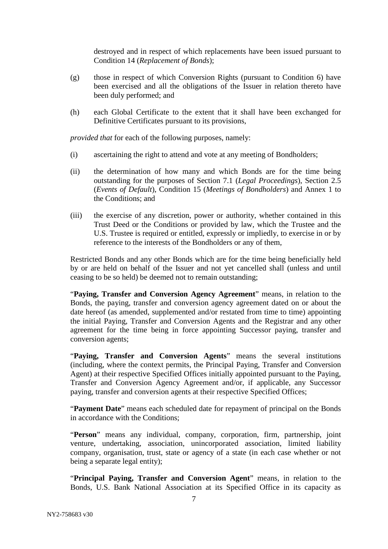destroyed and in respect of which replacements have been issued pursuant to Condition 14 (*Replacement of Bonds*);

- (g) those in respect of which Conversion Rights (pursuant to Condition 6) have been exercised and all the obligations of the Issuer in relation thereto have been duly performed; and
- (h) each Global Certificate to the extent that it shall have been exchanged for Definitive Certificates pursuant to its provisions,

*provided that* for each of the following purposes, namely:

- (i) ascertaining the right to attend and vote at any meeting of Bondholders;
- (ii) the determination of how many and which Bonds are for the time being outstanding for the purposes of Section [7.1](#page-20-2) (*Legal Proceedings*), Section [2.5](#page-13-0) (*Events of Default*), Condition 15 (*Meetings of Bondholders*) and Annex 1 to the Conditions; and
- (iii) the exercise of any discretion, power or authority, whether contained in this Trust Deed or the Conditions or provided by law, which the Trustee and the U.S. Trustee is required or entitled, expressly or impliedly, to exercise in or by reference to the interests of the Bondholders or any of them,

Restricted Bonds and any other Bonds which are for the time being beneficially held by or are held on behalf of the Issuer and not yet cancelled shall (unless and until ceasing to be so held) be deemed not to remain outstanding;

"**Paying, Transfer and Conversion Agency Agreement**" means, in relation to the Bonds, the paying, transfer and conversion agency agreement dated on or about the date hereof (as amended, supplemented and/or restated from time to time) appointing the initial Paying, Transfer and Conversion Agents and the Registrar and any other agreement for the time being in force appointing Successor paying, transfer and conversion agents;

"**Paying, Transfer and Conversion Agents**" means the several institutions (including, where the context permits, the Principal Paying, Transfer and Conversion Agent) at their respective Specified Offices initially appointed pursuant to the Paying, Transfer and Conversion Agency Agreement and/or, if applicable, any Successor paying, transfer and conversion agents at their respective Specified Offices;

"**Payment Date**" means each scheduled date for repayment of principal on the Bonds in accordance with the Conditions;

"**Person**" means any individual, company, corporation, firm, partnership, joint venture, undertaking, association, unincorporated association, limited liability company, organisation, trust, state or agency of a state (in each case whether or not being a separate legal entity);

"**Principal Paying, Transfer and Conversion Agent**" means, in relation to the Bonds, U.S. Bank National Association at its Specified Office in its capacity as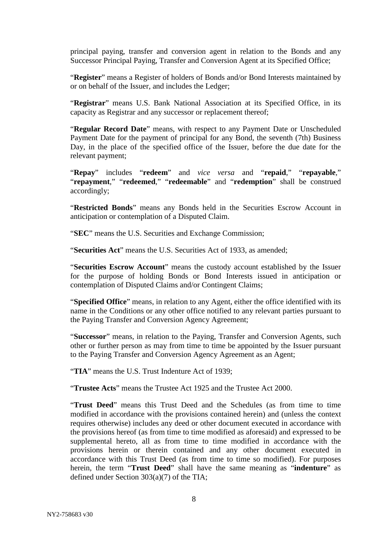principal paying, transfer and conversion agent in relation to the Bonds and any Successor Principal Paying, Transfer and Conversion Agent at its Specified Office;

"**Register**" means a Register of holders of Bonds and/or Bond Interests maintained by or on behalf of the Issuer, and includes the Ledger;

"**Registrar**" means U.S. Bank National Association at its Specified Office, in its capacity as Registrar and any successor or replacement thereof;

"**Regular Record Date**" means, with respect to any Payment Date or Unscheduled Payment Date for the payment of principal for any Bond, the seventh (7th) Business Day, in the place of the specified office of the Issuer, before the due date for the relevant payment;

"**Repay**" includes "**redeem**" and *vice versa* and "**repaid**," "**repayable**," "**repayment**," "**redeemed**," "**redeemable**" and "**redemption**" shall be construed accordingly;

"**Restricted Bonds**" means any Bonds held in the Securities Escrow Account in anticipation or contemplation of a Disputed Claim.

"**SEC**" means the U.S. Securities and Exchange Commission;

"**Securities Act**" means the U.S. Securities Act of 1933, as amended;

"**Securities Escrow Account**" means the custody account established by the Issuer for the purpose of holding Bonds or Bond Interests issued in anticipation or contemplation of Disputed Claims and/or Contingent Claims;

"**Specified Office**" means, in relation to any Agent, either the office identified with its name in the Conditions or any other office notified to any relevant parties pursuant to the Paying Transfer and Conversion Agency Agreement;

"**Successor**" means, in relation to the Paying, Transfer and Conversion Agents, such other or further person as may from time to time be appointed by the Issuer pursuant to the Paying Transfer and Conversion Agency Agreement as an Agent;

"**TIA**" means the U.S. Trust Indenture Act of 1939;

"**Trustee Acts**" means the Trustee Act 1925 and the Trustee Act 2000.

"**Trust Deed**" means this Trust Deed and the Schedules (as from time to time modified in accordance with the provisions contained herein) and (unless the context requires otherwise) includes any deed or other document executed in accordance with the provisions hereof (as from time to time modified as aforesaid) and expressed to be supplemental hereto, all as from time to time modified in accordance with the provisions herein or therein contained and any other document executed in accordance with this Trust Deed (as from time to time so modified). For purposes herein, the term "**Trust Deed**" shall have the same meaning as "**indenture**" as defined under Section 303(a)(7) of the TIA;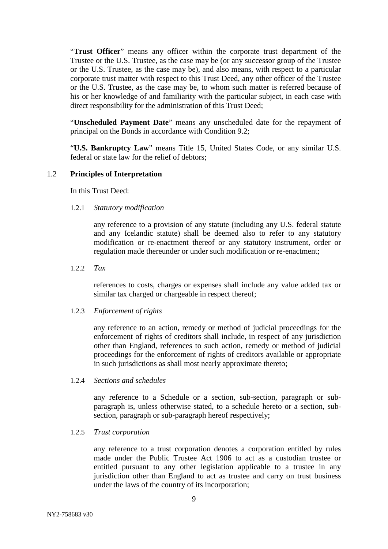"**Trust Officer**" means any officer within the corporate trust department of the Trustee or the U.S. Trustee, as the case may be (or any successor group of the Trustee or the U.S. Trustee, as the case may be), and also means, with respect to a particular corporate trust matter with respect to this Trust Deed, any other officer of the Trustee or the U.S. Trustee, as the case may be, to whom such matter is referred because of his or her knowledge of and familiarity with the particular subject, in each case with direct responsibility for the administration of this Trust Deed;

"**Unscheduled Payment Date**" means any unscheduled date for the repayment of principal on the Bonds in accordance with Condition 9.2;

"**U.S. Bankruptcy Law**" means Title 15, United States Code, or any similar U.S. federal or state law for the relief of debtors;

# 1.2 **Principles of Interpretation**

In this Trust Deed:

#### 1.2.1 *Statutory modification*

any reference to a provision of any statute (including any U.S. federal statute and any Icelandic statute) shall be deemed also to refer to any statutory modification or re-enactment thereof or any statutory instrument, order or regulation made thereunder or under such modification or re-enactment;

1.2.2 *Tax*

references to costs, charges or expenses shall include any value added tax or similar tax charged or chargeable in respect thereof;

#### 1.2.3 *Enforcement of rights*

any reference to an action, remedy or method of judicial proceedings for the enforcement of rights of creditors shall include, in respect of any jurisdiction other than England, references to such action, remedy or method of judicial proceedings for the enforcement of rights of creditors available or appropriate in such jurisdictions as shall most nearly approximate thereto;

### 1.2.4 *Sections and schedules*

any reference to a Schedule or a section, sub-section, paragraph or subparagraph is, unless otherwise stated, to a schedule hereto or a section, subsection, paragraph or sub-paragraph hereof respectively;

### 1.2.5 *Trust corporation*

any reference to a trust corporation denotes a corporation entitled by rules made under the Public Trustee Act 1906 to act as a custodian trustee or entitled pursuant to any other legislation applicable to a trustee in any jurisdiction other than England to act as trustee and carry on trust business under the laws of the country of its incorporation;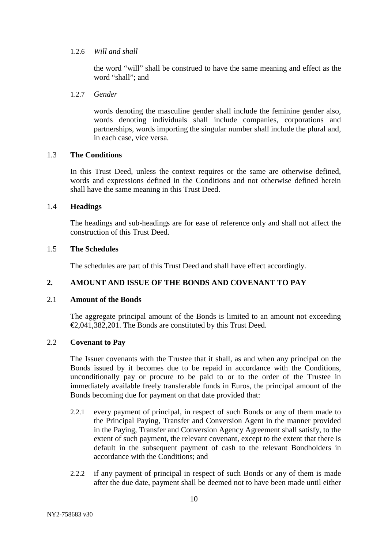### 1.2.6 *Will and shall*

the word "will" shall be construed to have the same meaning and effect as the word "shall"; and

### 1.2.7 *Gender*

words denoting the masculine gender shall include the feminine gender also, words denoting individuals shall include companies, corporations and partnerships, words importing the singular number shall include the plural and, in each case, vice versa.

### 1.3 **The Conditions**

In this Trust Deed, unless the context requires or the same are otherwise defined, words and expressions defined in the Conditions and not otherwise defined herein shall have the same meaning in this Trust Deed.

### 1.4 **Headings**

The headings and sub-headings are for ease of reference only and shall not affect the construction of this Trust Deed.

### 1.5 **The Schedules**

The schedules are part of this Trust Deed and shall have effect accordingly.

# <span id="page-11-0"></span>**2. AMOUNT AND ISSUE OF THE BONDS AND COVENANT TO PAY**

# 2.1 **Amount of the Bonds**

The aggregate principal amount of the Bonds is limited to an amount not exceeding €2,041,382,201. The Bonds are constituted by this Trust Deed.

# <span id="page-11-1"></span>2.2 **Covenant to Pay**

The Issuer covenants with the Trustee that it shall, as and when any principal on the Bonds issued by it becomes due to be repaid in accordance with the Conditions, unconditionally pay or procure to be paid to or to the order of the Trustee in immediately available freely transferable funds in Euros, the principal amount of the Bonds becoming due for payment on that date provided that:

- <span id="page-11-2"></span>2.2.1 every payment of principal, in respect of such Bonds or any of them made to the Principal Paying, Transfer and Conversion Agent in the manner provided in the Paying, Transfer and Conversion Agency Agreement shall satisfy, to the extent of such payment, the relevant covenant, except to the extent that there is default in the subsequent payment of cash to the relevant Bondholders in accordance with the Conditions; and
- 2.2.2 if any payment of principal in respect of such Bonds or any of them is made after the due date, payment shall be deemed not to have been made until either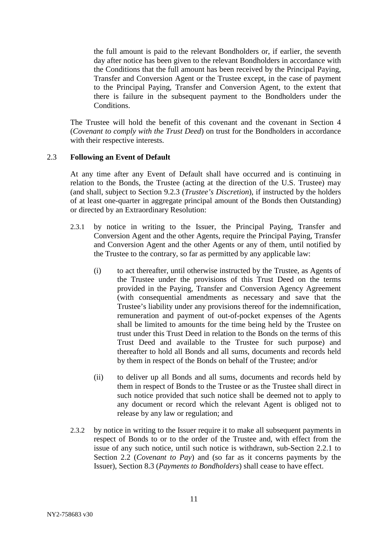the full amount is paid to the relevant Bondholders or, if earlier, the seventh day after notice has been given to the relevant Bondholders in accordance with the Conditions that the full amount has been received by the Principal Paying, Transfer and Conversion Agent or the Trustee except, in the case of payment to the Principal Paying, Transfer and Conversion Agent, to the extent that there is failure in the subsequent payment to the Bondholders under the Conditions.

The Trustee will hold the benefit of this covenant and the covenant in Section [4](#page-16-0) (*Covenant to comply with the Trust Deed*) on trust for the Bondholders in accordance with their respective interests.

# 2.3 **Following an Event of Default**

At any time after any Event of Default shall have occurred and is continuing in relation to the Bonds, the Trustee (acting at the direction of the U.S. Trustee) may (and shall, subject to Section [9.2.3](#page-27-0) (*Trustee's Discretion*), if instructed by the holders of at least one-quarter in aggregate principal amount of the Bonds then Outstanding) or directed by an Extraordinary Resolution:

- 2.3.1 by notice in writing to the Issuer, the Principal Paying, Transfer and Conversion Agent and the other Agents, require the Principal Paying, Transfer and Conversion Agent and the other Agents or any of them, until notified by the Trustee to the contrary, so far as permitted by any applicable law:
	- (i) to act thereafter, until otherwise instructed by the Trustee, as Agents of the Trustee under the provisions of this Trust Deed on the terms provided in the Paying, Transfer and Conversion Agency Agreement (with consequential amendments as necessary and save that the Trustee's liability under any provisions thereof for the indemnification, remuneration and payment of out-of-pocket expenses of the Agents shall be limited to amounts for the time being held by the Trustee on trust under this Trust Deed in relation to the Bonds on the terms of this Trust Deed and available to the Trustee for such purpose) and thereafter to hold all Bonds and all sums, documents and records held by them in respect of the Bonds on behalf of the Trustee; and/or
	- (ii) to deliver up all Bonds and all sums, documents and records held by them in respect of Bonds to the Trustee or as the Trustee shall direct in such notice provided that such notice shall be deemed not to apply to any document or record which the relevant Agent is obliged not to release by any law or regulation; and
- 2.3.2 by notice in writing to the Issuer require it to make all subsequent payments in respect of Bonds to or to the order of the Trustee and, with effect from the issue of any such notice, until such notice is withdrawn, sub-Section [2.2.1](#page-11-2) to Section [2.2](#page-11-1) (*Covenant to Pay*) and (so far as it concerns payments by the Issuer), Section [8.3](#page-21-0) (*Payments to Bondholders*) shall cease to have effect.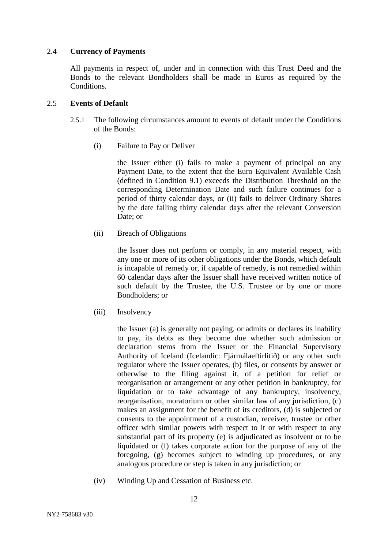### 2.4 **Currency of Payments**

All payments in respect of, under and in connection with this Trust Deed and the Bonds to the relevant Bondholders shall be made in Euros as required by the Conditions.

### <span id="page-13-0"></span>2.5 **Events of Default**

- 2.5.1 The following circumstances amount to events of default under the Conditions of the Bonds:
	- (i) Failure to Pay or Deliver

the Issuer either (i) fails to make a payment of principal on any Payment Date, to the extent that the Euro Equivalent Available Cash (defined in Condition 9.1) exceeds the Distribution Threshold on the corresponding Determination Date and such failure continues for a period of thirty calendar days, or (ii) fails to deliver Ordinary Shares by the date falling thirty calendar days after the relevant Conversion Date; or

(ii) Breach of Obligations

the Issuer does not perform or comply, in any material respect, with any one or more of its other obligations under the Bonds, which default is incapable of remedy or, if capable of remedy, is not remedied within 60 calendar days after the Issuer shall have received written notice of such default by the Trustee, the U.S. Trustee or by one or more Bondholders; or

(iii) Insolvency

the Issuer (a) is generally not paying, or admits or declares its inability to pay, its debts as they become due whether such admission or declaration stems from the Issuer or the Financial Supervisory Authority of Iceland (Icelandic: Fjármálaeftirlitið) or any other such regulator where the Issuer operates, (b) files, or consents by answer or otherwise to the filing against it, of a petition for relief or reorganisation or arrangement or any other petition in bankruptcy, for liquidation or to take advantage of any bankruptcy, insolvency, reorganisation, moratorium or other similar law of any jurisdiction, (c) makes an assignment for the benefit of its creditors, (d) is subjected or consents to the appointment of a custodian, receiver, trustee or other officer with similar powers with respect to it or with respect to any substantial part of its property (e) is adjudicated as insolvent or to be liquidated or (f) takes corporate action for the purpose of any of the foregoing, (g) becomes subject to winding up procedures, or any analogous procedure or step is taken in any jurisdiction; or

(iv) Winding Up and Cessation of Business etc.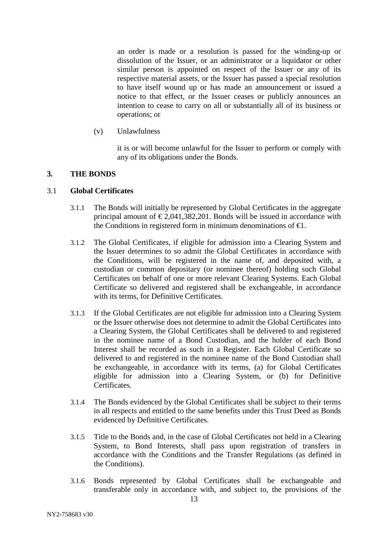an order is made or a resolution is passed for the winding-up or dissolution of the Issuer, or an administrator or a liquidator or other similar person is appointed on respect of the Issuer or any of its respective material assets, or the Issuer has passed a special resolution to have itself wound up or has made an announcement or issued a notice to that effect, or the Issuer ceases or publicly announces an intention to cease to carry on all or substantially all of its business or operations; or

(v) Unlawfulness

it is or will become unlawful for the Issuer to perform or comply with any of its obligations under the Bonds.

# <span id="page-14-0"></span>**3. THE BONDS**

# 3.1 **Global Certificates**

- 3.1.1 The Bonds will initially be represented by Global Certificates in the aggregate principal amount of  $\epsilon$ 2,041,382,201. Bonds will be issued in accordance with the Conditions in registered form in minimum denominations of  $\bigoplus$ .
- 3.1.2 The Global Certificates, if eligible for admission into a Clearing System and the Issuer determines to so admit the Global Certificates in accordance with the Conditions, will be registered in the name of, and deposited with, a custodian or common depositary (or nominee thereof) holding such Global Certificates on behalf of one or more relevant Clearing Systems. Each Global Certificate so delivered and registered shall be exchangeable, in accordance with its terms, for Definitive Certificates.
- 3.1.3 If the Global Certificates are not eligible for admission into a Clearing System or the Issuer otherwise does not determine to admit the Global Certificates into a Clearing System, the Global Certificates shall be delivered to and registered in the nominee name of a Bond Custodian, and the holder of each Bond Interest shall be recorded as such in a Register. Each Global Certificate so delivered to and registered in the nominee name of the Bond Custodian shall be exchangeable, in accordance with its terms, (a) for Global Certificates eligible for admission into a Clearing System, or (b) for Definitive Certificates.
- 3.1.4 The Bonds evidenced by the Global Certificates shall be subject to their terms in all respects and entitled to the same benefits under this Trust Deed as Bonds evidenced by Definitive Certificates.
- 3.1.5 Title to the Bonds and, in the case of Global Certificates not held in a Clearing System, to Bond Interests, shall pass upon registration of transfers in accordance with the Conditions and the Transfer Regulations (as defined in the Conditions).
- 3.1.6 Bonds represented by Global Certificates shall be exchangeable and transferable only in accordance with, and subject to, the provisions of the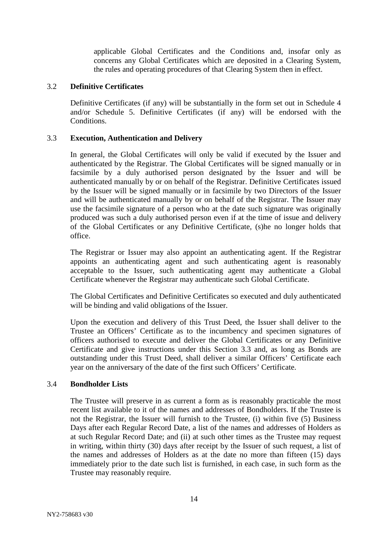applicable Global Certificates and the Conditions and, insofar only as concerns any Global Certificates which are deposited in a Clearing System, the rules and operating procedures of that Clearing System then in effect.

### 3.2 **Definitive Certificates**

Definitive Certificates (if any) will be substantially in the form set out in Schedule 4 and/or Schedule 5. Definitive Certificates (if any) will be endorsed with the Conditions.

### <span id="page-15-1"></span>3.3 **Execution, Authentication and Delivery**

In general, the Global Certificates will only be valid if executed by the Issuer and authenticated by the Registrar. The Global Certificates will be signed manually or in facsimile by a duly authorised person designated by the Issuer and will be authenticated manually by or on behalf of the Registrar. Definitive Certificates issued by the Issuer will be signed manually or in facsimile by two Directors of the Issuer and will be authenticated manually by or on behalf of the Registrar. The Issuer may use the facsimile signature of a person who at the date such signature was originally produced was such a duly authorised person even if at the time of issue and delivery of the Global Certificates or any Definitive Certificate, (s)he no longer holds that office.

The Registrar or Issuer may also appoint an authenticating agent. If the Registrar appoints an authenticating agent and such authenticating agent is reasonably acceptable to the Issuer, such authenticating agent may authenticate a Global Certificate whenever the Registrar may authenticate such Global Certificate.

The Global Certificates and Definitive Certificates so executed and duly authenticated will be binding and valid obligations of the Issuer.

Upon the execution and delivery of this Trust Deed, the Issuer shall deliver to the Trustee an Officers' Certificate as to the incumbency and specimen signatures of officers authorised to execute and deliver the Global Certificates or any Definitive Certificate and give instructions under this Section [3.3](#page-15-1) and, as long as Bonds are outstanding under this Trust Deed, shall deliver a similar Officers' Certificate each year on the anniversary of the date of the first such Officers' Certificate.

# <span id="page-15-0"></span>3.4 **Bondholder Lists**

The Trustee will preserve in as current a form as is reasonably practicable the most recent list available to it of the names and addresses of Bondholders. If the Trustee is not the Registrar, the Issuer will furnish to the Trustee, (i) within five (5) Business Days after each Regular Record Date, a list of the names and addresses of Holders as at such Regular Record Date; and (ii) at such other times as the Trustee may request in writing, within thirty (30) days after receipt by the Issuer of such request, a list of the names and addresses of Holders as at the date no more than fifteen (15) days immediately prior to the date such list is furnished, in each case, in such form as the Trustee may reasonably require.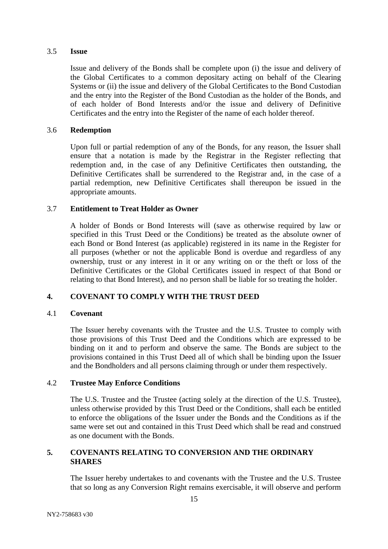### 3.5 **Issue**

Issue and delivery of the Bonds shall be complete upon (i) the issue and delivery of the Global Certificates to a common depositary acting on behalf of the Clearing Systems or (ii) the issue and delivery of the Global Certificates to the Bond Custodian and the entry into the Register of the Bond Custodian as the holder of the Bonds, and of each holder of Bond Interests and/or the issue and delivery of Definitive Certificates and the entry into the Register of the name of each holder thereof.

### 3.6 **Redemption**

Upon full or partial redemption of any of the Bonds, for any reason, the Issuer shall ensure that a notation is made by the Registrar in the Register reflecting that redemption and, in the case of any Definitive Certificates then outstanding, the Definitive Certificates shall be surrendered to the Registrar and, in the case of a partial redemption, new Definitive Certificates shall thereupon be issued in the appropriate amounts.

### 3.7 **Entitlement to Treat Holder as Owner**

A holder of Bonds or Bond Interests will (save as otherwise required by law or specified in this Trust Deed or the Conditions) be treated as the absolute owner of each Bond or Bond Interest (as applicable) registered in its name in the Register for all purposes (whether or not the applicable Bond is overdue and regardless of any ownership, trust or any interest in it or any writing on or the theft or loss of the Definitive Certificates or the Global Certificates issued in respect of that Bond or relating to that Bond Interest), and no person shall be liable for so treating the holder.

# <span id="page-16-0"></span>**4. COVENANT TO COMPLY WITH THE TRUST DEED**

# 4.1 **Covenant**

The Issuer hereby covenants with the Trustee and the U.S. Trustee to comply with those provisions of this Trust Deed and the Conditions which are expressed to be binding on it and to perform and observe the same. The Bonds are subject to the provisions contained in this Trust Deed all of which shall be binding upon the Issuer and the Bondholders and all persons claiming through or under them respectively.

# 4.2 **Trustee May Enforce Conditions**

The U.S. Trustee and the Trustee (acting solely at the direction of the U.S. Trustee), unless otherwise provided by this Trust Deed or the Conditions, shall each be entitled to enforce the obligations of the Issuer under the Bonds and the Conditions as if the same were set out and contained in this Trust Deed which shall be read and construed as one document with the Bonds.

# <span id="page-16-1"></span>**5. COVENANTS RELATING TO CONVERSION AND THE ORDINARY SHARES**

The Issuer hereby undertakes to and covenants with the Trustee and the U.S. Trustee that so long as any Conversion Right remains exercisable, it will observe and perform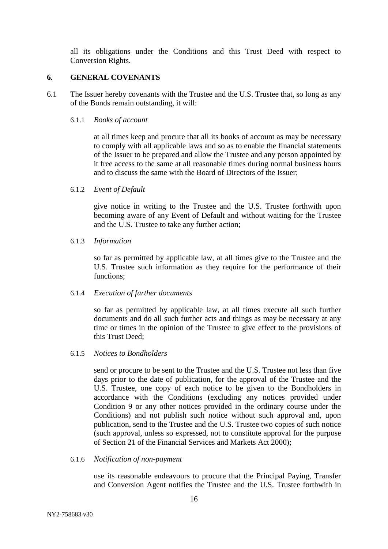all its obligations under the Conditions and this Trust Deed with respect to Conversion Rights.

### <span id="page-17-0"></span>**6. GENERAL COVENANTS**

6.1 The Issuer hereby covenants with the Trustee and the U.S. Trustee that, so long as any of the Bonds remain outstanding, it will:

### <span id="page-17-1"></span>6.1.1 *Books of account*

at all times keep and procure that all its books of account as may be necessary to comply with all applicable laws and so as to enable the financial statements of the Issuer to be prepared and allow the Trustee and any person appointed by it free access to the same at all reasonable times during normal business hours and to discuss the same with the Board of Directors of the Issuer;

### 6.1.2 *Event of Default*

give notice in writing to the Trustee and the U.S. Trustee forthwith upon becoming aware of any Event of Default and without waiting for the Trustee and the U.S. Trustee to take any further action;

#### 6.1.3 *Information*

so far as permitted by applicable law, at all times give to the Trustee and the U.S. Trustee such information as they require for the performance of their functions;

### 6.1.4 *Execution of further documents*

so far as permitted by applicable law, at all times execute all such further documents and do all such further acts and things as may be necessary at any time or times in the opinion of the Trustee to give effect to the provisions of this Trust Deed;

#### 6.1.5 *Notices to Bondholders*

send or procure to be sent to the Trustee and the U.S. Trustee not less than five days prior to the date of publication, for the approval of the Trustee and the U.S. Trustee, one copy of each notice to be given to the Bondholders in accordance with the Conditions (excluding any notices provided under Condition 9 or any other notices provided in the ordinary course under the Conditions) and not publish such notice without such approval and, upon publication, send to the Trustee and the U.S. Trustee two copies of such notice (such approval, unless so expressed, not to constitute approval for the purpose of Section 21 of the Financial Services and Markets Act 2000);

#### 6.1.6 *Notification of non-payment*

use its reasonable endeavours to procure that the Principal Paying, Transfer and Conversion Agent notifies the Trustee and the U.S. Trustee forthwith in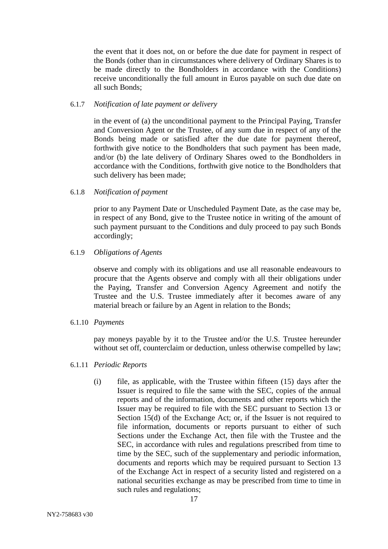the event that it does not, on or before the due date for payment in respect of the Bonds (other than in circumstances where delivery of Ordinary Shares is to be made directly to the Bondholders in accordance with the Conditions) receive unconditionally the full amount in Euros payable on such due date on all such Bonds;

### 6.1.7 *Notification of late payment or delivery*

in the event of (a) the unconditional payment to the Principal Paying, Transfer and Conversion Agent or the Trustee, of any sum due in respect of any of the Bonds being made or satisfied after the due date for payment thereof, forthwith give notice to the Bondholders that such payment has been made, and/or (b) the late delivery of Ordinary Shares owed to the Bondholders in accordance with the Conditions, forthwith give notice to the Bondholders that such delivery has been made;

### 6.1.8 *Notification of payment*

prior to any Payment Date or Unscheduled Payment Date, as the case may be, in respect of any Bond, give to the Trustee notice in writing of the amount of such payment pursuant to the Conditions and duly proceed to pay such Bonds accordingly;

### 6.1.9 *Obligations of Agents*

observe and comply with its obligations and use all reasonable endeavours to procure that the Agents observe and comply with all their obligations under the Paying, Transfer and Conversion Agency Agreement and notify the Trustee and the U.S. Trustee immediately after it becomes aware of any material breach or failure by an Agent in relation to the Bonds;

### 6.1.10 *Payments*

pay moneys payable by it to the Trustee and/or the U.S. Trustee hereunder without set off, counterclaim or deduction, unless otherwise compelled by law;

# <span id="page-18-0"></span>6.1.11 *Periodic Reports*

(i) file, as applicable, with the Trustee within fifteen (15) days after the Issuer is required to file the same with the SEC, copies of the annual reports and of the information, documents and other reports which the Issuer may be required to file with the SEC pursuant to Section 13 or Section 15(d) of the Exchange Act; or, if the Issuer is not required to file information, documents or reports pursuant to either of such Sections under the Exchange Act, then file with the Trustee and the SEC, in accordance with rules and regulations prescribed from time to time by the SEC, such of the supplementary and periodic information, documents and reports which may be required pursuant to Section 13 of the Exchange Act in respect of a security listed and registered on a national securities exchange as may be prescribed from time to time in such rules and regulations;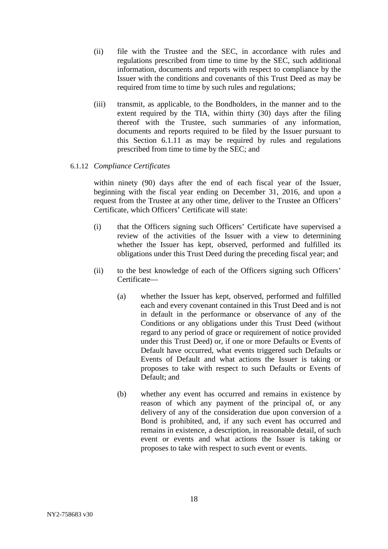- (ii) file with the Trustee and the SEC, in accordance with rules and regulations prescribed from time to time by the SEC, such additional information, documents and reports with respect to compliance by the Issuer with the conditions and covenants of this Trust Deed as may be required from time to time by such rules and regulations;
- (iii) transmit, as applicable, to the Bondholders, in the manner and to the extent required by the TIA, within thirty (30) days after the filing thereof with the Trustee, such summaries of any information, documents and reports required to be filed by the Issuer pursuant to this Section [6.1.11](#page-18-0) as may be required by rules and regulations prescribed from time to time by the SEC; and

# 6.1.12 *Compliance Certificates*

within ninety (90) days after the end of each fiscal year of the Issuer, beginning with the fiscal year ending on December 31, 2016, and upon a request from the Trustee at any other time, deliver to the Trustee an Officers' Certificate, which Officers' Certificate will state:

- (i) that the Officers signing such Officers' Certificate have supervised a review of the activities of the Issuer with a view to determining whether the Issuer has kept, observed, performed and fulfilled its obligations under this Trust Deed during the preceding fiscal year; and
- (ii) to the best knowledge of each of the Officers signing such Officers' Certificate—
	- (a) whether the Issuer has kept, observed, performed and fulfilled each and every covenant contained in this Trust Deed and is not in default in the performance or observance of any of the Conditions or any obligations under this Trust Deed (without regard to any period of grace or requirement of notice provided under this Trust Deed) or, if one or more Defaults or Events of Default have occurred, what events triggered such Defaults or Events of Default and what actions the Issuer is taking or proposes to take with respect to such Defaults or Events of Default; and
	- (b) whether any event has occurred and remains in existence by reason of which any payment of the principal of, or any delivery of any of the consideration due upon conversion of a Bond is prohibited, and, if any such event has occurred and remains in existence, a description, in reasonable detail, of such event or events and what actions the Issuer is taking or proposes to take with respect to such event or events.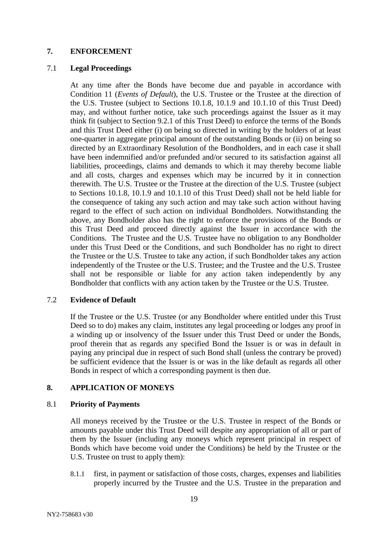### <span id="page-20-0"></span>**7. ENFORCEMENT**

### <span id="page-20-2"></span>7.1 **Legal Proceedings**

At any time after the Bonds have become due and payable in accordance with Condition 11 (*Events of Default*), the U.S. Trustee or the Trustee at the direction of the U.S. Trustee (subject to Sections 10.1.8, 10.1.9 and 10.1.10 of this Trust Deed) may, and without further notice, take such proceedings against the Issuer as it may think fit (subject to Section 9.2.1 of this Trust Deed) to enforce the terms of the Bonds and this Trust Deed either (i) on being so directed in writing by the holders of at least one-quarter in aggregate principal amount of the outstanding Bonds or (ii) on being so directed by an Extraordinary Resolution of the Bondholders, and in each case it shall have been indemnified and/or prefunded and/or secured to its satisfaction against all liabilities, proceedings, claims and demands to which it may thereby become liable and all costs, charges and expenses which may be incurred by it in connection therewith. The U.S. Trustee or the Trustee at the direction of the U.S. Trustee (subject to Sections 10.1.8, 10.1.9 and 10.1.10 of this Trust Deed) shall not be held liable for the consequence of taking any such action and may take such action without having regard to the effect of such action on individual Bondholders. Notwithstanding the above, any Bondholder also has the right to enforce the provisions of the Bonds or this Trust Deed and proceed directly against the Issuer in accordance with the Conditions. The Trustee and the U.S. Trustee have no obligation to any Bondholder under this Trust Deed or the Conditions, and such Bondholder has no right to direct the Trustee or the U.S. Trustee to take any action, if such Bondholder takes any action independently of the Trustee or the U.S. Trustee; and the Trustee and the U.S. Trustee shall not be responsible or liable for any action taken independently by any Bondholder that conflicts with any action taken by the Trustee or the U.S. Trustee.

### 7.2 **Evidence of Default**

If the Trustee or the U.S. Trustee (or any Bondholder where entitled under this Trust Deed so to do) makes any claim, institutes any legal proceeding or lodges any proof in a winding up or insolvency of the Issuer under this Trust Deed or under the Bonds, proof therein that as regards any specified Bond the Issuer is or was in default in paying any principal due in respect of such Bond shall (unless the contrary be proved) be sufficient evidence that the Issuer is or was in the like default as regards all other Bonds in respect of which a corresponding payment is then due.

# <span id="page-20-1"></span>**8. APPLICATION OF MONEYS**

### <span id="page-20-3"></span>8.1 **Priority of Payments**

All moneys received by the Trustee or the U.S. Trustee in respect of the Bonds or amounts payable under this Trust Deed will despite any appropriation of all or part of them by the Issuer (including any moneys which represent principal in respect of Bonds which have become void under the Conditions) be held by the Trustee or the U.S. Trustee on trust to apply them):

8.1.1 first, in payment or satisfaction of those costs, charges, expenses and liabilities properly incurred by the Trustee and the U.S. Trustee in the preparation and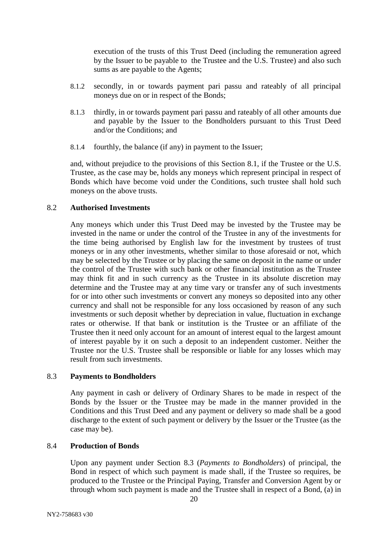execution of the trusts of this Trust Deed (including the remuneration agreed by the Issuer to be payable to the Trustee and the U.S. Trustee) and also such sums as are payable to the Agents;

- 8.1.2 secondly, in or towards payment pari passu and rateably of all principal moneys due on or in respect of the Bonds;
- 8.1.3 thirdly, in or towards payment pari passu and rateably of all other amounts due and payable by the Issuer to the Bondholders pursuant to this Trust Deed and/or the Conditions; and
- 8.1.4 fourthly, the balance (if any) in payment to the Issuer;

and, without prejudice to the provisions of this Section [8.1,](#page-20-3) if the Trustee or the U.S. Trustee, as the case may be, holds any moneys which represent principal in respect of Bonds which have become void under the Conditions, such trustee shall hold such moneys on the above trusts.

### 8.2 **Authorised Investments**

Any moneys which under this Trust Deed may be invested by the Trustee may be invested in the name or under the control of the Trustee in any of the investments for the time being authorised by English law for the investment by trustees of trust moneys or in any other investments, whether similar to those aforesaid or not, which may be selected by the Trustee or by placing the same on deposit in the name or under the control of the Trustee with such bank or other financial institution as the Trustee may think fit and in such currency as the Trustee in its absolute discretion may determine and the Trustee may at any time vary or transfer any of such investments for or into other such investments or convert any moneys so deposited into any other currency and shall not be responsible for any loss occasioned by reason of any such investments or such deposit whether by depreciation in value, fluctuation in exchange rates or otherwise. If that bank or institution is the Trustee or an affiliate of the Trustee then it need only account for an amount of interest equal to the largest amount of interest payable by it on such a deposit to an independent customer. Neither the Trustee nor the U.S. Trustee shall be responsible or liable for any losses which may result from such investments.

### <span id="page-21-0"></span>8.3 **Payments to Bondholders**

Any payment in cash or delivery of Ordinary Shares to be made in respect of the Bonds by the Issuer or the Trustee may be made in the manner provided in the Conditions and this Trust Deed and any payment or delivery so made shall be a good discharge to the extent of such payment or delivery by the Issuer or the Trustee (as the case may be).

# 8.4 **Production of Bonds**

Upon any payment under Section [8.3](#page-21-0) (*Payments to Bondholders*) of principal, the Bond in respect of which such payment is made shall, if the Trustee so requires, be produced to the Trustee or the Principal Paying, Transfer and Conversion Agent by or through whom such payment is made and the Trustee shall in respect of a Bond, (a) in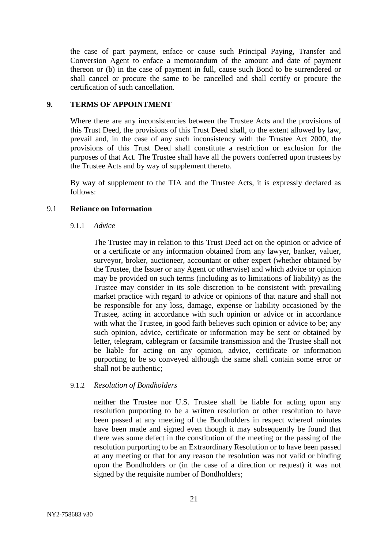the case of part payment, enface or cause such Principal Paying, Transfer and Conversion Agent to enface a memorandum of the amount and date of payment thereon or (b) in the case of payment in full, cause such Bond to be surrendered or shall cancel or procure the same to be cancelled and shall certify or procure the certification of such cancellation.

# <span id="page-22-0"></span>**9. TERMS OF APPOINTMENT**

Where there are any inconsistencies between the Trustee Acts and the provisions of this Trust Deed, the provisions of this Trust Deed shall, to the extent allowed by law, prevail and, in the case of any such inconsistency with the Trustee Act 2000, the provisions of this Trust Deed shall constitute a restriction or exclusion for the purposes of that Act. The Trustee shall have all the powers conferred upon trustees by the Trustee Acts and by way of supplement thereto.

By way of supplement to the TIA and the Trustee Acts, it is expressly declared as follows:

# 9.1 **Reliance on Information**

9.1.1 *Advice*

The Trustee may in relation to this Trust Deed act on the opinion or advice of or a certificate or any information obtained from any lawyer, banker, valuer, surveyor, broker, auctioneer, accountant or other expert (whether obtained by the Trustee, the Issuer or any Agent or otherwise) and which advice or opinion may be provided on such terms (including as to limitations of liability) as the Trustee may consider in its sole discretion to be consistent with prevailing market practice with regard to advice or opinions of that nature and shall not be responsible for any loss, damage, expense or liability occasioned by the Trustee, acting in accordance with such opinion or advice or in accordance with what the Trustee, in good faith believes such opinion or advice to be; any such opinion, advice, certificate or information may be sent or obtained by letter, telegram, cablegram or facsimile transmission and the Trustee shall not be liable for acting on any opinion, advice, certificate or information purporting to be so conveyed although the same shall contain some error or shall not be authentic;

# 9.1.2 *Resolution of Bondholders*

neither the Trustee nor U.S. Trustee shall be liable for acting upon any resolution purporting to be a written resolution or other resolution to have been passed at any meeting of the Bondholders in respect whereof minutes have been made and signed even though it may subsequently be found that there was some defect in the constitution of the meeting or the passing of the resolution purporting to be an Extraordinary Resolution or to have been passed at any meeting or that for any reason the resolution was not valid or binding upon the Bondholders or (in the case of a direction or request) it was not signed by the requisite number of Bondholders;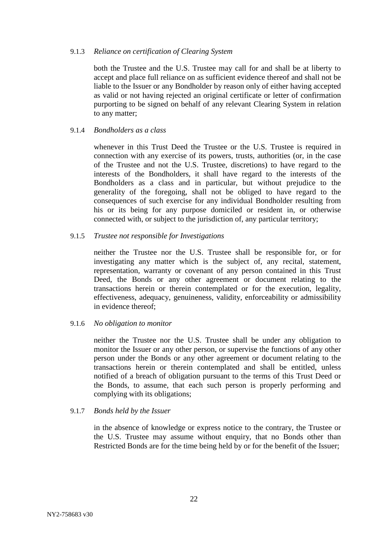#### 9.1.3 *Reliance on certification of Clearing System*

both the Trustee and the U.S. Trustee may call for and shall be at liberty to accept and place full reliance on as sufficient evidence thereof and shall not be liable to the Issuer or any Bondholder by reason only of either having accepted as valid or not having rejected an original certificate or letter of confirmation purporting to be signed on behalf of any relevant Clearing System in relation to any matter;

### 9.1.4 *Bondholders as a class*

whenever in this Trust Deed the Trustee or the U.S. Trustee is required in connection with any exercise of its powers, trusts, authorities (or, in the case of the Trustee and not the U.S. Trustee, discretions) to have regard to the interests of the Bondholders, it shall have regard to the interests of the Bondholders as a class and in particular, but without prejudice to the generality of the foregoing, shall not be obliged to have regard to the consequences of such exercise for any individual Bondholder resulting from his or its being for any purpose domiciled or resident in, or otherwise connected with, or subject to the jurisdiction of, any particular territory;

### 9.1.5 *Trustee not responsible for Investigations*

neither the Trustee nor the U.S. Trustee shall be responsible for, or for investigating any matter which is the subject of, any recital, statement, representation, warranty or covenant of any person contained in this Trust Deed, the Bonds or any other agreement or document relating to the transactions herein or therein contemplated or for the execution, legality, effectiveness, adequacy, genuineness, validity, enforceability or admissibility in evidence thereof;

### 9.1.6 *No obligation to monitor*

neither the Trustee nor the U.S. Trustee shall be under any obligation to monitor the Issuer or any other person, or supervise the functions of any other person under the Bonds or any other agreement or document relating to the transactions herein or therein contemplated and shall be entitled, unless notified of a breach of obligation pursuant to the terms of this Trust Deed or the Bonds, to assume, that each such person is properly performing and complying with its obligations;

### 9.1.7 *Bonds held by the Issuer*

in the absence of knowledge or express notice to the contrary, the Trustee or the U.S. Trustee may assume without enquiry, that no Bonds other than Restricted Bonds are for the time being held by or for the benefit of the Issuer;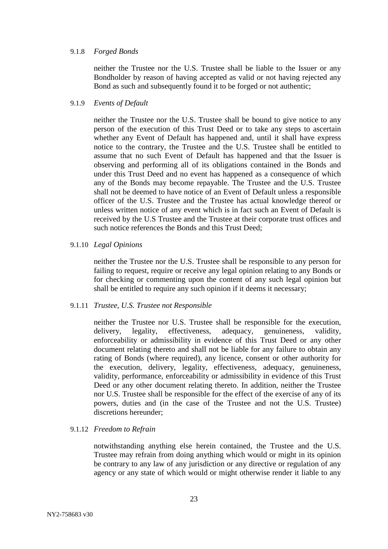#### 9.1.8 *Forged Bonds*

neither the Trustee nor the U.S. Trustee shall be liable to the Issuer or any Bondholder by reason of having accepted as valid or not having rejected any Bond as such and subsequently found it to be forged or not authentic;

#### 9.1.9 *Events of Default*

neither the Trustee nor the U.S. Trustee shall be bound to give notice to any person of the execution of this Trust Deed or to take any steps to ascertain whether any Event of Default has happened and, until it shall have express notice to the contrary, the Trustee and the U.S. Trustee shall be entitled to assume that no such Event of Default has happened and that the Issuer is observing and performing all of its obligations contained in the Bonds and under this Trust Deed and no event has happened as a consequence of which any of the Bonds may become repayable. The Trustee and the U.S. Trustee shall not be deemed to have notice of an Event of Default unless a responsible officer of the U.S. Trustee and the Trustee has actual knowledge thereof or unless written notice of any event which is in fact such an Event of Default is received by the U.S Trustee and the Trustee at their corporate trust offices and such notice references the Bonds and this Trust Deed;

#### 9.1.10 *Legal Opinions*

neither the Trustee nor the U.S. Trustee shall be responsible to any person for failing to request, require or receive any legal opinion relating to any Bonds or for checking or commenting upon the content of any such legal opinion but shall be entitled to require any such opinion if it deems it necessary;

### 9.1.11 *Trustee, U.S. Trustee not Responsible*

neither the Trustee nor U.S. Trustee shall be responsible for the execution, delivery, legality, effectiveness, adequacy, genuineness, validity, enforceability or admissibility in evidence of this Trust Deed or any other document relating thereto and shall not be liable for any failure to obtain any rating of Bonds (where required), any licence, consent or other authority for the execution, delivery, legality, effectiveness, adequacy, genuineness, validity, performance, enforceability or admissibility in evidence of this Trust Deed or any other document relating thereto. In addition, neither the Trustee nor U.S. Trustee shall be responsible for the effect of the exercise of any of its powers, duties and (in the case of the Trustee and not the U.S. Trustee) discretions hereunder;

#### 9.1.12 *Freedom to Refrain*

notwithstanding anything else herein contained, the Trustee and the U.S. Trustee may refrain from doing anything which would or might in its opinion be contrary to any law of any jurisdiction or any directive or regulation of any agency or any state of which would or might otherwise render it liable to any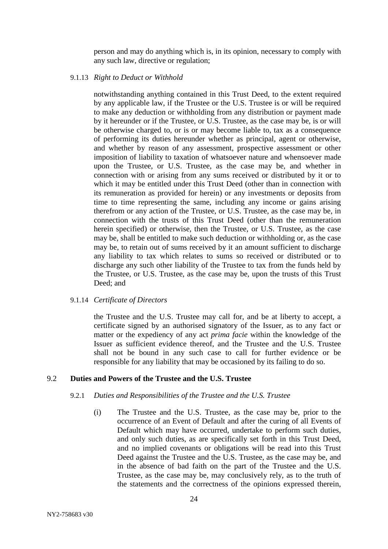person and may do anything which is, in its opinion, necessary to comply with any such law, directive or regulation;

#### 9.1.13 *Right to Deduct or Withhold*

notwithstanding anything contained in this Trust Deed, to the extent required by any applicable law, if the Trustee or the U.S. Trustee is or will be required to make any deduction or withholding from any distribution or payment made by it hereunder or if the Trustee, or U.S. Trustee, as the case may be, is or will be otherwise charged to, or is or may become liable to, tax as a consequence of performing its duties hereunder whether as principal, agent or otherwise, and whether by reason of any assessment, prospective assessment or other imposition of liability to taxation of whatsoever nature and whensoever made upon the Trustee, or U.S. Trustee, as the case may be, and whether in connection with or arising from any sums received or distributed by it or to which it may be entitled under this Trust Deed (other than in connection with its remuneration as provided for herein) or any investments or deposits from time to time representing the same, including any income or gains arising therefrom or any action of the Trustee, or U.S. Trustee, as the case may be, in connection with the trusts of this Trust Deed (other than the remuneration herein specified) or otherwise, then the Trustee, or U.S. Trustee, as the case may be, shall be entitled to make such deduction or withholding or, as the case may be, to retain out of sums received by it an amount sufficient to discharge any liability to tax which relates to sums so received or distributed or to discharge any such other liability of the Trustee to tax from the funds held by the Trustee, or U.S. Trustee, as the case may be, upon the trusts of this Trust Deed; and

### 9.1.14 *Certificate of Directors*

the Trustee and the U.S. Trustee may call for, and be at liberty to accept, a certificate signed by an authorised signatory of the Issuer, as to any fact or matter or the expediency of any act *prima facie* within the knowledge of the Issuer as sufficient evidence thereof, and the Trustee and the U.S. Trustee shall not be bound in any such case to call for further evidence or be responsible for any liability that may be occasioned by its failing to do so.

# <span id="page-25-0"></span>9.2 **Duties and Powers of the Trustee and the U.S. Trustee**

### 9.2.1 *Duties and Responsibilities of the Trustee and the U.S. Trustee*

(i) The Trustee and the U.S. Trustee, as the case may be, prior to the occurrence of an Event of Default and after the curing of all Events of Default which may have occurred, undertake to perform such duties, and only such duties, as are specifically set forth in this Trust Deed, and no implied covenants or obligations will be read into this Trust Deed against the Trustee and the U.S. Trustee, as the case may be, and in the absence of bad faith on the part of the Trustee and the U.S. Trustee, as the case may be, may conclusively rely, as to the truth of the statements and the correctness of the opinions expressed therein,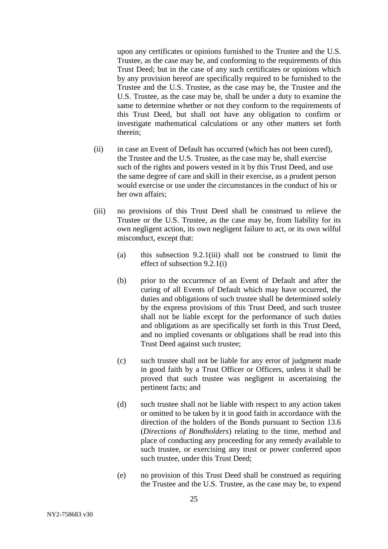upon any certificates or opinions furnished to the Trustee and the U.S. Trustee, as the case may be, and conforming to the requirements of this Trust Deed; but in the case of any such certificates or opinions which by any provision hereof are specifically required to be furnished to the Trustee and the U.S. Trustee, as the case may be, the Trustee and the U.S. Trustee, as the case may be, shall be under a duty to examine the same to determine whether or not they conform to the requirements of this Trust Deed, but shall not have any obligation to confirm or investigate mathematical calculations or any other matters set forth therein;

- (ii) in case an Event of Default has occurred (which has not been cured), the Trustee and the U.S. Trustee, as the case may be, shall exercise such of the rights and powers vested in it by this Trust Deed, and use the same degree of care and skill in their exercise, as a prudent person would exercise or use under the circumstances in the conduct of his or her own affairs;
- (iii) no provisions of this Trust Deed shall be construed to relieve the Trustee or the U.S. Trustee, as the case may be, from liability for its own negligent action, its own negligent failure to act, or its own wilful misconduct, except that:
	- (a) this subsection 9.2.1(iii) shall not be construed to limit the effect of subsection 9.2.1(i)
	- (b) prior to the occurrence of an Event of Default and after the curing of all Events of Default which may have occurred, the duties and obligations of such trustee shall be determined solely by the express provisions of this Trust Deed, and such trustee shall not be liable except for the performance of such duties and obligations as are specifically set forth in this Trust Deed, and no implied covenants or obligations shall be read into this Trust Deed against such trustee;
	- (c) such trustee shall not be liable for any error of judgment made in good faith by a Trust Officer or Officers, unless it shall be proved that such trustee was negligent in ascertaining the pertinent facts; and
	- (d) such trustee shall not be liable with respect to any action taken or omitted to be taken by it in good faith in accordance with the direction of the holders of the Bonds pursuant to Section [13.6](#page-44-1) (*Directions of Bondholders*) relating to the time, method and place of conducting any proceeding for any remedy available to such trustee, or exercising any trust or power conferred upon such trustee, under this Trust Deed;
	- (e) no provision of this Trust Deed shall be construed as requiring the Trustee and the U.S. Trustee, as the case may be, to expend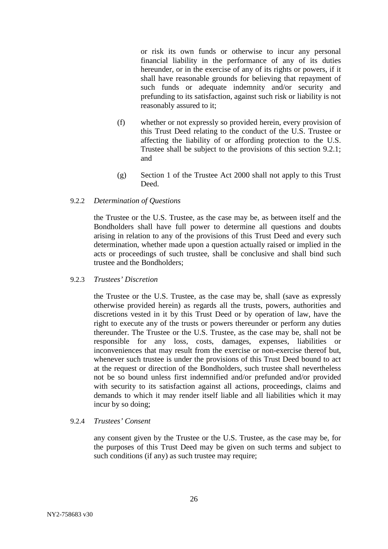or risk its own funds or otherwise to incur any personal financial liability in the performance of any of its duties hereunder, or in the exercise of any of its rights or powers, if it shall have reasonable grounds for believing that repayment of such funds or adequate indemnity and/or security and prefunding to its satisfaction, against such risk or liability is not reasonably assured to it;

- (f) whether or not expressly so provided herein, every provision of this Trust Deed relating to the conduct of the U.S. Trustee or affecting the liability of or affording protection to the U.S. Trustee shall be subject to the provisions of this section 9.2.1; and
- (g) Section 1 of the Trustee Act 2000 shall not apply to this Trust Deed.

### 9.2.2 *Determination of Questions*

the Trustee or the U.S. Trustee, as the case may be, as between itself and the Bondholders shall have full power to determine all questions and doubts arising in relation to any of the provisions of this Trust Deed and every such determination, whether made upon a question actually raised or implied in the acts or proceedings of such trustee, shall be conclusive and shall bind such trustee and the Bondholders;

### <span id="page-27-0"></span>9.2.3 *Trustees' Discretion*

the Trustee or the U.S. Trustee, as the case may be, shall (save as expressly otherwise provided herein) as regards all the trusts, powers, authorities and discretions vested in it by this Trust Deed or by operation of law, have the right to execute any of the trusts or powers thereunder or perform any duties thereunder. The Trustee or the U.S. Trustee, as the case may be, shall not be responsible for any loss, costs, damages, expenses, liabilities or inconveniences that may result from the exercise or non-exercise thereof but, whenever such trustee is under the provisions of this Trust Deed bound to act at the request or direction of the Bondholders, such trustee shall nevertheless not be so bound unless first indemnified and/or prefunded and/or provided with security to its satisfaction against all actions, proceedings, claims and demands to which it may render itself liable and all liabilities which it may incur by so doing;

### 9.2.4 *Trustees' Consent*

any consent given by the Trustee or the U.S. Trustee, as the case may be, for the purposes of this Trust Deed may be given on such terms and subject to such conditions (if any) as such trustee may require;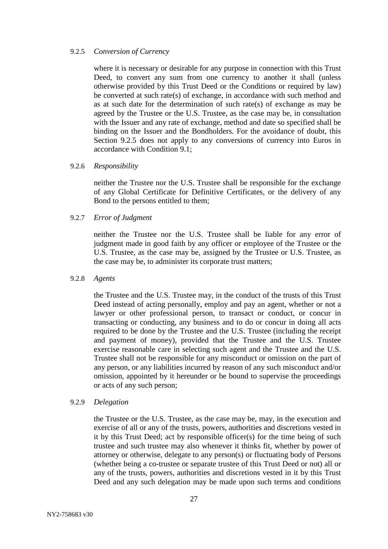#### 9.2.5 *Conversion of Currency*

where it is necessary or desirable for any purpose in connection with this Trust Deed, to convert any sum from one currency to another it shall (unless otherwise provided by this Trust Deed or the Conditions or required by law) be converted at such rate(s) of exchange, in accordance with such method and as at such date for the determination of such rate(s) of exchange as may be agreed by the Trustee or the U.S. Trustee, as the case may be, in consultation with the Issuer and any rate of exchange, method and date so specified shall be binding on the Issuer and the Bondholders. For the avoidance of doubt, this Section 9.2.5 does not apply to any conversions of currency into Euros in accordance with Condition 9.1;

### 9.2.6 *Responsibility*

neither the Trustee nor the U.S. Trustee shall be responsible for the exchange of any Global Certificate for Definitive Certificates, or the delivery of any Bond to the persons entitled to them;

9.2.7 *Error of Judgment*

neither the Trustee nor the U.S. Trustee shall be liable for any error of judgment made in good faith by any officer or employee of the Trustee or the U.S. Trustee, as the case may be, assigned by the Trustee or U.S. Trustee, as the case may be, to administer its corporate trust matters;

### 9.2.8 *Agents*

the Trustee and the U.S. Trustee may, in the conduct of the trusts of this Trust Deed instead of acting personally, employ and pay an agent, whether or not a lawyer or other professional person, to transact or conduct, or concur in transacting or conducting, any business and to do or concur in doing all acts required to be done by the Trustee and the U.S. Trustee (including the receipt and payment of money), provided that the Trustee and the U.S. Trustee exercise reasonable care in selecting such agent and the Trustee and the U.S. Trustee shall not be responsible for any misconduct or omission on the part of any person, or any liabilities incurred by reason of any such misconduct and/or omission, appointed by it hereunder or be bound to supervise the proceedings or acts of any such person;

### 9.2.9 *Delegation*

the Trustee or the U.S. Trustee, as the case may be, may, in the execution and exercise of all or any of the trusts, powers, authorities and discretions vested in it by this Trust Deed; act by responsible officer(s) for the time being of such trustee and such trustee may also whenever it thinks fit, whether by power of attorney or otherwise, delegate to any person(s) or fluctuating body of Persons (whether being a co-trustee or separate trustee of this Trust Deed or not) all or any of the trusts, powers, authorities and discretions vested in it by this Trust Deed and any such delegation may be made upon such terms and conditions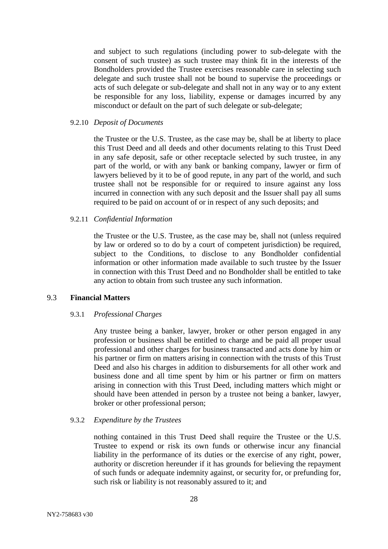and subject to such regulations (including power to sub-delegate with the consent of such trustee) as such trustee may think fit in the interests of the Bondholders provided the Trustee exercises reasonable care in selecting such delegate and such trustee shall not be bound to supervise the proceedings or acts of such delegate or sub-delegate and shall not in any way or to any extent be responsible for any loss, liability, expense or damages incurred by any misconduct or default on the part of such delegate or sub-delegate;

### 9.2.10 *Deposit of Documents*

the Trustee or the U.S. Trustee, as the case may be, shall be at liberty to place this Trust Deed and all deeds and other documents relating to this Trust Deed in any safe deposit, safe or other receptacle selected by such trustee, in any part of the world, or with any bank or banking company, lawyer or firm of lawyers believed by it to be of good repute, in any part of the world, and such trustee shall not be responsible for or required to insure against any loss incurred in connection with any such deposit and the Issuer shall pay all sums required to be paid on account of or in respect of any such deposits; and

### 9.2.11 *Confidential Information*

the Trustee or the U.S. Trustee, as the case may be, shall not (unless required by law or ordered so to do by a court of competent jurisdiction) be required, subject to the Conditions, to disclose to any Bondholder confidential information or other information made available to such trustee by the Issuer in connection with this Trust Deed and no Bondholder shall be entitled to take any action to obtain from such trustee any such information.

# 9.3 **Financial Matters**

#### 9.3.1 *Professional Charges*

Any trustee being a banker, lawyer, broker or other person engaged in any profession or business shall be entitled to charge and be paid all proper usual professional and other charges for business transacted and acts done by him or his partner or firm on matters arising in connection with the trusts of this Trust Deed and also his charges in addition to disbursements for all other work and business done and all time spent by him or his partner or firm on matters arising in connection with this Trust Deed, including matters which might or should have been attended in person by a trustee not being a banker, lawyer, broker or other professional person;

### 9.3.2 *Expenditure by the Trustees*

nothing contained in this Trust Deed shall require the Trustee or the U.S. Trustee to expend or risk its own funds or otherwise incur any financial liability in the performance of its duties or the exercise of any right, power, authority or discretion hereunder if it has grounds for believing the repayment of such funds or adequate indemnity against, or security for, or prefunding for, such risk or liability is not reasonably assured to it; and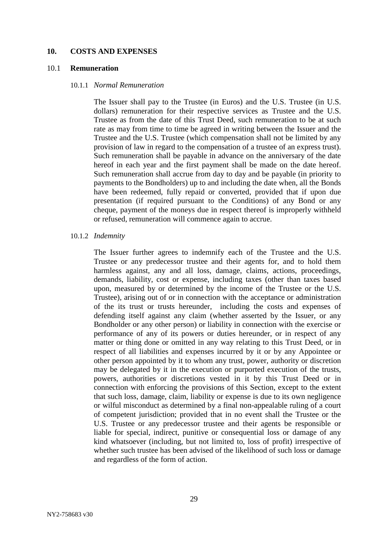#### <span id="page-30-0"></span>**10. COSTS AND EXPENSES**

### <span id="page-30-1"></span>10.1 **Remuneration**

#### 10.1.1 *Normal Remuneration*

The Issuer shall pay to the Trustee (in Euros) and the U.S. Trustee (in U.S. dollars) remuneration for their respective services as Trustee and the U.S. Trustee as from the date of this Trust Deed, such remuneration to be at such rate as may from time to time be agreed in writing between the Issuer and the Trustee and the U.S. Trustee (which compensation shall not be limited by any provision of law in regard to the compensation of a trustee of an express trust). Such remuneration shall be payable in advance on the anniversary of the date hereof in each year and the first payment shall be made on the date hereof. Such remuneration shall accrue from day to day and be payable (in priority to payments to the Bondholders) up to and including the date when, all the Bonds have been redeemed, fully repaid or converted, provided that if upon due presentation (if required pursuant to the Conditions) of any Bond or any cheque, payment of the moneys due in respect thereof is improperly withheld or refused, remuneration will commence again to accrue.

#### 10.1.2 *Indemnity*

The Issuer further agrees to indemnify each of the Trustee and the U.S. Trustee or any predecessor trustee and their agents for, and to hold them harmless against, any and all loss, damage, claims, actions, proceedings, demands, liability, cost or expense, including taxes (other than taxes based upon, measured by or determined by the income of the Trustee or the U.S. Trustee), arising out of or in connection with the acceptance or administration of the its trust or trusts hereunder, including the costs and expenses of defending itself against any claim (whether asserted by the Issuer, or any Bondholder or any other person) or liability in connection with the exercise or performance of any of its powers or duties hereunder, or in respect of any matter or thing done or omitted in any way relating to this Trust Deed, or in respect of all liabilities and expenses incurred by it or by any Appointee or other person appointed by it to whom any trust, power, authority or discretion may be delegated by it in the execution or purported execution of the trusts, powers, authorities or discretions vested in it by this Trust Deed or in connection with enforcing the provisions of this Section, except to the extent that such loss, damage, claim, liability or expense is due to its own negligence or wilful misconduct as determined by a final non-appealable ruling of a court of competent jurisdiction; provided that in no event shall the Trustee or the U.S. Trustee or any predecessor trustee and their agents be responsible or liable for special, indirect, punitive or consequential loss or damage of any kind whatsoever (including, but not limited to, loss of profit) irrespective of whether such trustee has been advised of the likelihood of such loss or damage and regardless of the form of action.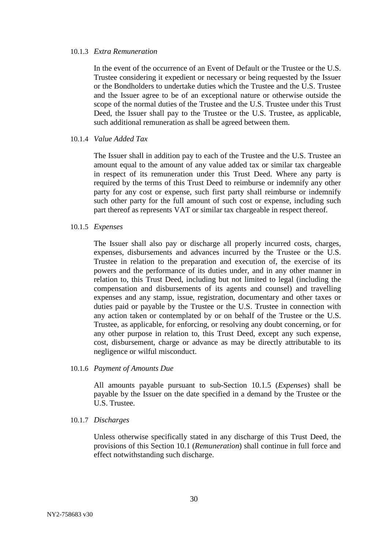#### 10.1.3 *Extra Remuneration*

In the event of the occurrence of an Event of Default or the Trustee or the U.S. Trustee considering it expedient or necessary or being requested by the Issuer or the Bondholders to undertake duties which the Trustee and the U.S. Trustee and the Issuer agree to be of an exceptional nature or otherwise outside the scope of the normal duties of the Trustee and the U.S. Trustee under this Trust Deed, the Issuer shall pay to the Trustee or the U.S. Trustee, as applicable, such additional remuneration as shall be agreed between them.

### 10.1.4 *Value Added Tax*

The Issuer shall in addition pay to each of the Trustee and the U.S. Trustee an amount equal to the amount of any value added tax or similar tax chargeable in respect of its remuneration under this Trust Deed. Where any party is required by the terms of this Trust Deed to reimburse or indemnify any other party for any cost or expense, such first party shall reimburse or indemnify such other party for the full amount of such cost or expense, including such part thereof as represents VAT or similar tax chargeable in respect thereof.

### <span id="page-31-0"></span>10.1.5 *Expenses*

The Issuer shall also pay or discharge all properly incurred costs, charges, expenses, disbursements and advances incurred by the Trustee or the U.S. Trustee in relation to the preparation and execution of, the exercise of its powers and the performance of its duties under, and in any other manner in relation to, this Trust Deed, including but not limited to legal (including the compensation and disbursements of its agents and counsel) and travelling expenses and any stamp, issue, registration, documentary and other taxes or duties paid or payable by the Trustee or the U.S. Trustee in connection with any action taken or contemplated by or on behalf of the Trustee or the U.S. Trustee, as applicable, for enforcing, or resolving any doubt concerning, or for any other purpose in relation to, this Trust Deed, except any such expense, cost, disbursement, charge or advance as may be directly attributable to its negligence or wilful misconduct.

#### 10.1.6 *Payment of Amounts Due*

All amounts payable pursuant to sub-Section [10.1.5](#page-31-0) (*Expenses*) shall be payable by the Issuer on the date specified in a demand by the Trustee or the U.S. Trustee.

#### 10.1.7 *Discharges*

Unless otherwise specifically stated in any discharge of this Trust Deed, the provisions of this Section 10.1 (*Remuneration*) shall continue in full force and effect notwithstanding such discharge.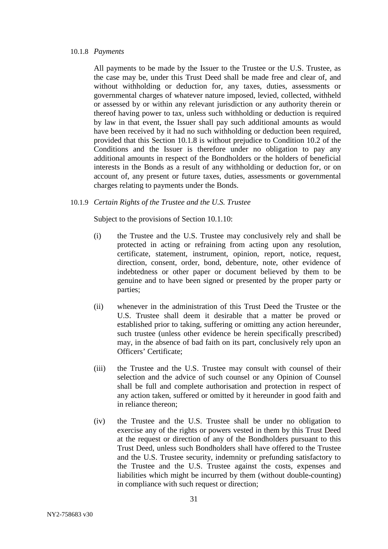#### 10.1.8 *Payments*

All payments to be made by the Issuer to the Trustee or the U.S. Trustee, as the case may be, under this Trust Deed shall be made free and clear of, and without withholding or deduction for, any taxes, duties, assessments or governmental charges of whatever nature imposed, levied, collected, withheld or assessed by or within any relevant jurisdiction or any authority therein or thereof having power to tax, unless such withholding or deduction is required by law in that event, the Issuer shall pay such additional amounts as would have been received by it had no such withholding or deduction been required, provided that this Section 10.1.8 is without prejudice to Condition 10.2 of the Conditions and the Issuer is therefore under no obligation to pay any additional amounts in respect of the Bondholders or the holders of beneficial interests in the Bonds as a result of any withholding or deduction for, or on account of, any present or future taxes, duties, assessments or governmental charges relating to payments under the Bonds.

#### 10.1.9 *Certain Rights of the Trustee and the U.S. Trustee*

Subject to the provisions of Section 10.1.10:

- (i) the Trustee and the U.S. Trustee may conclusively rely and shall be protected in acting or refraining from acting upon any resolution, certificate, statement, instrument, opinion, report, notice, request, direction, consent, order, bond, debenture, note, other evidence of indebtedness or other paper or document believed by them to be genuine and to have been signed or presented by the proper party or parties;
- (ii) whenever in the administration of this Trust Deed the Trustee or the U.S. Trustee shall deem it desirable that a matter be proved or established prior to taking, suffering or omitting any action hereunder, such trustee (unless other evidence be herein specifically prescribed) may, in the absence of bad faith on its part, conclusively rely upon an Officers' Certificate;
- (iii) the Trustee and the U.S. Trustee may consult with counsel of their selection and the advice of such counsel or any Opinion of Counsel shall be full and complete authorisation and protection in respect of any action taken, suffered or omitted by it hereunder in good faith and in reliance thereon;
- (iv) the Trustee and the U.S. Trustee shall be under no obligation to exercise any of the rights or powers vested in them by this Trust Deed at the request or direction of any of the Bondholders pursuant to this Trust Deed, unless such Bondholders shall have offered to the Trustee and the U.S. Trustee security, indemnity or prefunding satisfactory to the Trustee and the U.S. Trustee against the costs, expenses and liabilities which might be incurred by them (without double-counting) in compliance with such request or direction;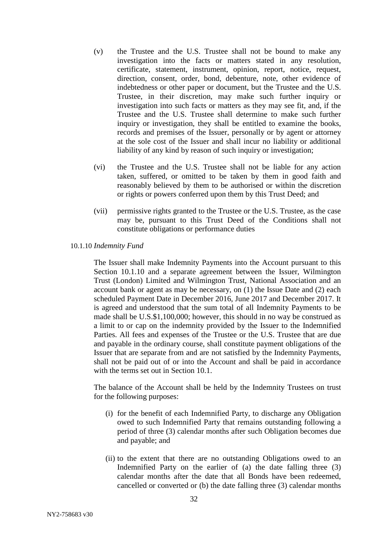- (v) the Trustee and the U.S. Trustee shall not be bound to make any investigation into the facts or matters stated in any resolution, certificate, statement, instrument, opinion, report, notice, request, direction, consent, order, bond, debenture, note, other evidence of indebtedness or other paper or document, but the Trustee and the U.S. Trustee, in their discretion, may make such further inquiry or investigation into such facts or matters as they may see fit, and, if the Trustee and the U.S. Trustee shall determine to make such further inquiry or investigation, they shall be entitled to examine the books, records and premises of the Issuer, personally or by agent or attorney at the sole cost of the Issuer and shall incur no liability or additional liability of any kind by reason of such inquiry or investigation;
- (vi) the Trustee and the U.S. Trustee shall not be liable for any action taken, suffered, or omitted to be taken by them in good faith and reasonably believed by them to be authorised or within the discretion or rights or powers conferred upon them by this Trust Deed; and
- (vii) permissive rights granted to the Trustee or the U.S. Trustee, as the case may be, pursuant to this Trust Deed of the Conditions shall not constitute obligations or performance duties
- 10.1.10 *Indemnity Fund*

The Issuer shall make Indemnity Payments into the Account pursuant to this Section 10.1.10 and a separate agreement between the Issuer, Wilmington Trust (London) Limited and Wilmington Trust, National Association and an account bank or agent as may be necessary, on (1) the Issue Date and (2) each scheduled Payment Date in December 2016, June 2017 and December 2017. It is agreed and understood that the sum total of all Indemnity Payments to be made shall be U.S.\$1,100,000; however, this should in no way be construed as a limit to or cap on the indemnity provided by the Issuer to the Indemnified Parties. All fees and expenses of the Trustee or the U.S. Trustee that are due and payable in the ordinary course, shall constitute payment obligations of the Issuer that are separate from and are not satisfied by the Indemnity Payments, shall not be paid out of or into the Account and shall be paid in accordance with the terms set out in Section 10.1.

The balance of the Account shall be held by the Indemnity Trustees on trust for the following purposes:

- (i) for the benefit of each Indemnified Party, to discharge any Obligation owed to such Indemnified Party that remains outstanding following a period of three (3) calendar months after such Obligation becomes due and payable; and
- (ii) to the extent that there are no outstanding Obligations owed to an Indemnified Party on the earlier of (a) the date falling three (3) calendar months after the date that all Bonds have been redeemed, cancelled or converted or (b) the date falling three (3) calendar months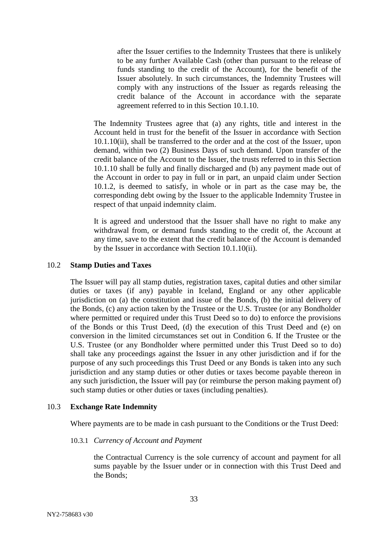after the Issuer certifies to the Indemnity Trustees that there is unlikely to be any further Available Cash (other than pursuant to the release of funds standing to the credit of the Account), for the benefit of the Issuer absolutely. In such circumstances, the Indemnity Trustees will comply with any instructions of the Issuer as regards releasing the credit balance of the Account in accordance with the separate agreement referred to in this Section 10.1.10.

The Indemnity Trustees agree that (a) any rights, title and interest in the Account held in trust for the benefit of the Issuer in accordance with Section 10.1.10(ii), shall be transferred to the order and at the cost of the Issuer, upon demand, within two (2) Business Days of such demand. Upon transfer of the credit balance of the Account to the Issuer, the trusts referred to in this Section 10.1.10 shall be fully and finally discharged and (b) any payment made out of the Account in order to pay in full or in part, an unpaid claim under Section 10.1.2, is deemed to satisfy, in whole or in part as the case may be, the corresponding debt owing by the Issuer to the applicable Indemnity Trustee in respect of that unpaid indemnity claim.

It is agreed and understood that the Issuer shall have no right to make any withdrawal from, or demand funds standing to the credit of, the Account at any time, save to the extent that the credit balance of the Account is demanded by the Issuer in accordance with Section 10.1.10(ii).

# 10.2 **Stamp Duties and Taxes**

The Issuer will pay all stamp duties, registration taxes, capital duties and other similar duties or taxes (if any) payable in Iceland, England or any other applicable jurisdiction on (a) the constitution and issue of the Bonds, (b) the initial delivery of the Bonds, (c) any action taken by the Trustee or the U.S. Trustee (or any Bondholder where permitted or required under this Trust Deed so to do) to enforce the provisions of the Bonds or this Trust Deed, (d) the execution of this Trust Deed and (e) on conversion in the limited circumstances set out in Condition 6. If the Trustee or the U.S. Trustee (or any Bondholder where permitted under this Trust Deed so to do) shall take any proceedings against the Issuer in any other jurisdiction and if for the purpose of any such proceedings this Trust Deed or any Bonds is taken into any such jurisdiction and any stamp duties or other duties or taxes become payable thereon in any such jurisdiction, the Issuer will pay (or reimburse the person making payment of) such stamp duties or other duties or taxes (including penalties).

# 10.3 **Exchange Rate Indemnity**

Where payments are to be made in cash pursuant to the Conditions or the Trust Deed:

### 10.3.1 *Currency of Account and Payment*

the Contractual Currency is the sole currency of account and payment for all sums payable by the Issuer under or in connection with this Trust Deed and the Bonds;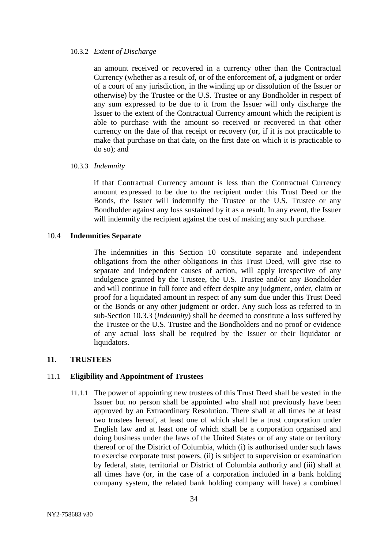#### 10.3.2 *Extent of Discharge*

an amount received or recovered in a currency other than the Contractual Currency (whether as a result of, or of the enforcement of, a judgment or order of a court of any jurisdiction, in the winding up or dissolution of the Issuer or otherwise) by the Trustee or the U.S. Trustee or any Bondholder in respect of any sum expressed to be due to it from the Issuer will only discharge the Issuer to the extent of the Contractual Currency amount which the recipient is able to purchase with the amount so received or recovered in that other currency on the date of that receipt or recovery (or, if it is not practicable to make that purchase on that date, on the first date on which it is practicable to do so); and

### 10.3.3 *Indemnity*

if that Contractual Currency amount is less than the Contractual Currency amount expressed to be due to the recipient under this Trust Deed or the Bonds, the Issuer will indemnify the Trustee or the U.S. Trustee or any Bondholder against any loss sustained by it as a result. In any event, the Issuer will indemnify the recipient against the cost of making any such purchase.

### 10.4 **Indemnities Separate**

The indemnities in this Section [10](#page-30-0) constitute separate and independent obligations from the other obligations in this Trust Deed, will give rise to separate and independent causes of action, will apply irrespective of any indulgence granted by the Trustee, the U.S. Trustee and/or any Bondholder and will continue in full force and effect despite any judgment, order, claim or proof for a liquidated amount in respect of any sum due under this Trust Deed or the Bonds or any other judgment or order. Any such loss as referred to in sub-Section 10.3.3 (*Indemnity*) shall be deemed to constitute a loss suffered by the Trustee or the U.S. Trustee and the Bondholders and no proof or evidence of any actual loss shall be required by the Issuer or their liquidator or liquidators.

# <span id="page-35-0"></span>**11. TRUSTEES**

# <span id="page-35-1"></span>11.1 **Eligibility and Appointment of Trustees**

11.1.1 The power of appointing new trustees of this Trust Deed shall be vested in the Issuer but no person shall be appointed who shall not previously have been approved by an Extraordinary Resolution. There shall at all times be at least two trustees hereof, at least one of which shall be a trust corporation under English law and at least one of which shall be a corporation organised and doing business under the laws of the United States or of any state or territory thereof or of the District of Columbia, which (i) is authorised under such laws to exercise corporate trust powers, (ii) is subject to supervision or examination by federal, state, territorial or District of Columbia authority and (iii) shall at all times have (or, in the case of a corporation included in a bank holding company system, the related bank holding company will have) a combined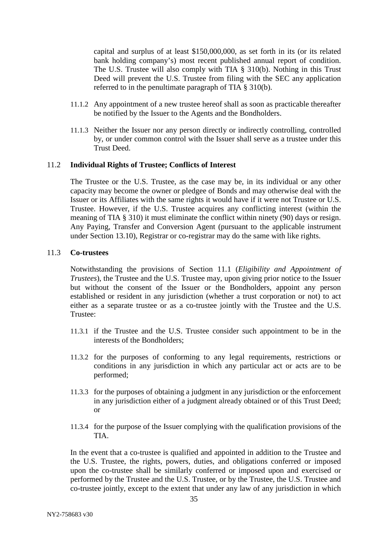capital and surplus of at least \$150,000,000, as set forth in its (or its related bank holding company's) most recent published annual report of condition. The U.S. Trustee will also comply with TIA § 310(b). Nothing in this Trust Deed will prevent the U.S. Trustee from filing with the SEC any application referred to in the penultimate paragraph of TIA § 310(b).

- 11.1.2 Any appointment of a new trustee hereof shall as soon as practicable thereafter be notified by the Issuer to the Agents and the Bondholders.
- 11.1.3 Neither the Issuer nor any person directly or indirectly controlling, controlled by, or under common control with the Issuer shall serve as a trustee under this Trust Deed.

#### 11.2 **Individual Rights of Trustee; Conflicts of Interest**

The Trustee or the U.S. Trustee, as the case may be, in its individual or any other capacity may become the owner or pledgee of Bonds and may otherwise deal with the Issuer or its Affiliates with the same rights it would have if it were not Trustee or U.S. Trustee. However, if the U.S. Trustee acquires any conflicting interest (within the meaning of TIA § 310) it must eliminate the conflict within ninety (90) days or resign. Any Paying, Transfer and Conversion Agent (pursuant to the applicable instrument under Section 13.10), Registrar or co-registrar may do the same with like rights.

#### 11.3 **Co-trustees**

Notwithstanding the provisions of Section [11.1](#page-35-0) (*Eligibility and Appointment of Trustees*), the Trustee and the U.S. Trustee may, upon giving prior notice to the Issuer but without the consent of the Issuer or the Bondholders, appoint any person established or resident in any jurisdiction (whether a trust corporation or not) to act either as a separate trustee or as a co-trustee jointly with the Trustee and the U.S. Trustee:

- 11.3.1 if the Trustee and the U.S. Trustee consider such appointment to be in the interests of the Bondholders;
- 11.3.2 for the purposes of conforming to any legal requirements, restrictions or conditions in any jurisdiction in which any particular act or acts are to be performed;
- 11.3.3 for the purposes of obtaining a judgment in any jurisdiction or the enforcement in any jurisdiction either of a judgment already obtained or of this Trust Deed; or
- 11.3.4 for the purpose of the Issuer complying with the qualification provisions of the TIA.

In the event that a co-trustee is qualified and appointed in addition to the Trustee and the U.S. Trustee, the rights, powers, duties, and obligations conferred or imposed upon the co-trustee shall be similarly conferred or imposed upon and exercised or performed by the Trustee and the U.S. Trustee, or by the Trustee, the U.S. Trustee and co-trustee jointly, except to the extent that under any law of any jurisdiction in which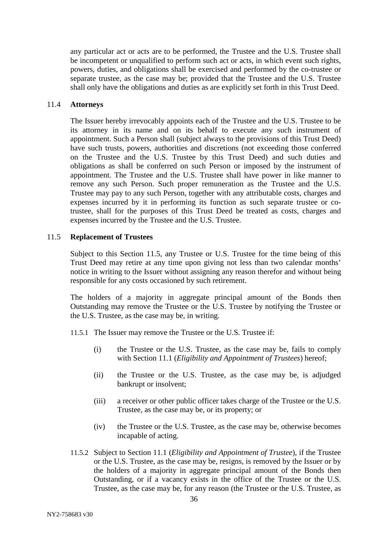any particular act or acts are to be performed, the Trustee and the U.S. Trustee shall be incompetent or unqualified to perform such act or acts, in which event such rights, powers, duties, and obligations shall be exercised and performed by the co-trustee or separate trustee, as the case may be; provided that the Trustee and the U.S. Trustee shall only have the obligations and duties as are explicitly set forth in this Trust Deed.

#### 11.4 **Attorneys**

The Issuer hereby irrevocably appoints each of the Trustee and the U.S. Trustee to be its attorney in its name and on its behalf to execute any such instrument of appointment. Such a Person shall (subject always to the provisions of this Trust Deed) have such trusts, powers, authorities and discretions (not exceeding those conferred on the Trustee and the U.S. Trustee by this Trust Deed) and such duties and obligations as shall be conferred on such Person or imposed by the instrument of appointment. The Trustee and the U.S. Trustee shall have power in like manner to remove any such Person. Such proper remuneration as the Trustee and the U.S. Trustee may pay to any such Person, together with any attributable costs, charges and expenses incurred by it in performing its function as such separate trustee or cotrustee, shall for the purposes of this Trust Deed be treated as costs, charges and expenses incurred by the Trustee and the U.S. Trustee.

# <span id="page-37-0"></span>11.5 **Replacement of Trustees**

Subject to this Section [11.5,](#page-37-0) any Trustee or U.S. Trustee for the time being of this Trust Deed may retire at any time upon giving not less than two calendar months' notice in writing to the Issuer without assigning any reason therefor and without being responsible for any costs occasioned by such retirement.

The holders of a majority in aggregate principal amount of the Bonds then Outstanding may remove the Trustee or the U.S. Trustee by notifying the Trustee or the U.S. Trustee, as the case may be, in writing.

- 11.5.1 The Issuer may remove the Trustee or the U.S. Trustee if:
	- (i) the Trustee or the U.S. Trustee, as the case may be, fails to comply with Section [11.1](#page-35-0) (*Eligibility and Appointment of Trustees*) hereof;
	- (ii) the Trustee or the U.S. Trustee, as the case may be, is adjudged bankrupt or insolvent;
	- (iii) a receiver or other public officer takes charge of the Trustee or the U.S. Trustee, as the case may be, or its property; or
	- (iv) the Trustee or the U.S. Trustee, as the case may be, otherwise becomes incapable of acting.
- 11.5.2 Subject to Section [11.1](#page-35-0) (*Eligibility and Appointment of Trustee*), if the Trustee or the U.S. Trustee, as the case may be, resigns, is removed by the Issuer or by the holders of a majority in aggregate principal amount of the Bonds then Outstanding, or if a vacancy exists in the office of the Trustee or the U.S. Trustee, as the case may be, for any reason (the Trustee or the U.S. Trustee, as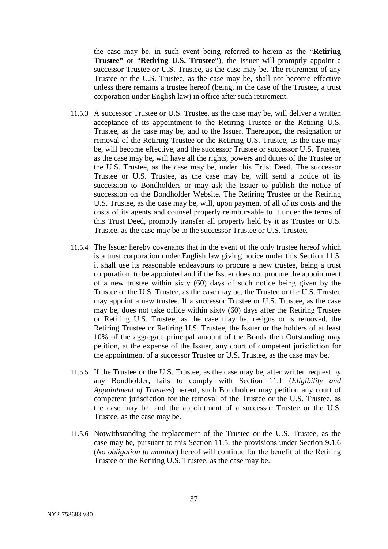the case may be, in such event being referred to herein as the "**Retiring Trustee"** or "**Retiring U.S. Trustee**"), the Issuer will promptly appoint a successor Trustee or U.S. Trustee, as the case may be. The retirement of any Trustee or the U.S. Trustee, as the case may be, shall not become effective unless there remains a trustee hereof (being, in the case of the Trustee, a trust corporation under English law) in office after such retirement.

- 11.5.3 A successor Trustee or U.S. Trustee, as the case may be, will deliver a written acceptance of its appointment to the Retiring Trustee or the Retiring U.S. Trustee, as the case may be, and to the Issuer. Thereupon, the resignation or removal of the Retiring Trustee or the Retiring U.S. Trustee, as the case may be, will become effective, and the successor Trustee or successor U.S. Trustee, as the case may be, will have all the rights, powers and duties of the Trustee or the U.S. Trustee, as the case may be, under this Trust Deed. The successor Trustee or U.S. Trustee, as the case may be, will send a notice of its succession to Bondholders or may ask the Issuer to publish the notice of succession on the Bondholder Website. The Retiring Trustee or the Retiring U.S. Trustee, as the case may be, will, upon payment of all of its costs and the costs of its agents and counsel properly reimbursable to it under the terms of this Trust Deed, promptly transfer all property held by it as Trustee or U.S. Trustee, as the case may be to the successor Trustee or U.S. Trustee.
- 11.5.4 The Issuer hereby covenants that in the event of the only trustee hereof which is a trust corporation under English law giving notice under this Section [11.5,](#page-37-0) it shall use its reasonable endeavours to procure a new trustee, being a trust corporation, to be appointed and if the Issuer does not procure the appointment of a new trustee within sixty (60) days of such notice being given by the Trustee or the U.S. Trustee, as the case may be, the Trustee or the U.S. Trustee may appoint a new trustee. If a successor Trustee or U.S. Trustee, as the case may be, does not take office within sixty (60) days after the Retiring Trustee or Retiring U.S. Trustee, as the case may be, resigns or is removed, the Retiring Trustee or Retiring U.S. Trustee, the Issuer or the holders of at least 10% of the aggregate principal amount of the Bonds then Outstanding may petition, at the expense of the Issuer, any court of competent jurisdiction for the appointment of a successor Trustee or U.S. Trustee, as the case may be.
- 11.5.5 If the Trustee or the U.S. Trustee, as the case may be, after written request by any Bondholder, fails to comply with Section [11.1](#page-35-0) (*Eligibility and Appointment of Trustees*) hereof, such Bondholder may petition any court of competent jurisdiction for the removal of the Trustee or the U.S. Trustee, as the case may be, and the appointment of a successor Trustee or the U.S. Trustee, as the case may be.
- 11.5.6 Notwithstanding the replacement of the Trustee or the U.S. Trustee, as the case may be, pursuant to this Section [11.5,](#page-37-0) the provisions under Section [9.1.6](#page-23-0) (*No obligation to monitor*) hereof will continue for the benefit of the Retiring Trustee or the Retiring U.S. Trustee, as the case may be.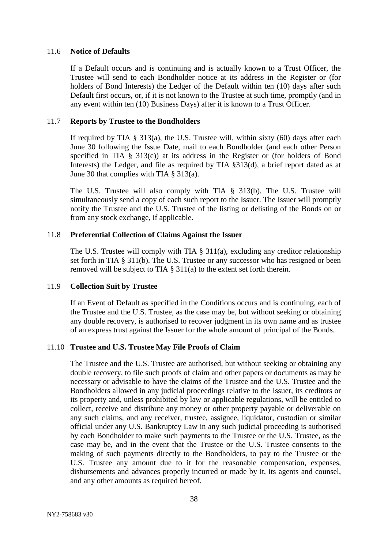#### 11.6 **Notice of Defaults**

If a Default occurs and is continuing and is actually known to a Trust Officer, the Trustee will send to each Bondholder notice at its address in the Register or (for holders of Bond Interests) the Ledger of the Default within ten (10) days after such Default first occurs, or, if it is not known to the Trustee at such time, promptly (and in any event within ten (10) Business Days) after it is known to a Trust Officer.

#### 11.7 **Reports by Trustee to the Bondholders**

If required by TIA  $\S$  313(a), the U.S. Trustee will, within sixty (60) days after each June 30 following the Issue Date, mail to each Bondholder (and each other Person specified in TIA § 313(c)) at its address in the Register or (for holders of Bond Interests) the Ledger, and file as required by TIA §313(d), a brief report dated as at June 30 that complies with TIA § 313(a).

The U.S. Trustee will also comply with TIA § 313(b). The U.S. Trustee will simultaneously send a copy of each such report to the Issuer. The Issuer will promptly notify the Trustee and the U.S. Trustee of the listing or delisting of the Bonds on or from any stock exchange, if applicable.

#### 11.8 **Preferential Collection of Claims Against the Issuer**

The U.S. Trustee will comply with TIA § 311(a), excluding any creditor relationship set forth in TIA § 311(b). The U.S. Trustee or any successor who has resigned or been removed will be subject to TIA § 311(a) to the extent set forth therein.

#### 11.9 **Collection Suit by Trustee**

If an Event of Default as specified in the Conditions occurs and is continuing, each of the Trustee and the U.S. Trustee, as the case may be, but without seeking or obtaining any double recovery, is authorised to recover judgment in its own name and as trustee of an express trust against the Issuer for the whole amount of principal of the Bonds.

# 11.10 **Trustee and U.S. Trustee May File Proofs of Claim**

The Trustee and the U.S. Trustee are authorised, but without seeking or obtaining any double recovery, to file such proofs of claim and other papers or documents as may be necessary or advisable to have the claims of the Trustee and the U.S. Trustee and the Bondholders allowed in any judicial proceedings relative to the Issuer, its creditors or its property and, unless prohibited by law or applicable regulations, will be entitled to collect, receive and distribute any money or other property payable or deliverable on any such claims, and any receiver, trustee, assignee, liquidator, custodian or similar official under any U.S. Bankruptcy Law in any such judicial proceeding is authorised by each Bondholder to make such payments to the Trustee or the U.S. Trustee, as the case may be, and in the event that the Trustee or the U.S. Trustee consents to the making of such payments directly to the Bondholders, to pay to the Trustee or the U.S. Trustee any amount due to it for the reasonable compensation, expenses, disbursements and advances properly incurred or made by it, its agents and counsel, and any other amounts as required hereof.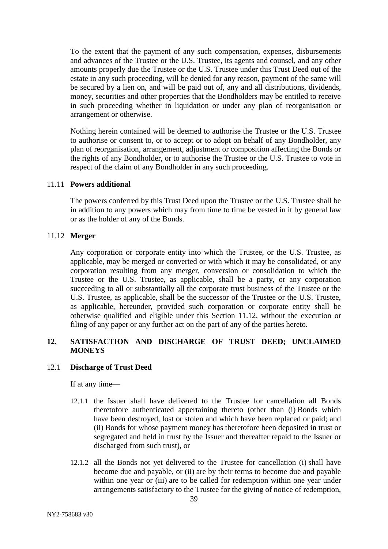To the extent that the payment of any such compensation, expenses, disbursements and advances of the Trustee or the U.S. Trustee, its agents and counsel, and any other amounts properly due the Trustee or the U.S. Trustee under this Trust Deed out of the estate in any such proceeding, will be denied for any reason, payment of the same will be secured by a lien on, and will be paid out of, any and all distributions, dividends, money, securities and other properties that the Bondholders may be entitled to receive in such proceeding whether in liquidation or under any plan of reorganisation or arrangement or otherwise.

Nothing herein contained will be deemed to authorise the Trustee or the U.S. Trustee to authorise or consent to, or to accept or to adopt on behalf of any Bondholder, any plan of reorganisation, arrangement, adjustment or composition affecting the Bonds or the rights of any Bondholder, or to authorise the Trustee or the U.S. Trustee to vote in respect of the claim of any Bondholder in any such proceeding.

#### 11.11 **Powers additional**

The powers conferred by this Trust Deed upon the Trustee or the U.S. Trustee shall be in addition to any powers which may from time to time be vested in it by general law or as the holder of any of the Bonds.

# <span id="page-40-0"></span>11.12 **Merger**

Any corporation or corporate entity into which the Trustee, or the U.S. Trustee, as applicable, may be merged or converted or with which it may be consolidated, or any corporation resulting from any merger, conversion or consolidation to which the Trustee or the U.S. Trustee, as applicable, shall be a party, or any corporation succeeding to all or substantially all the corporate trust business of the Trustee or the U.S. Trustee, as applicable, shall be the successor of the Trustee or the U.S. Trustee, as applicable, hereunder, provided such corporation or corporate entity shall be otherwise qualified and eligible under this Section [11.12,](#page-40-0) without the execution or filing of any paper or any further act on the part of any of the parties hereto.

# **12. SATISFACTION AND DISCHARGE OF TRUST DEED; UNCLAIMED MONEYS**

#### 12.1 **Discharge of Trust Deed**

If at any time—

- 12.1.1 the Issuer shall have delivered to the Trustee for cancellation all Bonds theretofore authenticated appertaining thereto (other than (i) Bonds which have been destroyed, lost or stolen and which have been replaced or paid; and (ii) Bonds for whose payment money has theretofore been deposited in trust or segregated and held in trust by the Issuer and thereafter repaid to the Issuer or discharged from such trust), or
- 12.1.2 all the Bonds not yet delivered to the Trustee for cancellation (i) shall have become due and payable, or (ii) are by their terms to become due and payable within one year or (iii) are to be called for redemption within one year under arrangements satisfactory to the Trustee for the giving of notice of redemption,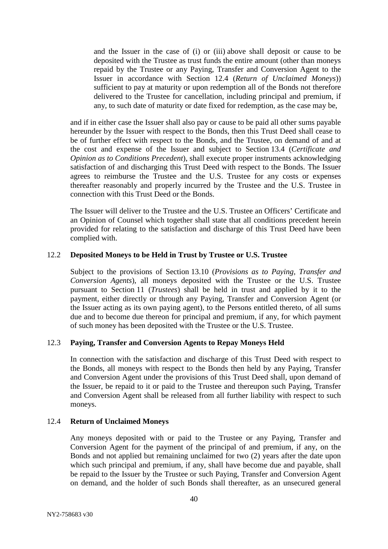and the Issuer in the case of (i) or (iii) above shall deposit or cause to be deposited with the Trustee as trust funds the entire amount (other than moneys repaid by the Trustee or any Paying, Transfer and Conversion Agent to the Issuer in accordance with Section 12.4 (*Return of Unclaimed Moneys*)) sufficient to pay at maturity or upon redemption all of the Bonds not therefore delivered to the Trustee for cancellation, including principal and premium, if any, to such date of maturity or date fixed for redemption, as the case may be,

and if in either case the Issuer shall also pay or cause to be paid all other sums payable hereunder by the Issuer with respect to the Bonds, then this Trust Deed shall cease to be of further effect with respect to the Bonds, and the Trustee, on demand of and at the cost and expense of the Issuer and subject to Section [13.4](#page-43-0) (*Certificate and Opinion as to Conditions Precedent*), shall execute proper instruments acknowledging satisfaction of and discharging this Trust Deed with respect to the Bonds. The Issuer agrees to reimburse the Trustee and the U.S. Trustee for any costs or expenses thereafter reasonably and properly incurred by the Trustee and the U.S. Trustee in connection with this Trust Deed or the Bonds.

The Issuer will deliver to the Trustee and the U.S. Trustee an Officers' Certificate and an Opinion of Counsel which together shall state that all conditions precedent herein provided for relating to the satisfaction and discharge of this Trust Deed have been complied with.

#### 12.2 **Deposited Moneys to be Held in Trust by Trustee or U.S. Trustee**

Subject to the provisions of Section [13.10](#page-44-0) (*Provisions as to Paying, Transfer and Conversion Agents*), all moneys deposited with the Trustee or the U.S. Trustee pursuant to Section [11](#page-35-1) (*Trustees*) shall be held in trust and applied by it to the payment, either directly or through any Paying, Transfer and Conversion Agent (or the Issuer acting as its own paying agent), to the Persons entitled thereto, of all sums due and to become due thereon for principal and premium, if any, for which payment of such money has been deposited with the Trustee or the U.S. Trustee.

# <span id="page-41-0"></span>12.3 **Paying, Transfer and Conversion Agents to Repay Moneys Held**

In connection with the satisfaction and discharge of this Trust Deed with respect to the Bonds, all moneys with respect to the Bonds then held by any Paying, Transfer and Conversion Agent under the provisions of this Trust Deed shall, upon demand of the Issuer, be repaid to it or paid to the Trustee and thereupon such Paying, Transfer and Conversion Agent shall be released from all further liability with respect to such moneys.

# <span id="page-41-1"></span>12.4 **Return of Unclaimed Moneys**

Any moneys deposited with or paid to the Trustee or any Paying, Transfer and Conversion Agent for the payment of the principal of and premium, if any, on the Bonds and not applied but remaining unclaimed for two (2) years after the date upon which such principal and premium, if any, shall have become due and payable, shall be repaid to the Issuer by the Trustee or such Paying, Transfer and Conversion Agent on demand, and the holder of such Bonds shall thereafter, as an unsecured general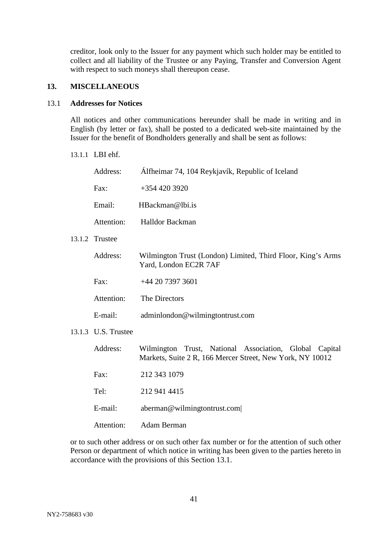creditor, look only to the Issuer for any payment which such holder may be entitled to collect and all liability of the Trustee or any Paying, Transfer and Conversion Agent with respect to such moneys shall thereupon cease.

# **13. MISCELLANEOUS**

#### <span id="page-42-0"></span>13.1 **Addresses for Notices**

All notices and other communications hereunder shall be made in writing and in English (by letter or fax), shall be posted to a dedicated web-site maintained by the Issuer for the benefit of Bondholders generally and shall be sent as follows:

#### 13.1.1 LBI ehf.

| Address:            | Álfheimar 74, 104 Reykjavík, Republic of Iceland                                                                    |
|---------------------|---------------------------------------------------------------------------------------------------------------------|
| Fax:                | $+3544203920$                                                                                                       |
| Email:              | HBackman@lbi.is                                                                                                     |
| Attention:          | <b>Halldor Backman</b>                                                                                              |
| 13.1.2 Trustee      |                                                                                                                     |
| Address:            | Wilmington Trust (London) Limited, Third Floor, King's Arms<br>Yard, London EC2R 7AF                                |
| Fax:                | +44 20 7397 3601                                                                                                    |
| Attention:          | The Directors                                                                                                       |
| E-mail:             | adminlondon@wilmingtontrust.com                                                                                     |
| 13.1.3 U.S. Trustee |                                                                                                                     |
| Address:            | Wilmington Trust, National Association, Global Capital<br>Markets, Suite 2 R, 166 Mercer Street, New York, NY 10012 |
| Fax:                | 212 343 1079                                                                                                        |
| Tel:                | 212 941 4415                                                                                                        |
| E-mail:             | aberman@wilmingtontrust.com                                                                                         |
| Attention:          | Adam Berman                                                                                                         |

or to such other address or on such other fax number or for the attention of such other Person or department of which notice in writing has been given to the parties hereto in accordance with the provisions of this Section [13.1.](#page-42-0)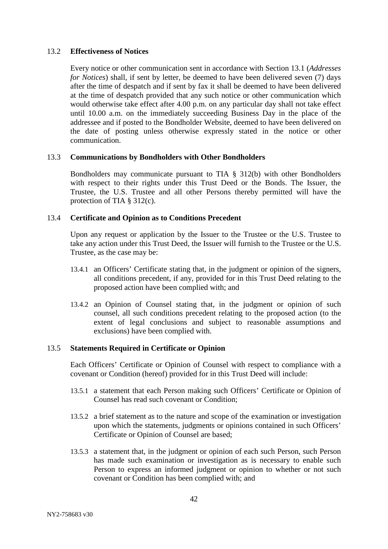#### 13.2 **Effectiveness of Notices**

Every notice or other communication sent in accordance with Section [13.1](#page-42-0) (*Addresses for Notices*) shall, if sent by letter, be deemed to have been delivered seven (7) days after the time of despatch and if sent by fax it shall be deemed to have been delivered at the time of despatch provided that any such notice or other communication which would otherwise take effect after 4.00 p.m. on any particular day shall not take effect until 10.00 a.m. on the immediately succeeding Business Day in the place of the addressee and if posted to the Bondholder Website, deemed to have been delivered on the date of posting unless otherwise expressly stated in the notice or other communication.

#### 13.3 **Communications by Bondholders with Other Bondholders**

Bondholders may communicate pursuant to TIA § 312(b) with other Bondholders with respect to their rights under this Trust Deed or the Bonds. The Issuer, the Trustee, the U.S. Trustee and all other Persons thereby permitted will have the protection of TIA § 312(c).

# <span id="page-43-0"></span>13.4 **Certificate and Opinion as to Conditions Precedent**

Upon any request or application by the Issuer to the Trustee or the U.S. Trustee to take any action under this Trust Deed, the Issuer will furnish to the Trustee or the U.S. Trustee, as the case may be:

- 13.4.1 an Officers' Certificate stating that, in the judgment or opinion of the signers, all conditions precedent, if any, provided for in this Trust Deed relating to the proposed action have been complied with; and
- 13.4.2 an Opinion of Counsel stating that, in the judgment or opinion of such counsel, all such conditions precedent relating to the proposed action (to the extent of legal conclusions and subject to reasonable assumptions and exclusions) have been complied with.

# 13.5 **Statements Required in Certificate or Opinion**

Each Officers' Certificate or Opinion of Counsel with respect to compliance with a covenant or Condition (hereof) provided for in this Trust Deed will include:

- 13.5.1 a statement that each Person making such Officers' Certificate or Opinion of Counsel has read such covenant or Condition;
- 13.5.2 a brief statement as to the nature and scope of the examination or investigation upon which the statements, judgments or opinions contained in such Officers' Certificate or Opinion of Counsel are based;
- 13.5.3 a statement that, in the judgment or opinion of each such Person, such Person has made such examination or investigation as is necessary to enable such Person to express an informed judgment or opinion to whether or not such covenant or Condition has been complied with; and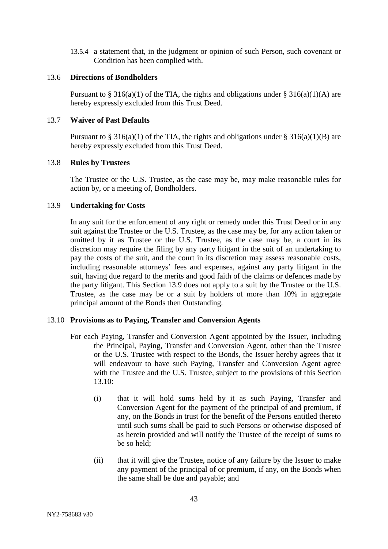13.5.4 a statement that, in the judgment or opinion of such Person, such covenant or Condition has been complied with.

#### 13.6 **Directions of Bondholders**

Pursuant to § 316(a)(1) of the TIA, the rights and obligations under § 316(a)(1)(A) are hereby expressly excluded from this Trust Deed.

#### 13.7 **Waiver of Past Defaults**

Pursuant to § 316(a)(1) of the TIA, the rights and obligations under § 316(a)(1)(B) are hereby expressly excluded from this Trust Deed.

#### 13.8 **Rules by Trustees**

The Trustee or the U.S. Trustee, as the case may be, may make reasonable rules for action by, or a meeting of, Bondholders.

# <span id="page-44-1"></span>13.9 **Undertaking for Costs**

In any suit for the enforcement of any right or remedy under this Trust Deed or in any suit against the Trustee or the U.S. Trustee, as the case may be, for any action taken or omitted by it as Trustee or the U.S. Trustee, as the case may be, a court in its discretion may require the filing by any party litigant in the suit of an undertaking to pay the costs of the suit, and the court in its discretion may assess reasonable costs, including reasonable attorneys' fees and expenses, against any party litigant in the suit, having due regard to the merits and good faith of the claims or defences made by the party litigant. This Section [13.9](#page-44-1) does not apply to a suit by the Trustee or the U.S. Trustee, as the case may be or a suit by holders of more than 10% in aggregate principal amount of the Bonds then Outstanding.

#### <span id="page-44-0"></span>13.10 **Provisions as to Paying, Transfer and Conversion Agents**

- For each Paying, Transfer and Conversion Agent appointed by the Issuer, including the Principal, Paying, Transfer and Conversion Agent, other than the Trustee or the U.S. Trustee with respect to the Bonds, the Issuer hereby agrees that it will endeavour to have such Paying, Transfer and Conversion Agent agree with the Trustee and the U.S. Trustee, subject to the provisions of this Section [13.10:](#page-44-0)
	- (i) that it will hold sums held by it as such Paying, Transfer and Conversion Agent for the payment of the principal of and premium, if any, on the Bonds in trust for the benefit of the Persons entitled thereto until such sums shall be paid to such Persons or otherwise disposed of as herein provided and will notify the Trustee of the receipt of sums to be so held;
	- (ii) that it will give the Trustee, notice of any failure by the Issuer to make any payment of the principal of or premium, if any, on the Bonds when the same shall be due and payable; and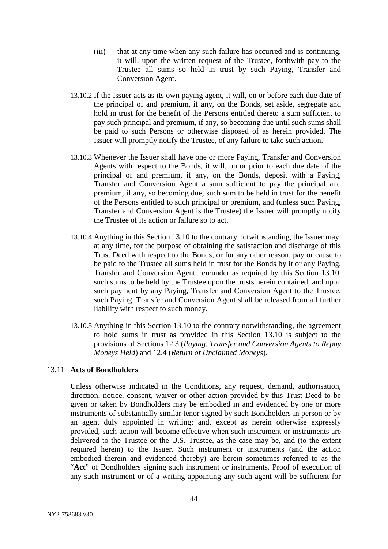- (iii) that at any time when any such failure has occurred and is continuing, it will, upon the written request of the Trustee, forthwith pay to the Trustee all sums so held in trust by such Paying, Transfer and Conversion Agent.
- 13.10.2 If the Issuer acts as its own paying agent, it will, on or before each due date of the principal of and premium, if any, on the Bonds, set aside, segregate and hold in trust for the benefit of the Persons entitled thereto a sum sufficient to pay such principal and premium, if any, so becoming due until such sums shall be paid to such Persons or otherwise disposed of as herein provided. The Issuer will promptly notify the Trustee, of any failure to take such action.
- 13.10.3 Whenever the Issuer shall have one or more Paying, Transfer and Conversion Agents with respect to the Bonds, it will, on or prior to each due date of the principal of and premium, if any, on the Bonds, deposit with a Paying, Transfer and Conversion Agent a sum sufficient to pay the principal and premium, if any, so becoming due, such sum to be held in trust for the benefit of the Persons entitled to such principal or premium, and (unless such Paying, Transfer and Conversion Agent is the Trustee) the Issuer will promptly notify the Trustee of its action or failure so to act.
- 13.10.4 Anything in this Section [13.10](#page-44-0) to the contrary notwithstanding, the Issuer may, at any time, for the purpose of obtaining the satisfaction and discharge of this Trust Deed with respect to the Bonds, or for any other reason, pay or cause to be paid to the Trustee all sums held in trust for the Bonds by it or any Paying, Transfer and Conversion Agent hereunder as required by this Section [13.10,](#page-44-0) such sums to be held by the Trustee upon the trusts herein contained, and upon such payment by any Paying, Transfer and Conversion Agent to the Trustee, such Paying, Transfer and Conversion Agent shall be released from all further liability with respect to such money.
- 13.10.5 Anything in this Section [13.10](#page-44-0) to the contrary notwithstanding, the agreement to hold sums in trust as provided in this Section [13.10](#page-44-0) is subject to the provisions of Sections [12.3](#page-41-0) (*Paying, Transfer and Conversion Agents to Repay Moneys Held*) and [12.4](#page-41-1) (*Return of Unclaimed Moneys*).

# <span id="page-45-0"></span>13.11 **Acts of Bondholders**

Unless otherwise indicated in the Conditions, any request, demand, authorisation, direction, notice, consent, waiver or other action provided by this Trust Deed to be given or taken by Bondholders may be embodied in and evidenced by one or more instruments of substantially similar tenor signed by such Bondholders in person or by an agent duly appointed in writing; and, except as herein otherwise expressly provided, such action will become effective when such instrument or instruments are delivered to the Trustee or the U.S. Trustee, as the case may be, and (to the extent required herein) to the Issuer. Such instrument or instruments (and the action embodied therein and evidenced thereby) are herein sometimes referred to as the "**Act**" of Bondholders signing such instrument or instruments. Proof of execution of any such instrument or of a writing appointing any such agent will be sufficient for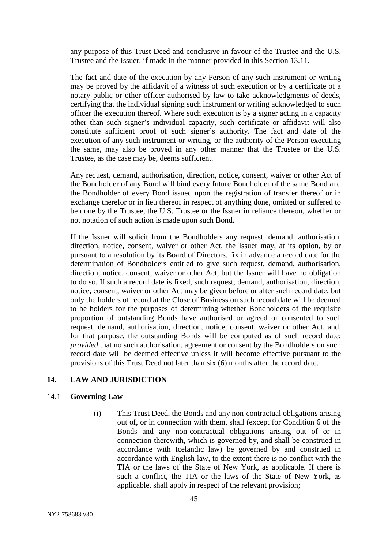any purpose of this Trust Deed and conclusive in favour of the Trustee and the U.S. Trustee and the Issuer, if made in the manner provided in this Section [13.11.](#page-45-0)

The fact and date of the execution by any Person of any such instrument or writing may be proved by the affidavit of a witness of such execution or by a certificate of a notary public or other officer authorised by law to take acknowledgments of deeds, certifying that the individual signing such instrument or writing acknowledged to such officer the execution thereof. Where such execution is by a signer acting in a capacity other than such signer's individual capacity, such certificate or affidavit will also constitute sufficient proof of such signer's authority. The fact and date of the execution of any such instrument or writing, or the authority of the Person executing the same, may also be proved in any other manner that the Trustee or the U.S. Trustee, as the case may be, deems sufficient.

Any request, demand, authorisation, direction, notice, consent, waiver or other Act of the Bondholder of any Bond will bind every future Bondholder of the same Bond and the Bondholder of every Bond issued upon the registration of transfer thereof or in exchange therefor or in lieu thereof in respect of anything done, omitted or suffered to be done by the Trustee, the U.S. Trustee or the Issuer in reliance thereon, whether or not notation of such action is made upon such Bond.

If the Issuer will solicit from the Bondholders any request, demand, authorisation, direction, notice, consent, waiver or other Act, the Issuer may, at its option, by or pursuant to a resolution by its Board of Directors, fix in advance a record date for the determination of Bondholders entitled to give such request, demand, authorisation, direction, notice, consent, waiver or other Act, but the Issuer will have no obligation to do so. If such a record date is fixed, such request, demand, authorisation, direction, notice, consent, waiver or other Act may be given before or after such record date, but only the holders of record at the Close of Business on such record date will be deemed to be holders for the purposes of determining whether Bondholders of the requisite proportion of outstanding Bonds have authorised or agreed or consented to such request, demand, authorisation, direction, notice, consent, waiver or other Act, and, for that purpose, the outstanding Bonds will be computed as of such record date; *provided* that no such authorisation, agreement or consent by the Bondholders on such record date will be deemed effective unless it will become effective pursuant to the provisions of this Trust Deed not later than six (6) months after the record date.

# **14. LAW AND JURISDICTION**

#### 14.1 **Governing Law**

(i) This Trust Deed, the Bonds and any non-contractual obligations arising out of, or in connection with them, shall (except for Condition 6 of the Bonds and any non-contractual obligations arising out of or in connection therewith, which is governed by, and shall be construed in accordance with Icelandic law) be governed by and construed in accordance with English law, to the extent there is no conflict with the TIA or the laws of the State of New York, as applicable. If there is such a conflict, the TIA or the laws of the State of New York, as applicable, shall apply in respect of the relevant provision;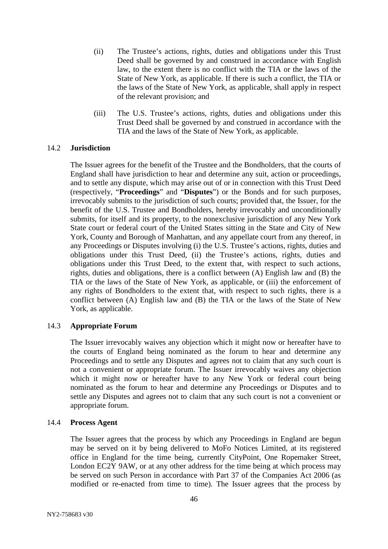- (ii) The Trustee's actions, rights, duties and obligations under this Trust Deed shall be governed by and construed in accordance with English law, to the extent there is no conflict with the TIA or the laws of the State of New York, as applicable. If there is such a conflict, the TIA or the laws of the State of New York, as applicable, shall apply in respect of the relevant provision; and
- (iii) The U.S. Trustee's actions, rights, duties and obligations under this Trust Deed shall be governed by and construed in accordance with the TIA and the laws of the State of New York, as applicable.

#### 14.2 **Jurisdiction**

The Issuer agrees for the benefit of the Trustee and the Bondholders, that the courts of England shall have jurisdiction to hear and determine any suit, action or proceedings, and to settle any dispute, which may arise out of or in connection with this Trust Deed (respectively, "**Proceedings**" and "**Disputes**") or the Bonds and for such purposes, irrevocably submits to the jurisdiction of such courts; provided that, the Issuer, for the benefit of the U.S. Trustee and Bondholders, hereby irrevocably and unconditionally submits, for itself and its property, to the nonexclusive jurisdiction of any New York State court or federal court of the United States sitting in the State and City of New York, County and Borough of Manhattan, and any appellate court from any thereof, in any Proceedings or Disputes involving (i) the U.S. Trustee's actions, rights, duties and obligations under this Trust Deed, (ii) the Trustee's actions, rights, duties and obligations under this Trust Deed, to the extent that, with respect to such actions, rights, duties and obligations, there is a conflict between (A) English law and (B) the TIA or the laws of the State of New York, as applicable, or (iii) the enforcement of any rights of Bondholders to the extent that, with respect to such rights, there is a conflict between (A) English law and (B) the TIA or the laws of the State of New York, as applicable.

# 14.3 **Appropriate Forum**

The Issuer irrevocably waives any objection which it might now or hereafter have to the courts of England being nominated as the forum to hear and determine any Proceedings and to settle any Disputes and agrees not to claim that any such court is not a convenient or appropriate forum. The Issuer irrevocably waives any objection which it might now or hereafter have to any New York or federal court being nominated as the forum to hear and determine any Proceedings or Disputes and to settle any Disputes and agrees not to claim that any such court is not a convenient or appropriate forum.

#### 14.4 **Process Agent**

The Issuer agrees that the process by which any Proceedings in England are begun may be served on it by being delivered to MoFo Notices Limited, at its registered office in England for the time being, currently CityPoint, One Ropemaker Street, London EC2Y 9AW, or at any other address for the time being at which process may be served on such Person in accordance with Part 37 of the Companies Act 2006 (as modified or re-enacted from time to time). The Issuer agrees that the process by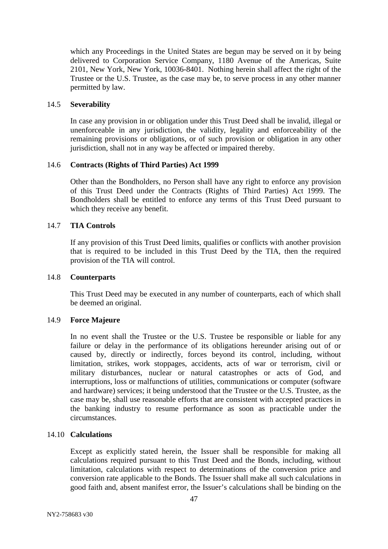which any Proceedings in the United States are begun may be served on it by being delivered to Corporation Service Company, 1180 Avenue of the Americas, Suite 2101, New York, New York, 10036-8401. Nothing herein shall affect the right of the Trustee or the U.S. Trustee, as the case may be, to serve process in any other manner permitted by law.

# 14.5 **Severability**

In case any provision in or obligation under this Trust Deed shall be invalid, illegal or unenforceable in any jurisdiction, the validity, legality and enforceability of the remaining provisions or obligations, or of such provision or obligation in any other jurisdiction, shall not in any way be affected or impaired thereby.

# 14.6 **Contracts (Rights of Third Parties) Act 1999**

Other than the Bondholders, no Person shall have any right to enforce any provision of this Trust Deed under the Contracts (Rights of Third Parties) Act 1999. The Bondholders shall be entitled to enforce any terms of this Trust Deed pursuant to which they receive any benefit.

# 14.7 **TIA Controls**

If any provision of this Trust Deed limits, qualifies or conflicts with another provision that is required to be included in this Trust Deed by the TIA, then the required provision of the TIA will control.

# 14.8 **Counterparts**

This Trust Deed may be executed in any number of counterparts, each of which shall be deemed an original.

# 14.9 **Force Majeure**

In no event shall the Trustee or the U.S. Trustee be responsible or liable for any failure or delay in the performance of its obligations hereunder arising out of or caused by, directly or indirectly, forces beyond its control, including, without limitation, strikes, work stoppages, accidents, acts of war or terrorism, civil or military disturbances, nuclear or natural catastrophes or acts of God, and interruptions, loss or malfunctions of utilities, communications or computer (software and hardware) services; it being understood that the Trustee or the U.S. Trustee, as the case may be, shall use reasonable efforts that are consistent with accepted practices in the banking industry to resume performance as soon as practicable under the circumstances.

# 14.10 **Calculations**

Except as explicitly stated herein, the Issuer shall be responsible for making all calculations required pursuant to this Trust Deed and the Bonds, including, without limitation, calculations with respect to determinations of the conversion price and conversion rate applicable to the Bonds. The Issuer shall make all such calculations in good faith and, absent manifest error, the Issuer's calculations shall be binding on the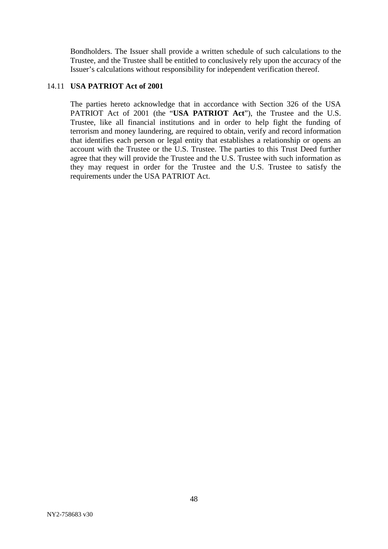Bondholders. The Issuer shall provide a written schedule of such calculations to the Trustee, and the Trustee shall be entitled to conclusively rely upon the accuracy of the Issuer's calculations without responsibility for independent verification thereof.

#### 14.11 **USA PATRIOT Act of 2001**

The parties hereto acknowledge that in accordance with Section 326 of the USA PATRIOT Act of 2001 (the "**USA PATRIOT Act**"), the Trustee and the U.S. Trustee, like all financial institutions and in order to help fight the funding of terrorism and money laundering, are required to obtain, verify and record information that identifies each person or legal entity that establishes a relationship or opens an account with the Trustee or the U.S. Trustee. The parties to this Trust Deed further agree that they will provide the Trustee and the U.S. Trustee with such information as they may request in order for the Trustee and the U.S. Trustee to satisfy the requirements under the USA PATRIOT Act.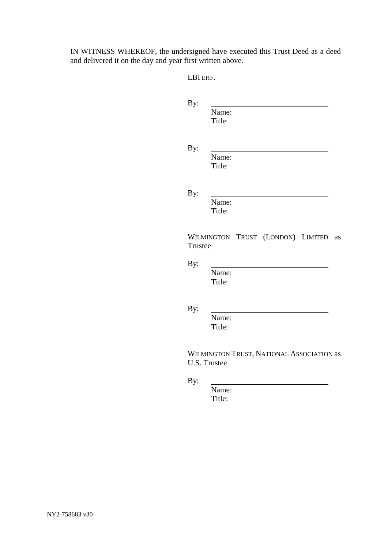IN WITNESS WHEREOF, the undersigned have executed this Trust Deed as a deed and delivered it on the day and year first written above.

LBI EHF.

| By:     |                                                           |
|---------|-----------------------------------------------------------|
|         | Name:<br>Title:                                           |
| By:     | Name:<br>Title:                                           |
| By:     | Name:<br>Title:                                           |
| Trustee | WILMINGTON TRUST (LONDON) LIMITED<br>as                   |
| By:     | Name:<br>Title:                                           |
| By:     | Name:<br>Title:                                           |
|         | WILMINGTON TRUST, NATIONAL ASSOCIATION as<br>U.S. Trustee |
| By:     | Name:                                                     |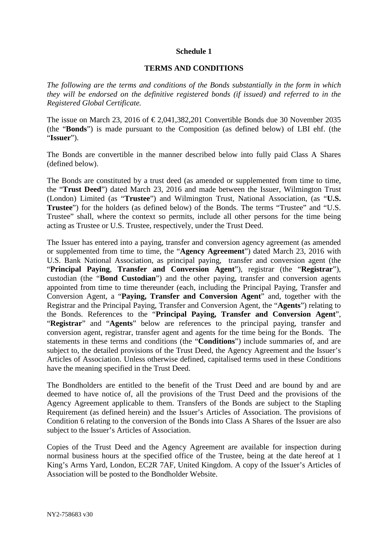#### **Schedule 1**

#### **TERMS AND CONDITIONS**

*The following are the terms and conditions of the Bonds substantially in the form in which they will be endorsed on the definitive registered bonds (if issued) and referred to in the Registered Global Certificate.*

The issue on March 23, 2016 of  $\epsilon$  2.041,382,201 Convertible Bonds due 30 November 2035 (the "**Bonds**") is made pursuant to the Composition (as defined below) of LBI ehf. (the "**Issuer**").

The Bonds are convertible in the manner described below into fully paid Class A Shares (defined below).

The Bonds are constituted by a trust deed (as amended or supplemented from time to time, the "**Trust Deed**") dated March 23, 2016 and made between the Issuer, Wilmington Trust (London) Limited (as "**Trustee**") and Wilmington Trust, National Association, (as "**U.S. Trustee**") for the holders (as defined below) of the Bonds. The terms "Trustee" and "U.S. Trustee" shall, where the context so permits, include all other persons for the time being acting as Trustee or U.S. Trustee, respectively, under the Trust Deed.

The Issuer has entered into a paying, transfer and conversion agency agreement (as amended or supplemented from time to time, the "**Agency Agreement**") dated March 23, 2016 with U.S. Bank National Association, as principal paying, transfer and conversion agent (the "**Principal Paying**, **Transfer and Conversion Agent**"), registrar (the "**Registrar**"), custodian (the "**Bond Custodian**") and the other paying, transfer and conversion agents appointed from time to time thereunder (each, including the Principal Paying, Transfer and Conversion Agent, a "**Paying, Transfer and Conversion Agent**" and, together with the Registrar and the Principal Paying, Transfer and Conversion Agent, the "**Agents**") relating to the Bonds. References to the "**Principal Paying, Transfer and Conversion Agent**", "**Registrar**" and "**Agents**" below are references to the principal paying, transfer and conversion agent, registrar, transfer agent and agents for the time being for the Bonds. The statements in these terms and conditions (the "**Conditions**") include summaries of, and are subject to, the detailed provisions of the Trust Deed, the Agency Agreement and the Issuer's Articles of Association. Unless otherwise defined, capitalised terms used in these Conditions have the meaning specified in the Trust Deed.

The Bondholders are entitled to the benefit of the Trust Deed and are bound by and are deemed to have notice of, all the provisions of the Trust Deed and the provisions of the Agency Agreement applicable to them. Transfers of the Bonds are subject to the Stapling Requirement (as defined herein) and the Issuer's Articles of Association. The provisions of Condition 6 relating to the conversion of the Bonds into Class A Shares of the Issuer are also subject to the Issuer's Articles of Association.

Copies of the Trust Deed and the Agency Agreement are available for inspection during normal business hours at the specified office of the Trustee, being at the date hereof at 1 King's Arms Yard, London, EC2R 7AF, United Kingdom. A copy of the Issuer's Articles of Association will be posted to the Bondholder Website.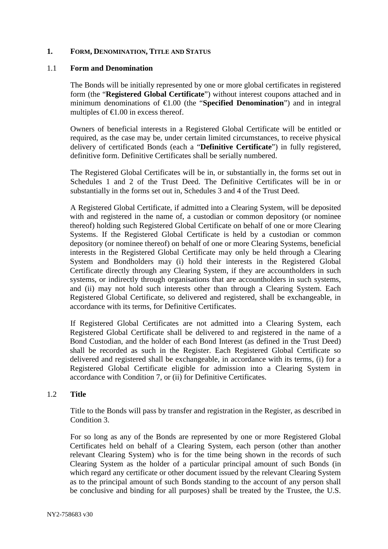# **1. FORM, DENOMINATION, TITLE AND STATUS**

#### 1.1 **Form and Denomination**

The Bonds will be initially represented by one or more global certificates in registered form (the "**Registered Global Certificate**") without interest coupons attached and in minimum denominations of €1.00 (the "**Specified Denomination**") and in integral multiples of  $\in$ 1.00 in excess thereof.

Owners of beneficial interests in a Registered Global Certificate will be entitled or required, as the case may be, under certain limited circumstances, to receive physical delivery of certificated Bonds (each a "**Definitive Certificate**") in fully registered, definitive form. Definitive Certificates shall be serially numbered.

The Registered Global Certificates will be in, or substantially in, the forms set out in Schedules 1 and 2 of the Trust Deed. The Definitive Certificates will be in or substantially in the forms set out in, Schedules 3 and 4 of the Trust Deed.

A Registered Global Certificate, if admitted into a Clearing System, will be deposited with and registered in the name of, a custodian or common depository (or nominee thereof) holding such Registered Global Certificate on behalf of one or more Clearing Systems. If the Registered Global Certificate is held by a custodian or common depository (or nominee thereof) on behalf of one or more Clearing Systems, beneficial interests in the Registered Global Certificate may only be held through a Clearing System and Bondholders may (i) hold their interests in the Registered Global Certificate directly through any Clearing System, if they are accountholders in such systems, or indirectly through organisations that are accountholders in such systems, and (ii) may not hold such interests other than through a Clearing System. Each Registered Global Certificate, so delivered and registered, shall be exchangeable, in accordance with its terms, for Definitive Certificates.

If Registered Global Certificates are not admitted into a Clearing System, each Registered Global Certificate shall be delivered to and registered in the name of a Bond Custodian, and the holder of each Bond Interest (as defined in the Trust Deed) shall be recorded as such in the Register. Each Registered Global Certificate so delivered and registered shall be exchangeable, in accordance with its terms, (i) for a Registered Global Certificate eligible for admission into a Clearing System in accordance with Condition 7, or (ii) for Definitive Certificates.

#### 1.2 **Title**

Title to the Bonds will pass by transfer and registration in the Register, as described in Condition 3.

For so long as any of the Bonds are represented by one or more Registered Global Certificates held on behalf of a Clearing System, each person (other than another relevant Clearing System) who is for the time being shown in the records of such Clearing System as the holder of a particular principal amount of such Bonds (in which regard any certificate or other document issued by the relevant Clearing System as to the principal amount of such Bonds standing to the account of any person shall be conclusive and binding for all purposes) shall be treated by the Trustee, the U.S.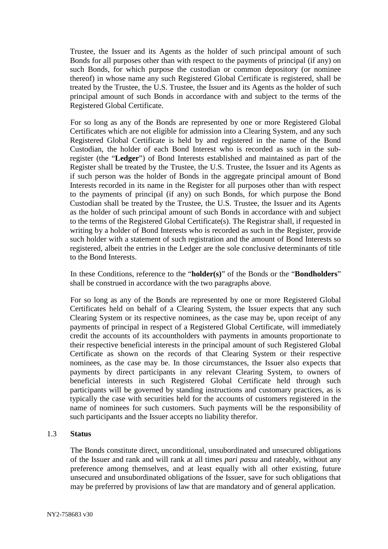Trustee, the Issuer and its Agents as the holder of such principal amount of such Bonds for all purposes other than with respect to the payments of principal (if any) on such Bonds, for which purpose the custodian or common depository (or nominee thereof) in whose name any such Registered Global Certificate is registered, shall be treated by the Trustee, the U.S. Trustee, the Issuer and its Agents as the holder of such principal amount of such Bonds in accordance with and subject to the terms of the Registered Global Certificate.

For so long as any of the Bonds are represented by one or more Registered Global Certificates which are not eligible for admission into a Clearing System, and any such Registered Global Certificate is held by and registered in the name of the Bond Custodian, the holder of each Bond Interest who is recorded as such in the subregister (the "**Ledger**") of Bond Interests established and maintained as part of the Register shall be treated by the Trustee, the U.S. Trustee, the Issuer and its Agents as if such person was the holder of Bonds in the aggregate principal amount of Bond Interests recorded in its name in the Register for all purposes other than with respect to the payments of principal (if any) on such Bonds, for which purpose the Bond Custodian shall be treated by the Trustee, the U.S. Trustee, the Issuer and its Agents as the holder of such principal amount of such Bonds in accordance with and subject to the terms of the Registered Global Certificate(s). The Registrar shall, if requested in writing by a holder of Bond Interests who is recorded as such in the Register, provide such holder with a statement of such registration and the amount of Bond Interests so registered, albeit the entries in the Ledger are the sole conclusive determinants of title to the Bond Interests.

In these Conditions, reference to the "**holder(s)**" of the Bonds or the "**Bondholders**" shall be construed in accordance with the two paragraphs above.

For so long as any of the Bonds are represented by one or more Registered Global Certificates held on behalf of a Clearing System, the Issuer expects that any such Clearing System or its respective nominees, as the case may be, upon receipt of any payments of principal in respect of a Registered Global Certificate, will immediately credit the accounts of its accountholders with payments in amounts proportionate to their respective beneficial interests in the principal amount of such Registered Global Certificate as shown on the records of that Clearing System or their respective nominees, as the case may be. In those circumstances, the Issuer also expects that payments by direct participants in any relevant Clearing System, to owners of beneficial interests in such Registered Global Certificate held through such participants will be governed by standing instructions and customary practices, as is typically the case with securities held for the accounts of customers registered in the name of nominees for such customers. Such payments will be the responsibility of such participants and the Issuer accepts no liability therefor.

# 1.3 **Status**

The Bonds constitute direct, unconditional, unsubordinated and unsecured obligations of the Issuer and rank and will rank at all times *pari passu* and rateably, without any preference among themselves, and at least equally with all other existing, future unsecured and unsubordinated obligations of the Issuer, save for such obligations that may be preferred by provisions of law that are mandatory and of general application.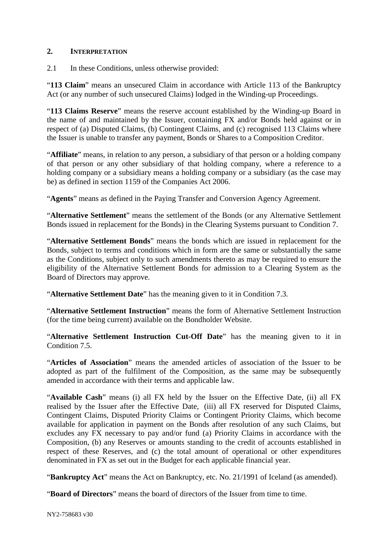# **2. INTERPRETATION**

2.1 In these Conditions, unless otherwise provided:

"**113 Claim**" means an unsecured Claim in accordance with Article 113 of the Bankruptcy Act (or any number of such unsecured Claims) lodged in the Winding-up Proceedings.

"**113 Claims Reserve**" means the reserve account established by the Winding-up Board in the name of and maintained by the Issuer, containing FX and/or Bonds held against or in respect of (a) Disputed Claims, (b) Contingent Claims, and (c) recognised 113 Claims where the Issuer is unable to transfer any payment, Bonds or Shares to a Composition Creditor.

"**Affiliate**" means, in relation to any person, a subsidiary of that person or a holding company of that person or any other subsidiary of that holding company, where a reference to a holding company or a subsidiary means a holding company or a subsidiary (as the case may be) as defined in section 1159 of the Companies Act 2006.

"**Agents**" means as defined in the Paying Transfer and Conversion Agency Agreement.

"**Alternative Settlement**" means the settlement of the Bonds (or any Alternative Settlement Bonds issued in replacement for the Bonds) in the Clearing Systems pursuant to Condition 7.

"**Alternative Settlement Bonds**" means the bonds which are issued in replacement for the Bonds, subject to terms and conditions which in form are the same or substantially the same as the Conditions, subject only to such amendments thereto as may be required to ensure the eligibility of the Alternative Settlement Bonds for admission to a Clearing System as the Board of Directors may approve.

"**Alternative Settlement Date**" has the meaning given to it in Condition 7.3.

"**Alternative Settlement Instruction**" means the form of Alternative Settlement Instruction (for the time being current) available on the Bondholder Website.

"**Alternative Settlement Instruction Cut-Off Date**" has the meaning given to it in Condition 7.5.

"**Articles of Association**" means the amended articles of association of the Issuer to be adopted as part of the fulfilment of the Composition, as the same may be subsequently amended in accordance with their terms and applicable law.

"**Available Cash**" means (i) all FX held by the Issuer on the Effective Date, (ii) all FX realised by the Issuer after the Effective Date, (iii) all FX reserved for Disputed Claims, Contingent Claims, Disputed Priority Claims or Contingent Priority Claims, which become available for application in payment on the Bonds after resolution of any such Claims, but excludes any FX necessary to pay and/or fund (a) Priority Claims in accordance with the Composition, (b) any Reserves or amounts standing to the credit of accounts established in respect of these Reserves, and (c) the total amount of operational or other expenditures denominated in FX as set out in the Budget for each applicable financial year.

"**Bankruptcy Act**" means the Act on Bankruptcy, etc. No. 21/1991 of Iceland (as amended).

"**Board of Directors**" means the board of directors of the Issuer from time to time.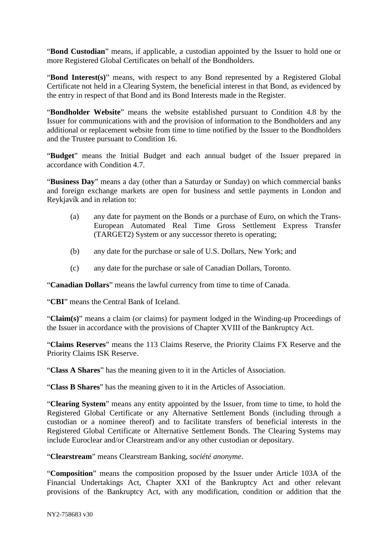"**Bond Custodian**" means, if applicable, a custodian appointed by the Issuer to hold one or more Registered Global Certificates on behalf of the Bondholders.

"**Bond Interest(s)**" means, with respect to any Bond represented by a Registered Global Certificate not held in a Clearing System, the beneficial interest in that Bond, as evidenced by the entry in respect of that Bond and its Bond Interests made in the Register.

"**Bondholder Website**" means the website established pursuant to Condition 4.8 by the Issuer for communications with and the provision of information to the Bondholders and any additional or replacement website from time to time notified by the Issuer to the Bondholders and the Trustee pursuant to Condition 16.

"**Budget**" means the Initial Budget and each annual budget of the Issuer prepared in accordance with Condition 4.7.

"**Business Day**" means a day (other than a Saturday or Sunday) on which commercial banks and foreign exchange markets are open for business and settle payments in London and Reykjavík and in relation to:

- (a) any date for payment on the Bonds or a purchase of Euro, on which the Trans-European Automated Real Time Gross Settlement Express Transfer (TARGET2) System or any successor thereto is operating;
- (b) any date for the purchase or sale of U.S. Dollars, New York; and
- (c) any date for the purchase or sale of Canadian Dollars, Toronto.

"**Canadian Dollars**" means the lawful currency from time to time of Canada.

"**CBI**" means the Central Bank of Iceland.

"**Claim(s)**" means a claim (or claims) for payment lodged in the Winding-up Proceedings of the Issuer in accordance with the provisions of Chapter XVIII of the Bankruptcy Act.

"**Claims Reserves**" means the 113 Claims Reserve, the Priority Claims FX Reserve and the Priority Claims ISK Reserve.

"**Class A Shares**" has the meaning given to it in the Articles of Association.

"**Class B Shares**" has the meaning given to it in the Articles of Association.

"**Clearing System**" means any entity appointed by the Issuer, from time to time, to hold the Registered Global Certificate or any Alternative Settlement Bonds (including through a custodian or a nominee thereof) and to facilitate transfers of beneficial interests in the Registered Global Certificate or Alternative Settlement Bonds. The Clearing Systems may include Euroclear and/or Clearstream and/or any other custodian or depositary.

"**Clearstream**" means Clearstream Banking, *société anonyme*.

"**Composition**" means the composition proposed by the Issuer under Article 103A of the Financial Undertakings Act, Chapter XXI of the Bankruptcy Act and other relevant provisions of the Bankruptcy Act, with any modification, condition or addition that the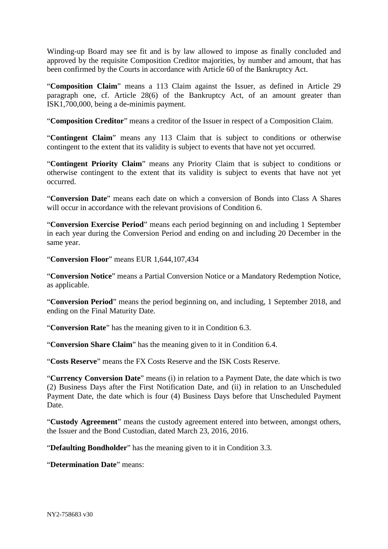Winding-up Board may see fit and is by law allowed to impose as finally concluded and approved by the requisite Composition Creditor majorities, by number and amount, that has been confirmed by the Courts in accordance with Article 60 of the Bankruptcy Act.

"**Composition Claim**" means a 113 Claim against the Issuer, as defined in Article 29 paragraph one, cf. Article 28(6) of the Bankruptcy Act, of an amount greater than ISK1,700,000, being a de-minimis payment.

"**Composition Creditor**" means a creditor of the Issuer in respect of a Composition Claim.

"**Contingent Claim**" means any 113 Claim that is subject to conditions or otherwise contingent to the extent that its validity is subject to events that have not yet occurred.

"**Contingent Priority Claim**" means any Priority Claim that is subject to conditions or otherwise contingent to the extent that its validity is subject to events that have not yet occurred.

"**Conversion Date**" means each date on which a conversion of Bonds into Class A Shares will occur in accordance with the relevant provisions of Condition 6.

"**Conversion Exercise Period**" means each period beginning on and including 1 September in each year during the Conversion Period and ending on and including 20 December in the same year.

"**Conversion Floor**" means EUR 1,644,107,434

"**Conversion Notice**" means a Partial Conversion Notice or a Mandatory Redemption Notice, as applicable.

"**Conversion Period**" means the period beginning on, and including, 1 September 2018, and ending on the Final Maturity Date.

"**Conversion Rate**" has the meaning given to it in Condition 6.3.

"**Conversion Share Claim**" has the meaning given to it in Condition 6.4.

"**Costs Reserve**" means the FX Costs Reserve and the ISK Costs Reserve.

"**Currency Conversion Date**" means (i) in relation to a Payment Date, the date which is two (2) Business Days after the First Notification Date, and (ii) in relation to an Unscheduled Payment Date, the date which is four (4) Business Days before that Unscheduled Payment Date.

"**Custody Agreement**" means the custody agreement entered into between, amongst others, the Issuer and the Bond Custodian, dated March 23, 2016, 2016.

"**Defaulting Bondholder**" has the meaning given to it in Condition 3.3.

"**Determination Date**" means: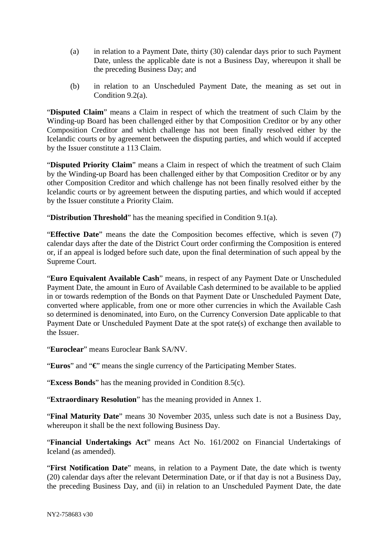- (a) in relation to a Payment Date, thirty (30) calendar days prior to such Payment Date, unless the applicable date is not a Business Day, whereupon it shall be the preceding Business Day; and
- (b) in relation to an Unscheduled Payment Date, the meaning as set out in Condition 9.2(a).

"**Disputed Claim**" means a Claim in respect of which the treatment of such Claim by the Winding-up Board has been challenged either by that Composition Creditor or by any other Composition Creditor and which challenge has not been finally resolved either by the Icelandic courts or by agreement between the disputing parties, and which would if accepted by the Issuer constitute a 113 Claim.

"**Disputed Priority Claim**" means a Claim in respect of which the treatment of such Claim by the Winding**-**up Board has been challenged either by that Composition Creditor or by any other Composition Creditor and which challenge has not been finally resolved either by the Icelandic courts or by agreement between the disputing parties, and which would if accepted by the Issuer constitute a Priority Claim.

"**Distribution Threshold**" has the meaning specified in Condition 9.1(a).

"**Effective Date**" means the date the Composition becomes effective, which is seven (7) calendar days after the date of the District Court order confirming the Composition is entered or, if an appeal is lodged before such date, upon the final determination of such appeal by the Supreme Court.

"**Euro Equivalent Available Cash**" means, in respect of any Payment Date or Unscheduled Payment Date, the amount in Euro of Available Cash determined to be available to be applied in or towards redemption of the Bonds on that Payment Date or Unscheduled Payment Date, converted where applicable, from one or more other currencies in which the Available Cash so determined is denominated, into Euro, on the Currency Conversion Date applicable to that Payment Date or Unscheduled Payment Date at the spot rate(s) of exchange then available to the Issuer.

"**Euroclear**" means Euroclear Bank SA/NV.

"**Euros**" and "**€**" means the single currency of the Participating Member States.

"**Excess Bonds**" has the meaning provided in Condition 8.5(c).

"**Extraordinary Resolution**" has the meaning provided in Annex 1.

"**Final Maturity Date**" means 30 November 2035, unless such date is not a Business Day, whereupon it shall be the next following Business Day.

"**Financial Undertakings Act**" means Act No. 161/2002 on Financial Undertakings of Iceland (as amended).

"**First Notification Date**" means, in relation to a Payment Date, the date which is twenty (20) calendar days after the relevant Determination Date, or if that day is not a Business Day, the preceding Business Day, and (ii) in relation to an Unscheduled Payment Date, the date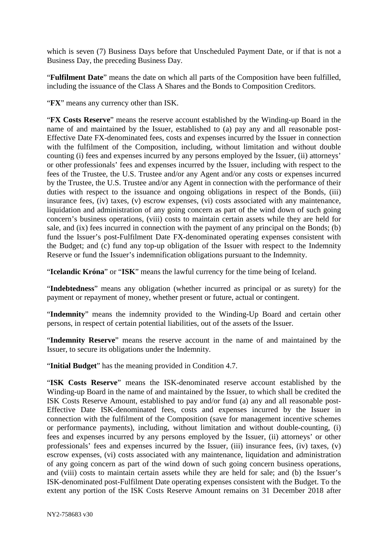which is seven (7) Business Days before that Unscheduled Payment Date, or if that is not a Business Day, the preceding Business Day.

"**Fulfilment Date**" means the date on which all parts of the Composition have been fulfilled, including the issuance of the Class A Shares and the Bonds to Composition Creditors.

"**FX**" means any currency other than ISK.

"**FX Costs Reserve**" means the reserve account established by the Winding-up Board in the name of and maintained by the Issuer, established to (a) pay any and all reasonable post-Effective Date FX-denominated fees, costs and expenses incurred by the Issuer in connection with the fulfilment of the Composition, including, without limitation and without double counting (i) fees and expenses incurred by any persons employed by the Issuer, (ii) attorneys' or other professionals' fees and expenses incurred by the Issuer, including with respect to the fees of the Trustee, the U.S. Trustee and/or any Agent and/or any costs or expenses incurred by the Trustee, the U.S. Trustee and/or any Agent in connection with the performance of their duties with respect to the issuance and ongoing obligations in respect of the Bonds, (iii) insurance fees, (iv) taxes, (v) escrow expenses, (vi) costs associated with any maintenance, liquidation and administration of any going concern as part of the wind down of such going concern's business operations, (viii) costs to maintain certain assets while they are held for sale, and (ix) fees incurred in connection with the payment of any principal on the Bonds; (b) fund the Issuer's post-Fulfilment Date FX-denominated operating expenses consistent with the Budget; and (c) fund any top-up obligation of the Issuer with respect to the Indemnity Reserve or fund the Issuer's indemnification obligations pursuant to the Indemnity.

"**Icelandic Króna**" or "**ISK**" means the lawful currency for the time being of Iceland.

"**Indebtedness**" means any obligation (whether incurred as principal or as surety) for the payment or repayment of money, whether present or future, actual or contingent.

"**Indemnity**" means the indemnity provided to the Winding-Up Board and certain other persons, in respect of certain potential liabilities, out of the assets of the Issuer.

"**Indemnity Reserve**" means the reserve account in the name of and maintained by the Issuer, to secure its obligations under the Indemnity.

"**Initial Budget**" has the meaning provided in Condition 4.7.

"**ISK Costs Reserve**" means the ISK-denominated reserve account established by the Winding-up Board in the name of and maintained by the Issuer, to which shall be credited the ISK Costs Reserve Amount, established to pay and/or fund (a) any and all reasonable post-Effective Date ISK-denominated fees, costs and expenses incurred by the Issuer in connection with the fulfilment of the Composition (save for management incentive schemes or performance payments), including, without limitation and without double-counting, (i) fees and expenses incurred by any persons employed by the Issuer, (ii) attorneys' or other professionals' fees and expenses incurred by the Issuer, (iii) insurance fees, (iv) taxes, (v) escrow expenses, (vi) costs associated with any maintenance, liquidation and administration of any going concern as part of the wind down of such going concern business operations, and (viii) costs to maintain certain assets while they are held for sale; and (b) the Issuer's ISK-denominated post-Fulfilment Date operating expenses consistent with the Budget. To the extent any portion of the ISK Costs Reserve Amount remains on 31 December 2018 after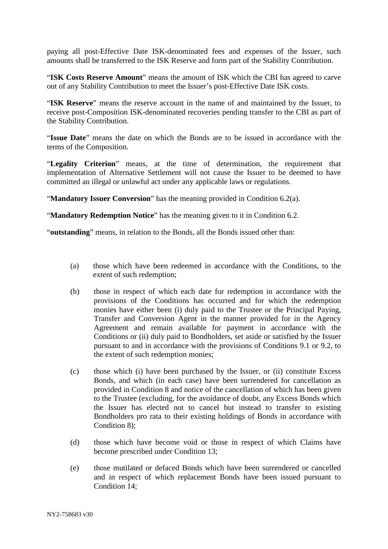paying all post-Effective Date ISK-denominated fees and expenses of the Issuer, such amounts shall be transferred to the ISK Reserve and form part of the Stability Contribution.

"**ISK Costs Reserve Amount**" means the amount of ISK which the CBI has agreed to carve out of any Stability Contribution to meet the Issuer's post-Effective Date ISK costs.

"**ISK Reserve**" means the reserve account in the name of and maintained by the Issuer, to receive post-Composition ISK-denominated recoveries pending transfer to the CBI as part of the Stability Contribution.

"**Issue Date**" means the date on which the Bonds are to be issued in accordance with the terms of the Composition.

"**Legality Criterion**" means, at the time of determination, the requirement that implementation of Alternative Settlement will not cause the Issuer to be deemed to have committed an illegal or unlawful act under any applicable laws or regulations.

"**Mandatory Issuer Conversion**" has the meaning provided in Condition 6.2(a).

"**Mandatory Redemption Notice**" has the meaning given to it in Condition 6.2.

"**outstanding**" means, in relation to the Bonds, all the Bonds issued other than:

- (a) those which have been redeemed in accordance with the Conditions, to the extent of such redemption;
- (b) those in respect of which each date for redemption in accordance with the provisions of the Conditions has occurred and for which the redemption monies have either been (i) duly paid to the Trustee or the Principal Paying, Transfer and Conversion Agent in the manner provided for in the Agency Agreement and remain available for payment in accordance with the Conditions or (ii) duly paid to Bondholders, set aside or satisfied by the Issuer pursuant to and in accordance with the provisions of Conditions 9.1 or 9.2, to the extent of such redemption monies;
- (c) those which (i) have been purchased by the Issuer, or (ii) constitute Excess Bonds, and which (in each case) have been surrendered for cancellation as provided in Condition 8 and notice of the cancellation of which has been given to the Trustee (excluding, for the avoidance of doubt, any Excess Bonds which the Issuer has elected not to cancel but instead to transfer to existing Bondholders pro rata to their existing holdings of Bonds in accordance with Condition 8);
- (d) those which have become void or those in respect of which Claims have become prescribed under Condition 13;
- (e) those mutilated or defaced Bonds which have been surrendered or cancelled and in respect of which replacement Bonds have been issued pursuant to Condition 14;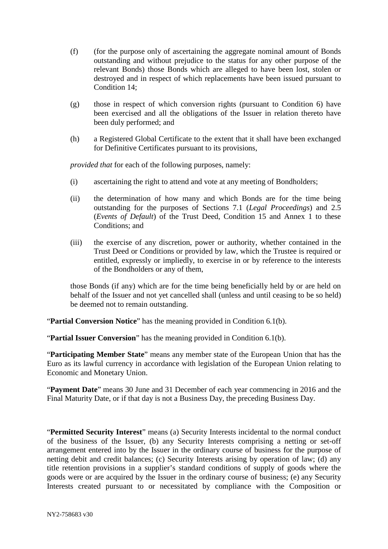- (f) (for the purpose only of ascertaining the aggregate nominal amount of Bonds outstanding and without prejudice to the status for any other purpose of the relevant Bonds) those Bonds which are alleged to have been lost, stolen or destroyed and in respect of which replacements have been issued pursuant to Condition 14;
- (g) those in respect of which conversion rights (pursuant to Condition 6) have been exercised and all the obligations of the Issuer in relation thereto have been duly performed; and
- (h) a Registered Global Certificate to the extent that it shall have been exchanged for Definitive Certificates pursuant to its provisions,

*provided that* for each of the following purposes, namely:

- (i) ascertaining the right to attend and vote at any meeting of Bondholders;
- (ii) the determination of how many and which Bonds are for the time being outstanding for the purposes of Sections 7.1 (*Legal Proceedings*) and 2.5 (*Events of Default*) of the Trust Deed, Condition 15 and Annex 1 to these Conditions; and
- (iii) the exercise of any discretion, power or authority, whether contained in the Trust Deed or Conditions or provided by law, which the Trustee is required or entitled, expressly or impliedly, to exercise in or by reference to the interests of the Bondholders or any of them,

those Bonds (if any) which are for the time being beneficially held by or are held on behalf of the Issuer and not yet cancelled shall (unless and until ceasing to be so held) be deemed not to remain outstanding.

"**Partial Conversion Notice**" has the meaning provided in Condition 6.1(b).

"**Partial Issuer Conversion**" has the meaning provided in Condition 6.1(b).

"**Participating Member State**" means any member state of the European Union that has the Euro as its lawful currency in accordance with legislation of the European Union relating to Economic and Monetary Union.

"**Payment Date**" means 30 June and 31 December of each year commencing in 2016 and the Final Maturity Date, or if that day is not a Business Day, the preceding Business Day.

"**Permitted Security Interest**" means (a) Security Interests incidental to the normal conduct of the business of the Issuer, (b) any Security Interests comprising a netting or set-off arrangement entered into by the Issuer in the ordinary course of business for the purpose of netting debit and credit balances; (c) Security Interests arising by operation of law; (d) any title retention provisions in a supplier's standard conditions of supply of goods where the goods were or are acquired by the Issuer in the ordinary course of business; (e) any Security Interests created pursuant to or necessitated by compliance with the Composition or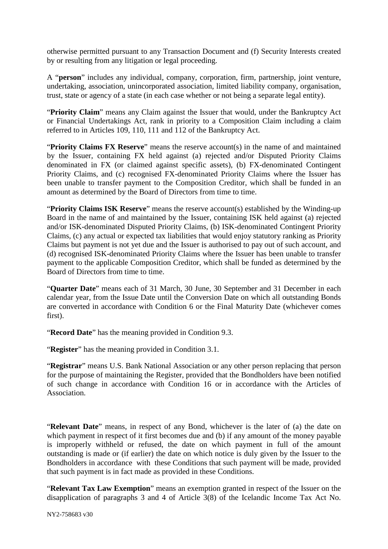otherwise permitted pursuant to any Transaction Document and (f) Security Interests created by or resulting from any litigation or legal proceeding.

A "**person**" includes any individual, company, corporation, firm, partnership, joint venture, undertaking, association, unincorporated association, limited liability company, organisation, trust, state or agency of a state (in each case whether or not being a separate legal entity).

"**Priority Claim**" means any Claim against the Issuer that would, under the Bankruptcy Act or Financial Undertakings Act, rank in priority to a Composition Claim including a claim referred to in Articles 109, 110, 111 and 112 of the Bankruptcy Act.

"**Priority Claims FX Reserve**" means the reserve account(s) in the name of and maintained by the Issuer, containing FX held against (a) rejected and/or Disputed Priority Claims denominated in FX (or claimed against specific assets), (b) FX-denominated Contingent Priority Claims, and (c) recognised FX-denominated Priority Claims where the Issuer has been unable to transfer payment to the Composition Creditor, which shall be funded in an amount as determined by the Board of Directors from time to time.

"**Priority Claims ISK Reserve**" means the reserve account(s) established by the Winding-up Board in the name of and maintained by the Issuer, containing ISK held against (a) rejected and/or ISK-denominated Disputed Priority Claims, (b) ISK-denominated Contingent Priority Claims, (c) any actual or expected tax liabilities that would enjoy statutory ranking as Priority Claims but payment is not yet due and the Issuer is authorised to pay out of such account, and (d) recognised ISK-denominated Priority Claims where the Issuer has been unable to transfer payment to the applicable Composition Creditor, which shall be funded as determined by the Board of Directors from time to time.

"**Quarter Date**" means each of 31 March, 30 June, 30 September and 31 December in each calendar year, from the Issue Date until the Conversion Date on which all outstanding Bonds are converted in accordance with Condition 6 or the Final Maturity Date (whichever comes first).

"**Record Date**" has the meaning provided in Condition 9.3.

"**Register**" has the meaning provided in Condition 3.1.

"**Registrar**" means U.S. Bank National Association or any other person replacing that person for the purpose of maintaining the Register, provided that the Bondholders have been notified of such change in accordance with Condition 16 or in accordance with the Articles of Association.

"**Relevant Date**" means, in respect of any Bond, whichever is the later of (a) the date on which payment in respect of it first becomes due and (b) if any amount of the money payable is improperly withheld or refused, the date on which payment in full of the amount outstanding is made or (if earlier) the date on which notice is duly given by the Issuer to the Bondholders in accordance with these Conditions that such payment will be made, provided that such payment is in fact made as provided in these Conditions.

"**Relevant Tax Law Exemption**" means an exemption granted in respect of the Issuer on the disapplication of paragraphs 3 and 4 of Article 3(8) of the Icelandic Income Tax Act No.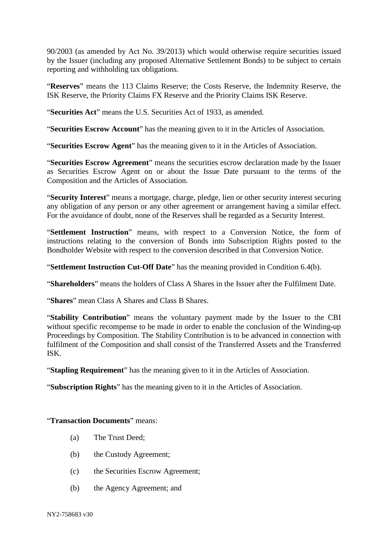90/2003 (as amended by Act No. 39/2013) which would otherwise require securities issued by the Issuer (including any proposed Alternative Settlement Bonds) to be subject to certain reporting and withholding tax obligations.

"**Reserves**" means the 113 Claims Reserve; the Costs Reserve, the Indemnity Reserve, the ISK Reserve, the Priority Claims FX Reserve and the Priority Claims ISK Reserve.

"**Securities Act**" means the U.S. Securities Act of 1933, as amended.

"**Securities Escrow Account**" has the meaning given to it in the Articles of Association.

"**Securities Escrow Agent**" has the meaning given to it in the Articles of Association.

"**Securities Escrow Agreement**" means the securities escrow declaration made by the Issuer as Securities Escrow Agent on or about the Issue Date pursuant to the terms of the Composition and the Articles of Association.

"**Security Interest**" means a mortgage, charge, pledge, lien or other security interest securing any obligation of any person or any other agreement or arrangement having a similar effect. For the avoidance of doubt, none of the Reserves shall be regarded as a Security Interest.

"**Settlement Instruction**" means, with respect to a Conversion Notice, the form of instructions relating to the conversion of Bonds into Subscription Rights posted to the Bondholder Website with respect to the conversion described in that Conversion Notice.

"**Settlement Instruction Cut-Off Date**" has the meaning provided in Condition 6.4(b).

"**Shareholders**" means the holders of Class A Shares in the Issuer after the Fulfilment Date.

"**Shares**" mean Class A Shares and Class B Shares.

"**Stability Contribution**" means the voluntary payment made by the Issuer to the CBI without specific recompense to be made in order to enable the conclusion of the Winding**-**up Proceedings by Composition. The Stability Contribution is to be advanced in connection with fulfilment of the Composition and shall consist of the Transferred Assets and the Transferred ISK.

"**Stapling Requirement**" has the meaning given to it in the Articles of Association.

"**Subscription Rights**" has the meaning given to it in the Articles of Association.

"**Transaction Documents**" means:

- (a) The Trust Deed;
- (b) the Custody Agreement;
- (c) the Securities Escrow Agreement;
- (b) the Agency Agreement; and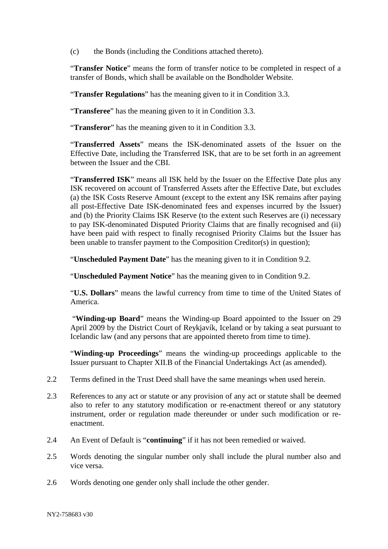(c) the Bonds (including the Conditions attached thereto).

"**Transfer Notice**" means the form of transfer notice to be completed in respect of a transfer of Bonds, which shall be available on the Bondholder Website.

"**Transfer Regulations**" has the meaning given to it in Condition 3.3.

"**Transferee**" has the meaning given to it in Condition 3.3.

"**Transferor**" has the meaning given to it in Condition 3.3.

"**Transferred Assets**" means the ISK-denominated assets of the Issuer on the Effective Date, including the Transferred ISK, that are to be set forth in an agreement between the Issuer and the CBI.

"**Transferred ISK**" means all ISK held by the Issuer on the Effective Date plus any ISK recovered on account of Transferred Assets after the Effective Date, but excludes (a) the ISK Costs Reserve Amount (except to the extent any ISK remains after paying all post-Effective Date ISK-denominated fees and expenses incurred by the Issuer) and (b) the Priority Claims ISK Reserve (to the extent such Reserves are (i) necessary to pay ISK-denominated Disputed Priority Claims that are finally recognised and (ii) have been paid with respect to finally recognised Priority Claims but the Issuer has been unable to transfer payment to the Composition Creditor(s) in question);

"**Unscheduled Payment Date**" has the meaning given to it in Condition 9.2.

"**Unscheduled Payment Notice**" has the meaning given to in Condition 9.2.

"**U.S. Dollars**" means the lawful currency from time to time of the United States of America.

"**Winding-up Board**" means the Winding-up Board appointed to the Issuer on 29 April 2009 by the District Court of Reykjavík, Iceland or by taking a seat pursuant to Icelandic law (and any persons that are appointed thereto from time to time).

"**Winding-up Proceedings**" means the winding-up proceedings applicable to the Issuer pursuant to Chapter XII.B of the Financial Undertakings Act (as amended).

- 2.2 Terms defined in the Trust Deed shall have the same meanings when used herein.
- 2.3 References to any act or statute or any provision of any act or statute shall be deemed also to refer to any statutory modification or re-enactment thereof or any statutory instrument, order or regulation made thereunder or under such modification or reenactment.
- 2.4 An Event of Default is "**continuing**" if it has not been remedied or waived.
- 2.5 Words denoting the singular number only shall include the plural number also and vice versa.
- 2.6 Words denoting one gender only shall include the other gender.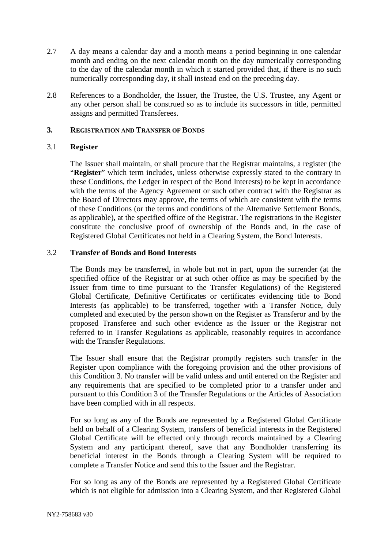- 2.7 A day means a calendar day and a month means a period beginning in one calendar month and ending on the next calendar month on the day numerically corresponding to the day of the calendar month in which it started provided that, if there is no such numerically corresponding day, it shall instead end on the preceding day.
- 2.8 References to a Bondholder, the Issuer, the Trustee, the U.S. Trustee, any Agent or any other person shall be construed so as to include its successors in title, permitted assigns and permitted Transferees.

# **3. REGISTRATION AND TRANSFER OF BONDS**

# 3.1 **Register**

The Issuer shall maintain, or shall procure that the Registrar maintains, a register (the "**Register**" which term includes, unless otherwise expressly stated to the contrary in these Conditions, the Ledger in respect of the Bond Interests) to be kept in accordance with the terms of the Agency Agreement or such other contract with the Registrar as the Board of Directors may approve, the terms of which are consistent with the terms of these Conditions (or the terms and conditions of the Alternative Settlement Bonds, as applicable), at the specified office of the Registrar. The registrations in the Register constitute the conclusive proof of ownership of the Bonds and, in the case of Registered Global Certificates not held in a Clearing System, the Bond Interests.

# 3.2 **Transfer of Bonds and Bond Interests**

The Bonds may be transferred, in whole but not in part, upon the surrender (at the specified office of the Registrar or at such other office as may be specified by the Issuer from time to time pursuant to the Transfer Regulations) of the Registered Global Certificate, Definitive Certificates or certificates evidencing title to Bond Interests (as applicable) to be transferred, together with a Transfer Notice, duly completed and executed by the person shown on the Register as Transferor and by the proposed Transferee and such other evidence as the Issuer or the Registrar not referred to in Transfer Regulations as applicable, reasonably requires in accordance with the Transfer Regulations.

The Issuer shall ensure that the Registrar promptly registers such transfer in the Register upon compliance with the foregoing provision and the other provisions of this Condition 3. No transfer will be valid unless and until entered on the Register and any requirements that are specified to be completed prior to a transfer under and pursuant to this Condition 3 of the Transfer Regulations or the Articles of Association have been complied with in all respects.

For so long as any of the Bonds are represented by a Registered Global Certificate held on behalf of a Clearing System, transfers of beneficial interests in the Registered Global Certificate will be effected only through records maintained by a Clearing System and any participant thereof, save that any Bondholder transferring its beneficial interest in the Bonds through a Clearing System will be required to complete a Transfer Notice and send this to the Issuer and the Registrar.

For so long as any of the Bonds are represented by a Registered Global Certificate which is not eligible for admission into a Clearing System, and that Registered Global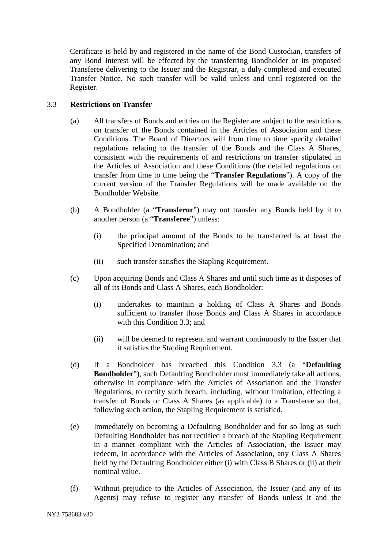Certificate is held by and registered in the name of the Bond Custodian, transfers of any Bond Interest will be effected by the transferring Bondholder or its proposed Transferee delivering to the Issuer and the Registrar, a duly completed and executed Transfer Notice. No such transfer will be valid unless and until registered on the Register.

# 3.3 **Restrictions on Transfer**

- (a) All transfers of Bonds and entries on the Register are subject to the restrictions on transfer of the Bonds contained in the Articles of Association and these Conditions. The Board of Directors will from time to time specify detailed regulations relating to the transfer of the Bonds and the Class A Shares, consistent with the requirements of and restrictions on transfer stipulated in the Articles of Association and these Conditions (the detailed regulations on transfer from time to time being the "**Transfer Regulations**"). A copy of the current version of the Transfer Regulations will be made available on the Bondholder Website.
- (b) A Bondholder (a "**Transferor**") may not transfer any Bonds held by it to another person (a "**Transferee**") unless:
	- (i) the principal amount of the Bonds to be transferred is at least the Specified Denomination; and
	- (ii) such transfer satisfies the Stapling Requirement.
- (c) Upon acquiring Bonds and Class A Shares and until such time as it disposes of all of its Bonds and Class A Shares, each Bondholder:
	- (i) undertakes to maintain a holding of Class A Shares and Bonds sufficient to transfer those Bonds and Class A Shares in accordance with this Condition 3.3; and
	- (ii) will be deemed to represent and warrant continuously to the Issuer that it satisfies the Stapling Requirement.
- (d) If a Bondholder has breached this Condition 3.3 (a "**Defaulting Bondholder**"), such Defaulting Bondholder must immediately take all actions, otherwise in compliance with the Articles of Association and the Transfer Regulations, to rectify such breach, including, without limitation, effecting a transfer of Bonds or Class A Shares (as applicable) to a Transferee so that, following such action, the Stapling Requirement is satisfied.
- (e) Immediately on becoming a Defaulting Bondholder and for so long as such Defaulting Bondholder has not rectified a breach of the Stapling Requirement in a manner compliant with the Articles of Association, the Issuer may redeem, in accordance with the Articles of Association, any Class A Shares held by the Defaulting Bondholder either (i) with Class B Shares or (ii) at their nominal value.
- (f) Without prejudice to the Articles of Association, the Issuer (and any of its Agents) may refuse to register any transfer of Bonds unless it and the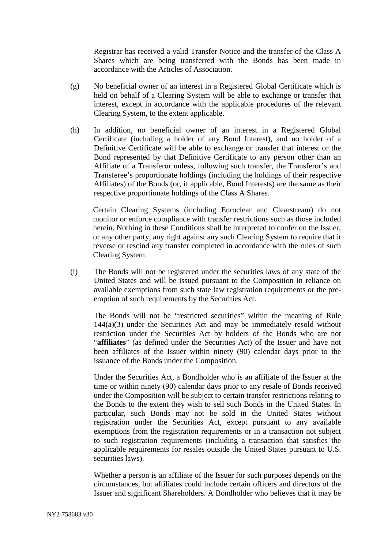Registrar has received a valid Transfer Notice and the transfer of the Class A Shares which are being transferred with the Bonds has been made in accordance with the Articles of Association.

- (g) No beneficial owner of an interest in a Registered Global Certificate which is held on behalf of a Clearing System will be able to exchange or transfer that interest, except in accordance with the applicable procedures of the relevant Clearing System, to the extent applicable.
- (h) In addition, no beneficial owner of an interest in a Registered Global Certificate (including a holder of any Bond Interest), and no holder of a Definitive Certificate will be able to exchange or transfer that interest or the Bond represented by that Definitive Certificate to any person other than an Affiliate of a Transferor unless, following such transfer, the Transferor's and Transferee's proportionate holdings (including the holdings of their respective Affiliates) of the Bonds (or, if applicable, Bond Interests) are the same as their respective proportionate holdings of the Class A Shares.

Certain Clearing Systems (including Euroclear and Clearstream) do not monitor or enforce compliance with transfer restrictions such as those included herein. Nothing in these Conditions shall be interpreted to confer on the Issuer, or any other party, any right against any such Clearing System to require that it reverse or rescind any transfer completed in accordance with the rules of such Clearing System.

(i) The Bonds will not be registered under the securities laws of any state of the United States and will be issued pursuant to the Composition in reliance on available exemptions from such state law registration requirements or the preemption of such requirements by the Securities Act.

The Bonds will not be "restricted securities" within the meaning of Rule  $144(a)(3)$  under the Securities Act and may be immediately resold without restriction under the Securities Act by holders of the Bonds who are not "**affiliates**" (as defined under the Securities Act) of the Issuer and have not been affiliates of the Issuer within ninety (90) calendar days prior to the issuance of the Bonds under the Composition.

Under the Securities Act, a Bondholder who is an affiliate of the Issuer at the time or within ninety (90) calendar days prior to any resale of Bonds received under the Composition will be subject to certain transfer restrictions relating to the Bonds to the extent they wish to sell such Bonds in the United States. In particular, such Bonds may not be sold in the United States without registration under the Securities Act, except pursuant to any available exemptions from the registration requirements or in a transaction not subject to such registration requirements (including a transaction that satisfies the applicable requirements for resales outside the United States pursuant to U.S. securities laws).

Whether a person is an affiliate of the Issuer for such purposes depends on the circumstances, but affiliates could include certain officers and directors of the Issuer and significant Shareholders. A Bondholder who believes that it may be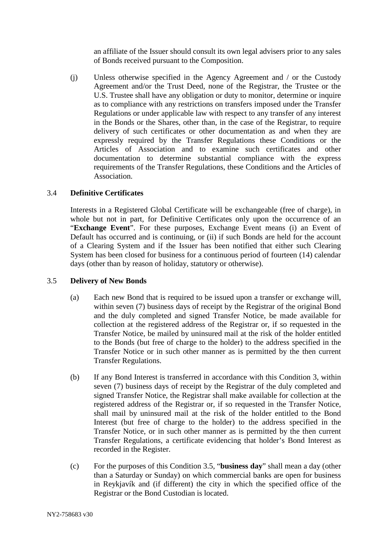an affiliate of the Issuer should consult its own legal advisers prior to any sales of Bonds received pursuant to the Composition.

(j) Unless otherwise specified in the Agency Agreement and / or the Custody Agreement and/or the Trust Deed, none of the Registrar, the Trustee or the U.S. Trustee shall have any obligation or duty to monitor, determine or inquire as to compliance with any restrictions on transfers imposed under the Transfer Regulations or under applicable law with respect to any transfer of any interest in the Bonds or the Shares, other than, in the case of the Registrar, to require delivery of such certificates or other documentation as and when they are expressly required by the Transfer Regulations these Conditions or the Articles of Association and to examine such certificates and other documentation to determine substantial compliance with the express requirements of the Transfer Regulations, these Conditions and the Articles of Association.

# 3.4 **Definitive Certificates**

Interests in a Registered Global Certificate will be exchangeable (free of charge), in whole but not in part, for Definitive Certificates only upon the occurrence of an "**Exchange Event**". For these purposes, Exchange Event means (i) an Event of Default has occurred and is continuing, or (ii) if such Bonds are held for the account of a Clearing System and if the Issuer has been notified that either such Clearing System has been closed for business for a continuous period of fourteen (14) calendar days (other than by reason of holiday, statutory or otherwise).

# 3.5 **Delivery of New Bonds**

- (a) Each new Bond that is required to be issued upon a transfer or exchange will, within seven (7) business days of receipt by the Registrar of the original Bond and the duly completed and signed Transfer Notice, be made available for collection at the registered address of the Registrar or, if so requested in the Transfer Notice, be mailed by uninsured mail at the risk of the holder entitled to the Bonds (but free of charge to the holder) to the address specified in the Transfer Notice or in such other manner as is permitted by the then current Transfer Regulations.
- (b) If any Bond Interest is transferred in accordance with this Condition 3, within seven (7) business days of receipt by the Registrar of the duly completed and signed Transfer Notice, the Registrar shall make available for collection at the registered address of the Registrar or, if so requested in the Transfer Notice, shall mail by uninsured mail at the risk of the holder entitled to the Bond Interest (but free of charge to the holder) to the address specified in the Transfer Notice, or in such other manner as is permitted by the then current Transfer Regulations, a certificate evidencing that holder's Bond Interest as recorded in the Register.
- (c) For the purposes of this Condition 3.5, "**business day**" shall mean a day (other than a Saturday or Sunday) on which commercial banks are open for business in Reykjavík and (if different) the city in which the specified office of the Registrar or the Bond Custodian is located.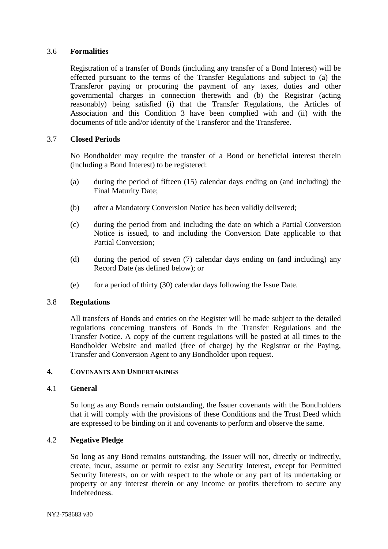# 3.6 **Formalities**

Registration of a transfer of Bonds (including any transfer of a Bond Interest) will be effected pursuant to the terms of the Transfer Regulations and subject to (a) the Transferor paying or procuring the payment of any taxes, duties and other governmental charges in connection therewith and (b) the Registrar (acting reasonably) being satisfied (i) that the Transfer Regulations, the Articles of Association and this Condition 3 have been complied with and (ii) with the documents of title and/or identity of the Transferor and the Transferee.

# 3.7 **Closed Periods**

No Bondholder may require the transfer of a Bond or beneficial interest therein (including a Bond Interest) to be registered:

- (a) during the period of fifteen (15) calendar days ending on (and including) the Final Maturity Date;
- (b) after a Mandatory Conversion Notice has been validly delivered;
- (c) during the period from and including the date on which a Partial Conversion Notice is issued, to and including the Conversion Date applicable to that Partial Conversion;
- (d) during the period of seven (7) calendar days ending on (and including) any Record Date (as defined below); or
- (e) for a period of thirty (30) calendar days following the Issue Date.

# 3.8 **Regulations**

All transfers of Bonds and entries on the Register will be made subject to the detailed regulations concerning transfers of Bonds in the Transfer Regulations and the Transfer Notice. A copy of the current regulations will be posted at all times to the Bondholder Website and mailed (free of charge) by the Registrar or the Paying, Transfer and Conversion Agent to any Bondholder upon request.

# **4. COVENANTS AND UNDERTAKINGS**

# 4.1 **General**

So long as any Bonds remain outstanding, the Issuer covenants with the Bondholders that it will comply with the provisions of these Conditions and the Trust Deed which are expressed to be binding on it and covenants to perform and observe the same.

# 4.2 **Negative Pledge**

So long as any Bond remains outstanding, the Issuer will not, directly or indirectly, create, incur, assume or permit to exist any Security Interest, except for Permitted Security Interests, on or with respect to the whole or any part of its undertaking or property or any interest therein or any income or profits therefrom to secure any **Indebtedness**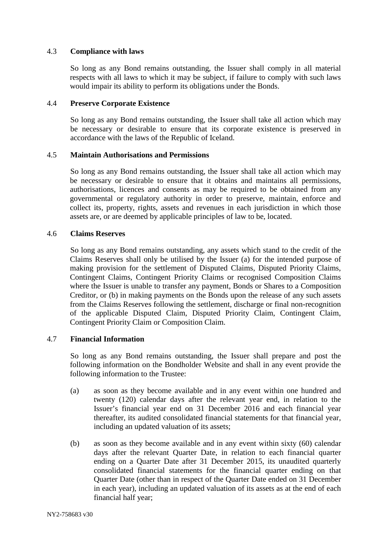# 4.3 **Compliance with laws**

So long as any Bond remains outstanding, the Issuer shall comply in all material respects with all laws to which it may be subject, if failure to comply with such laws would impair its ability to perform its obligations under the Bonds.

#### 4.4 **Preserve Corporate Existence**

So long as any Bond remains outstanding, the Issuer shall take all action which may be necessary or desirable to ensure that its corporate existence is preserved in accordance with the laws of the Republic of Iceland.

#### 4.5 **Maintain Authorisations and Permissions**

So long as any Bond remains outstanding, the Issuer shall take all action which may be necessary or desirable to ensure that it obtains and maintains all permissions, authorisations, licences and consents as may be required to be obtained from any governmental or regulatory authority in order to preserve, maintain, enforce and collect its, property, rights, assets and revenues in each jurisdiction in which those assets are, or are deemed by applicable principles of law to be, located.

#### 4.6 **Claims Reserves**

So long as any Bond remains outstanding, any assets which stand to the credit of the Claims Reserves shall only be utilised by the Issuer (a) for the intended purpose of making provision for the settlement of Disputed Claims, Disputed Priority Claims, Contingent Claims, Contingent Priority Claims or recognised Composition Claims where the Issuer is unable to transfer any payment, Bonds or Shares to a Composition Creditor, or (b) in making payments on the Bonds upon the release of any such assets from the Claims Reserves following the settlement, discharge or final non-recognition of the applicable Disputed Claim, Disputed Priority Claim, Contingent Claim, Contingent Priority Claim or Composition Claim.

# 4.7 **Financial Information**

So long as any Bond remains outstanding, the Issuer shall prepare and post the following information on the Bondholder Website and shall in any event provide the following information to the Trustee:

- (a) as soon as they become available and in any event within one hundred and twenty (120) calendar days after the relevant year end, in relation to the Issuer's financial year end on 31 December 2016 and each financial year thereafter, its audited consolidated financial statements for that financial year, including an updated valuation of its assets;
- (b) as soon as they become available and in any event within sixty (60) calendar days after the relevant Quarter Date, in relation to each financial quarter ending on a Quarter Date after 31 December 2015, its unaudited quarterly consolidated financial statements for the financial quarter ending on that Quarter Date (other than in respect of the Quarter Date ended on 31 December in each year), including an updated valuation of its assets as at the end of each financial half year;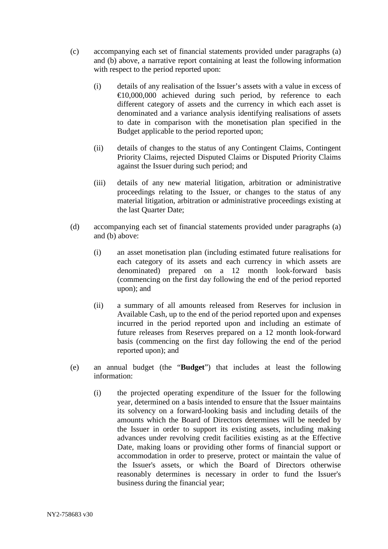- (c) accompanying each set of financial statements provided under paragraphs (a) and (b) above, a narrative report containing at least the following information with respect to the period reported upon:
	- (i) details of any realisation of the Issuer's assets with a value in excess of €10,000,000 achieved during such period, by reference to each different category of assets and the currency in which each asset is denominated and a variance analysis identifying realisations of assets to date in comparison with the monetisation plan specified in the Budget applicable to the period reported upon;
	- (ii) details of changes to the status of any Contingent Claims, Contingent Priority Claims, rejected Disputed Claims or Disputed Priority Claims against the Issuer during such period; and
	- (iii) details of any new material litigation, arbitration or administrative proceedings relating to the Issuer, or changes to the status of any material litigation, arbitration or administrative proceedings existing at the last Quarter Date;
- (d) accompanying each set of financial statements provided under paragraphs (a) and (b) above:
	- (i) an asset monetisation plan (including estimated future realisations for each category of its assets and each currency in which assets are denominated) prepared on a 12 month look-forward basis (commencing on the first day following the end of the period reported upon); and
	- (ii) a summary of all amounts released from Reserves for inclusion in Available Cash, up to the end of the period reported upon and expenses incurred in the period reported upon and including an estimate of future releases from Reserves prepared on a 12 month look-forward basis (commencing on the first day following the end of the period reported upon); and
- (e) an annual budget (the "**Budget**") that includes at least the following information:
	- (i) the projected operating expenditure of the Issuer for the following year, determined on a basis intended to ensure that the Issuer maintains its solvency on a forward-looking basis and including details of the amounts which the Board of Directors determines will be needed by the Issuer in order to support its existing assets, including making advances under revolving credit facilities existing as at the Effective Date, making loans or providing other forms of financial support or accommodation in order to preserve, protect or maintain the value of the Issuer's assets, or which the Board of Directors otherwise reasonably determines is necessary in order to fund the Issuer's business during the financial year;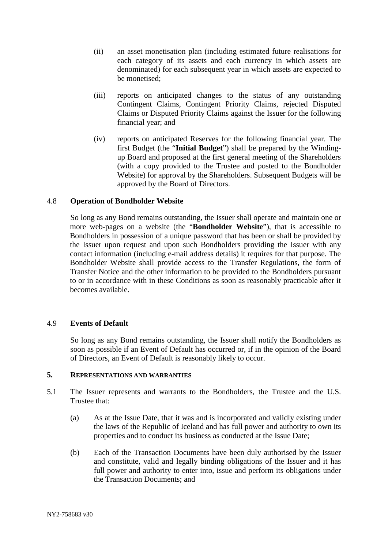- (ii) an asset monetisation plan (including estimated future realisations for each category of its assets and each currency in which assets are denominated) for each subsequent year in which assets are expected to be monetised;
- (iii) reports on anticipated changes to the status of any outstanding Contingent Claims, Contingent Priority Claims, rejected Disputed Claims or Disputed Priority Claims against the Issuer for the following financial year; and
- (iv) reports on anticipated Reserves for the following financial year. The first Budget (the "**Initial Budget**") shall be prepared by the Windingup Board and proposed at the first general meeting of the Shareholders (with a copy provided to the Trustee and posted to the Bondholder Website) for approval by the Shareholders. Subsequent Budgets will be approved by the Board of Directors.

# 4.8 **Operation of Bondholder Website**

So long as any Bond remains outstanding, the Issuer shall operate and maintain one or more web-pages on a website (the "**Bondholder Website**"), that is accessible to Bondholders in possession of a unique password that has been or shall be provided by the Issuer upon request and upon such Bondholders providing the Issuer with any contact information (including e-mail address details) it requires for that purpose. The Bondholder Website shall provide access to the Transfer Regulations, the form of Transfer Notice and the other information to be provided to the Bondholders pursuant to or in accordance with in these Conditions as soon as reasonably practicable after it becomes available.

# 4.9 **Events of Default**

So long as any Bond remains outstanding, the Issuer shall notify the Bondholders as soon as possible if an Event of Default has occurred or, if in the opinion of the Board of Directors, an Event of Default is reasonably likely to occur.

# **5. REPRESENTATIONS AND WARRANTIES**

- 5.1 The Issuer represents and warrants to the Bondholders, the Trustee and the U.S. Trustee that:
	- (a) As at the Issue Date, that it was and is incorporated and validly existing under the laws of the Republic of Iceland and has full power and authority to own its properties and to conduct its business as conducted at the Issue Date;
	- (b) Each of the Transaction Documents have been duly authorised by the Issuer and constitute, valid and legally binding obligations of the Issuer and it has full power and authority to enter into, issue and perform its obligations under the Transaction Documents; and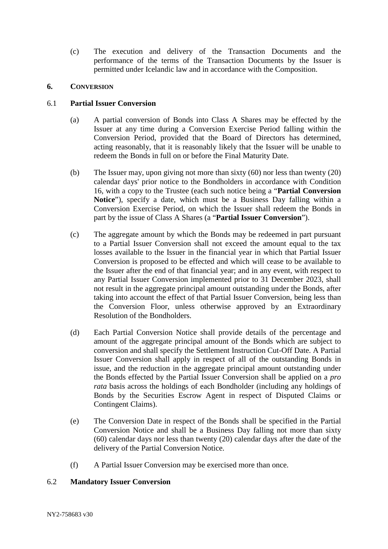(c) The execution and delivery of the Transaction Documents and the performance of the terms of the Transaction Documents by the Issuer is permitted under Icelandic law and in accordance with the Composition.

## **6. CONVERSION**

# 6.1 **Partial Issuer Conversion**

- (a) A partial conversion of Bonds into Class A Shares may be effected by the Issuer at any time during a Conversion Exercise Period falling within the Conversion Period, provided that the Board of Directors has determined, acting reasonably, that it is reasonably likely that the Issuer will be unable to redeem the Bonds in full on or before the Final Maturity Date.
- (b) The Issuer may, upon giving not more than sixty (60) nor less than twenty (20) calendar days' prior notice to the Bondholders in accordance with Condition 16, with a copy to the Trustee (each such notice being a "**Partial Conversion Notice**"), specify a date, which must be a Business Day falling within a Conversion Exercise Period, on which the Issuer shall redeem the Bonds in part by the issue of Class A Shares (a "**Partial Issuer Conversion**").
- (c) The aggregate amount by which the Bonds may be redeemed in part pursuant to a Partial Issuer Conversion shall not exceed the amount equal to the tax losses available to the Issuer in the financial year in which that Partial Issuer Conversion is proposed to be effected and which will cease to be available to the Issuer after the end of that financial year; and in any event, with respect to any Partial Issuer Conversion implemented prior to 31 December 2023, shall not result in the aggregate principal amount outstanding under the Bonds, after taking into account the effect of that Partial Issuer Conversion, being less than the Conversion Floor, unless otherwise approved by an Extraordinary Resolution of the Bondholders.
- (d) Each Partial Conversion Notice shall provide details of the percentage and amount of the aggregate principal amount of the Bonds which are subject to conversion and shall specify the Settlement Instruction Cut-Off Date. A Partial Issuer Conversion shall apply in respect of all of the outstanding Bonds in issue, and the reduction in the aggregate principal amount outstanding under the Bonds effected by the Partial Issuer Conversion shall be applied on a *pro rata* basis across the holdings of each Bondholder (including any holdings of Bonds by the Securities Escrow Agent in respect of Disputed Claims or Contingent Claims).
- (e) The Conversion Date in respect of the Bonds shall be specified in the Partial Conversion Notice and shall be a Business Day falling not more than sixty (60) calendar days nor less than twenty (20) calendar days after the date of the delivery of the Partial Conversion Notice.
- (f) A Partial Issuer Conversion may be exercised more than once.

## 6.2 **Mandatory Issuer Conversion**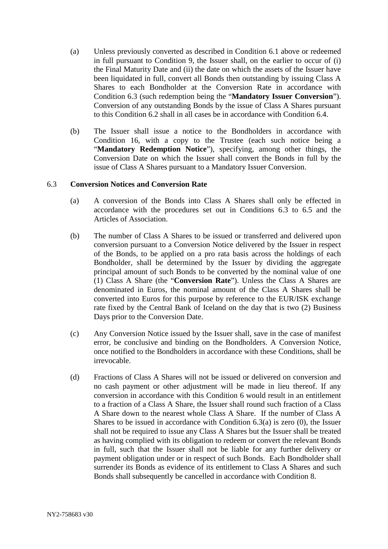- (a) Unless previously converted as described in Condition 6.1 above or redeemed in full pursuant to Condition 9, the Issuer shall, on the earlier to occur of (i) the Final Maturity Date and (ii) the date on which the assets of the Issuer have been liquidated in full, convert all Bonds then outstanding by issuing Class A Shares to each Bondholder at the Conversion Rate in accordance with Condition 6.3 (such redemption being the "**Mandatory Issuer Conversion**"). Conversion of any outstanding Bonds by the issue of Class A Shares pursuant to this Condition 6.2 shall in all cases be in accordance with Condition 6.4.
- (b) The Issuer shall issue a notice to the Bondholders in accordance with Condition 16, with a copy to the Trustee (each such notice being a "**Mandatory Redemption Notice**"), specifying, among other things, the Conversion Date on which the Issuer shall convert the Bonds in full by the issue of Class A Shares pursuant to a Mandatory Issuer Conversion.

#### 6.3 **Conversion Notices and Conversion Rate**

- (a) A conversion of the Bonds into Class A Shares shall only be effected in accordance with the procedures set out in Conditions 6.3 to 6.5 and the Articles of Association.
- (b) The number of Class A Shares to be issued or transferred and delivered upon conversion pursuant to a Conversion Notice delivered by the Issuer in respect of the Bonds, to be applied on a pro rata basis across the holdings of each Bondholder, shall be determined by the Issuer by dividing the aggregate principal amount of such Bonds to be converted by the nominal value of one (1) Class A Share (the "**Conversion Rate**"). Unless the Class A Shares are denominated in Euros, the nominal amount of the Class A Shares shall be converted into Euros for this purpose by reference to the EUR/ISK exchange rate fixed by the Central Bank of Iceland on the day that is two (2) Business Days prior to the Conversion Date.
- (c) Any Conversion Notice issued by the Issuer shall, save in the case of manifest error, be conclusive and binding on the Bondholders. A Conversion Notice, once notified to the Bondholders in accordance with these Conditions, shall be irrevocable.
- (d) Fractions of Class A Shares will not be issued or delivered on conversion and no cash payment or other adjustment will be made in lieu thereof. If any conversion in accordance with this Condition 6 would result in an entitlement to a fraction of a Class A Share, the Issuer shall round such fraction of a Class A Share down to the nearest whole Class A Share. If the number of Class A Shares to be issued in accordance with Condition  $6.3(a)$  is zero  $(0)$ , the Issuer shall not be required to issue any Class A Shares but the Issuer shall be treated as having complied with its obligation to redeem or convert the relevant Bonds in full, such that the Issuer shall not be liable for any further delivery or payment obligation under or in respect of such Bonds. Each Bondholder shall surrender its Bonds as evidence of its entitlement to Class A Shares and such Bonds shall subsequently be cancelled in accordance with Condition 8.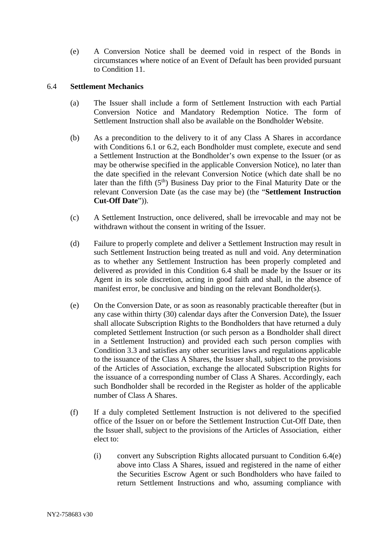(e) A Conversion Notice shall be deemed void in respect of the Bonds in circumstances where notice of an Event of Default has been provided pursuant to Condition 11.

## 6.4 **Settlement Mechanics**

- (a) The Issuer shall include a form of Settlement Instruction with each Partial Conversion Notice and Mandatory Redemption Notice. The form of Settlement Instruction shall also be available on the Bondholder Website.
- (b) As a precondition to the delivery to it of any Class A Shares in accordance with Conditions 6.1 or 6.2, each Bondholder must complete, execute and send a Settlement Instruction at the Bondholder's own expense to the Issuer (or as may be otherwise specified in the applicable Conversion Notice), no later than the date specified in the relevant Conversion Notice (which date shall be no later than the fifth  $(5<sup>th</sup>)$  Business Day prior to the Final Maturity Date or the relevant Conversion Date (as the case may be) (the "**Settlement Instruction Cut-Off Date**")).
- (c) A Settlement Instruction, once delivered, shall be irrevocable and may not be withdrawn without the consent in writing of the Issuer.
- (d) Failure to properly complete and deliver a Settlement Instruction may result in such Settlement Instruction being treated as null and void. Any determination as to whether any Settlement Instruction has been properly completed and delivered as provided in this Condition 6.4 shall be made by the Issuer or its Agent in its sole discretion, acting in good faith and shall, in the absence of manifest error, be conclusive and binding on the relevant Bondholder(s).
- (e) On the Conversion Date, or as soon as reasonably practicable thereafter (but in any case within thirty (30) calendar days after the Conversion Date), the Issuer shall allocate Subscription Rights to the Bondholders that have returned a duly completed Settlement Instruction (or such person as a Bondholder shall direct in a Settlement Instruction) and provided each such person complies with Condition 3.3 and satisfies any other securities laws and regulations applicable to the issuance of the Class A Shares, the Issuer shall, subject to the provisions of the Articles of Association, exchange the allocated Subscription Rights for the issuance of a corresponding number of Class A Shares. Accordingly, each such Bondholder shall be recorded in the Register as holder of the applicable number of Class A Shares.
- (f) If a duly completed Settlement Instruction is not delivered to the specified office of the Issuer on or before the Settlement Instruction Cut-Off Date, then the Issuer shall, subject to the provisions of the Articles of Association, either elect to:
	- (i) convert any Subscription Rights allocated pursuant to Condition 6.4(e) above into Class A Shares, issued and registered in the name of either the Securities Escrow Agent or such Bondholders who have failed to return Settlement Instructions and who, assuming compliance with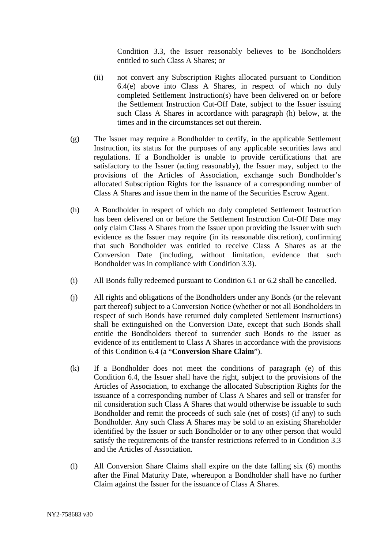Condition 3.3, the Issuer reasonably believes to be Bondholders entitled to such Class A Shares; or

- (ii) not convert any Subscription Rights allocated pursuant to Condition 6.4(e) above into Class A Shares, in respect of which no duly completed Settlement Instruction(s) have been delivered on or before the Settlement Instruction Cut-Off Date, subject to the Issuer issuing such Class A Shares in accordance with paragraph (h) below, at the times and in the circumstances set out therein.
- (g) The Issuer may require a Bondholder to certify, in the applicable Settlement Instruction, its status for the purposes of any applicable securities laws and regulations. If a Bondholder is unable to provide certifications that are satisfactory to the Issuer (acting reasonably), the Issuer may, subject to the provisions of the Articles of Association, exchange such Bondholder's allocated Subscription Rights for the issuance of a corresponding number of Class A Shares and issue them in the name of the Securities Escrow Agent.
- (h) A Bondholder in respect of which no duly completed Settlement Instruction has been delivered on or before the Settlement Instruction Cut-Off Date may only claim Class A Shares from the Issuer upon providing the Issuer with such evidence as the Issuer may require (in its reasonable discretion), confirming that such Bondholder was entitled to receive Class A Shares as at the Conversion Date (including, without limitation, evidence that such Bondholder was in compliance with Condition 3.3).
- (i) All Bonds fully redeemed pursuant to Condition 6.1 or 6.2 shall be cancelled.
- (j) All rights and obligations of the Bondholders under any Bonds (or the relevant part thereof) subject to a Conversion Notice (whether or not all Bondholders in respect of such Bonds have returned duly completed Settlement Instructions) shall be extinguished on the Conversion Date, except that such Bonds shall entitle the Bondholders thereof to surrender such Bonds to the Issuer as evidence of its entitlement to Class A Shares in accordance with the provisions of this Condition 6.4 (a "**Conversion Share Claim**").
- (k) If a Bondholder does not meet the conditions of paragraph (e) of this Condition 6.4, the Issuer shall have the right, subject to the provisions of the Articles of Association, to exchange the allocated Subscription Rights for the issuance of a corresponding number of Class A Shares and sell or transfer for nil consideration such Class A Shares that would otherwise be issuable to such Bondholder and remit the proceeds of such sale (net of costs) (if any) to such Bondholder. Any such Class A Shares may be sold to an existing Shareholder identified by the Issuer or such Bondholder or to any other person that would satisfy the requirements of the transfer restrictions referred to in Condition 3.3 and the Articles of Association.
- (l) All Conversion Share Claims shall expire on the date falling six (6) months after the Final Maturity Date, whereupon a Bondholder shall have no further Claim against the Issuer for the issuance of Class A Shares.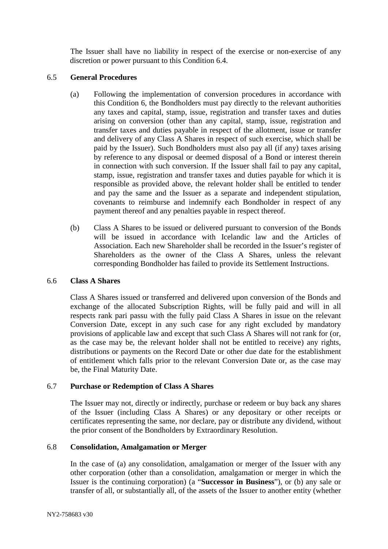The Issuer shall have no liability in respect of the exercise or non-exercise of any discretion or power pursuant to this Condition 6.4.

### 6.5 **General Procedures**

- (a) Following the implementation of conversion procedures in accordance with this Condition 6, the Bondholders must pay directly to the relevant authorities any taxes and capital, stamp, issue, registration and transfer taxes and duties arising on conversion (other than any capital, stamp, issue, registration and transfer taxes and duties payable in respect of the allotment, issue or transfer and delivery of any Class A Shares in respect of such exercise, which shall be paid by the Issuer). Such Bondholders must also pay all (if any) taxes arising by reference to any disposal or deemed disposal of a Bond or interest therein in connection with such conversion. If the Issuer shall fail to pay any capital, stamp, issue, registration and transfer taxes and duties payable for which it is responsible as provided above, the relevant holder shall be entitled to tender and pay the same and the Issuer as a separate and independent stipulation, covenants to reimburse and indemnify each Bondholder in respect of any payment thereof and any penalties payable in respect thereof.
- (b) Class A Shares to be issued or delivered pursuant to conversion of the Bonds will be issued in accordance with Icelandic law and the Articles of Association. Each new Shareholder shall be recorded in the Issuer's register of Shareholders as the owner of the Class A Shares, unless the relevant corresponding Bondholder has failed to provide its Settlement Instructions.

#### 6.6 **Class A Shares**

Class A Shares issued or transferred and delivered upon conversion of the Bonds and exchange of the allocated Subscription Rights, will be fully paid and will in all respects rank pari passu with the fully paid Class A Shares in issue on the relevant Conversion Date, except in any such case for any right excluded by mandatory provisions of applicable law and except that such Class A Shares will not rank for (or, as the case may be, the relevant holder shall not be entitled to receive) any rights, distributions or payments on the Record Date or other due date for the establishment of entitlement which falls prior to the relevant Conversion Date or, as the case may be, the Final Maturity Date.

## 6.7 **Purchase or Redemption of Class A Shares**

The Issuer may not, directly or indirectly, purchase or redeem or buy back any shares of the Issuer (including Class A Shares) or any depositary or other receipts or certificates representing the same, nor declare, pay or distribute any dividend, without the prior consent of the Bondholders by Extraordinary Resolution.

## 6.8 **Consolidation, Amalgamation or Merger**

In the case of (a) any consolidation, amalgamation or merger of the Issuer with any other corporation (other than a consolidation, amalgamation or merger in which the Issuer is the continuing corporation) (a "**Successor in Business**"), or (b) any sale or transfer of all, or substantially all, of the assets of the Issuer to another entity (whether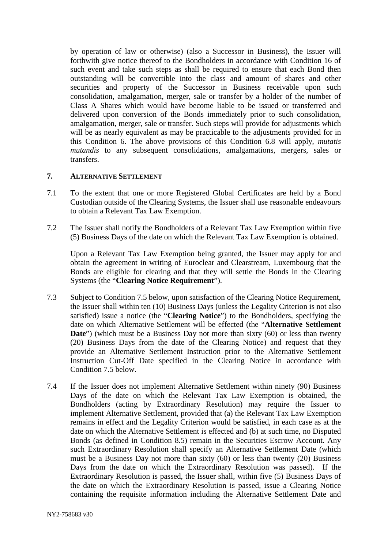by operation of law or otherwise) (also a Successor in Business), the Issuer will forthwith give notice thereof to the Bondholders in accordance with Condition 16 of such event and take such steps as shall be required to ensure that each Bond then outstanding will be convertible into the class and amount of shares and other securities and property of the Successor in Business receivable upon such consolidation, amalgamation, merger, sale or transfer by a holder of the number of Class A Shares which would have become liable to be issued or transferred and delivered upon conversion of the Bonds immediately prior to such consolidation, amalgamation, merger, sale or transfer. Such steps will provide for adjustments which will be as nearly equivalent as may be practicable to the adjustments provided for in this Condition 6. The above provisions of this Condition 6.8 will apply, *mutatis mutandis* to any subsequent consolidations, amalgamations, mergers, sales or transfers.

# **7. ALTERNATIVE SETTLEMENT**

- 7.1 To the extent that one or more Registered Global Certificates are held by a Bond Custodian outside of the Clearing Systems, the Issuer shall use reasonable endeavours to obtain a Relevant Tax Law Exemption.
- 7.2 The Issuer shall notify the Bondholders of a Relevant Tax Law Exemption within five (5) Business Days of the date on which the Relevant Tax Law Exemption is obtained.

Upon a Relevant Tax Law Exemption being granted, the Issuer may apply for and obtain the agreement in writing of Euroclear and Clearstream, Luxembourg that the Bonds are eligible for clearing and that they will settle the Bonds in the Clearing Systems (the "**Clearing Notice Requirement**").

- 7.3 Subject to Condition 7.5 below, upon satisfaction of the Clearing Notice Requirement, the Issuer shall within ten (10) Business Days (unless the Legality Criterion is not also satisfied) issue a notice (the "**Clearing Notice**") to the Bondholders, specifying the date on which Alternative Settlement will be effected (the "**Alternative Settlement Date**") (which must be a Business Day not more than sixty (60) or less than twenty (20) Business Days from the date of the Clearing Notice) and request that they provide an Alternative Settlement Instruction prior to the Alternative Settlement Instruction Cut-Off Date specified in the Clearing Notice in accordance with Condition 7.5 below.
- 7.4 If the Issuer does not implement Alternative Settlement within ninety (90) Business Days of the date on which the Relevant Tax Law Exemption is obtained, the Bondholders (acting by Extraordinary Resolution) may require the Issuer to implement Alternative Settlement, provided that (a) the Relevant Tax Law Exemption remains in effect and the Legality Criterion would be satisfied, in each case as at the date on which the Alternative Settlement is effected and (b) at such time, no Disputed Bonds (as defined in Condition 8.5) remain in the Securities Escrow Account. Any such Extraordinary Resolution shall specify an Alternative Settlement Date (which must be a Business Day not more than sixty (60) or less than twenty (20) Business Days from the date on which the Extraordinary Resolution was passed). If the Extraordinary Resolution is passed, the Issuer shall, within five (5) Business Days of the date on which the Extraordinary Resolution is passed, issue a Clearing Notice containing the requisite information including the Alternative Settlement Date and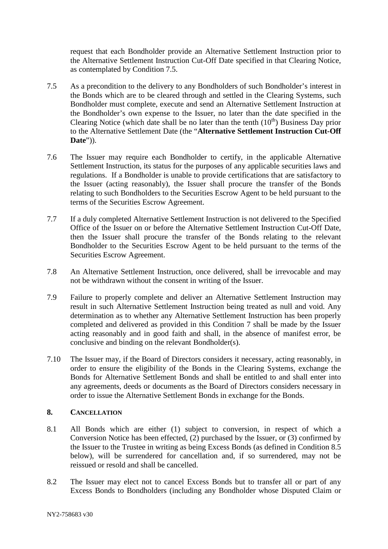request that each Bondholder provide an Alternative Settlement Instruction prior to the Alternative Settlement Instruction Cut-Off Date specified in that Clearing Notice, as contemplated by Condition 7.5.

- 7.5 As a precondition to the delivery to any Bondholders of such Bondholder's interest in the Bonds which are to be cleared through and settled in the Clearing Systems, such Bondholder must complete, execute and send an Alternative Settlement Instruction at the Bondholder's own expense to the Issuer, no later than the date specified in the Clearing Notice (which date shall be no later than the tenth  $(10<sup>th</sup>)$  Business Day prior to the Alternative Settlement Date (the "**Alternative Settlement Instruction Cut-Off Date**")).
- 7.6 The Issuer may require each Bondholder to certify, in the applicable Alternative Settlement Instruction, its status for the purposes of any applicable securities laws and regulations. If a Bondholder is unable to provide certifications that are satisfactory to the Issuer (acting reasonably), the Issuer shall procure the transfer of the Bonds relating to such Bondholders to the Securities Escrow Agent to be held pursuant to the terms of the Securities Escrow Agreement.
- 7.7 If a duly completed Alternative Settlement Instruction is not delivered to the Specified Office of the Issuer on or before the Alternative Settlement Instruction Cut-Off Date, then the Issuer shall procure the transfer of the Bonds relating to the relevant Bondholder to the Securities Escrow Agent to be held pursuant to the terms of the Securities Escrow Agreement.
- 7.8 An Alternative Settlement Instruction, once delivered, shall be irrevocable and may not be withdrawn without the consent in writing of the Issuer.
- 7.9 Failure to properly complete and deliver an Alternative Settlement Instruction may result in such Alternative Settlement Instruction being treated as null and void. Any determination as to whether any Alternative Settlement Instruction has been properly completed and delivered as provided in this Condition 7 shall be made by the Issuer acting reasonably and in good faith and shall, in the absence of manifest error, be conclusive and binding on the relevant Bondholder(s).
- 7.10 The Issuer may, if the Board of Directors considers it necessary, acting reasonably, in order to ensure the eligibility of the Bonds in the Clearing Systems, exchange the Bonds for Alternative Settlement Bonds and shall be entitled to and shall enter into any agreements, deeds or documents as the Board of Directors considers necessary in order to issue the Alternative Settlement Bonds in exchange for the Bonds.

# **8. CANCELLATION**

- 8.1 All Bonds which are either (1) subject to conversion, in respect of which a Conversion Notice has been effected, (2) purchased by the Issuer, or (3) confirmed by the Issuer to the Trustee in writing as being Excess Bonds (as defined in Condition 8.5 below), will be surrendered for cancellation and, if so surrendered, may not be reissued or resold and shall be cancelled.
- 8.2 The Issuer may elect not to cancel Excess Bonds but to transfer all or part of any Excess Bonds to Bondholders (including any Bondholder whose Disputed Claim or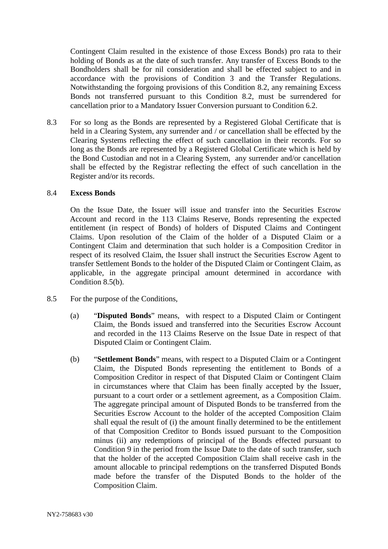Contingent Claim resulted in the existence of those Excess Bonds) pro rata to their holding of Bonds as at the date of such transfer. Any transfer of Excess Bonds to the Bondholders shall be for nil consideration and shall be effected subject to and in accordance with the provisions of Condition 3 and the Transfer Regulations. Notwithstanding the forgoing provisions of this Condition 8.2, any remaining Excess Bonds not transferred pursuant to this Condition 8.2, must be surrendered for cancellation prior to a Mandatory Issuer Conversion pursuant to Condition 6.2.

8.3 For so long as the Bonds are represented by a Registered Global Certificate that is held in a Clearing System, any surrender and / or cancellation shall be effected by the Clearing Systems reflecting the effect of such cancellation in their records. For so long as the Bonds are represented by a Registered Global Certificate which is held by the Bond Custodian and not in a Clearing System, any surrender and/or cancellation shall be effected by the Registrar reflecting the effect of such cancellation in the Register and/or its records.

#### 8.4 **Excess Bonds**

On the Issue Date, the Issuer will issue and transfer into the Securities Escrow Account and record in the 113 Claims Reserve, Bonds representing the expected entitlement (in respect of Bonds) of holders of Disputed Claims and Contingent Claims. Upon resolution of the Claim of the holder of a Disputed Claim or a Contingent Claim and determination that such holder is a Composition Creditor in respect of its resolved Claim, the Issuer shall instruct the Securities Escrow Agent to transfer Settlement Bonds to the holder of the Disputed Claim or Contingent Claim, as applicable, in the aggregate principal amount determined in accordance with Condition 8.5(b).

- 8.5 For the purpose of the Conditions,
	- (a) "**Disputed Bonds**" means, with respect to a Disputed Claim or Contingent Claim, the Bonds issued and transferred into the Securities Escrow Account and recorded in the 113 Claims Reserve on the Issue Date in respect of that Disputed Claim or Contingent Claim.
	- (b) "**Settlement Bonds**" means, with respect to a Disputed Claim or a Contingent Claim, the Disputed Bonds representing the entitlement to Bonds of a Composition Creditor in respect of that Disputed Claim or Contingent Claim in circumstances where that Claim has been finally accepted by the Issuer, pursuant to a court order or a settlement agreement, as a Composition Claim. The aggregate principal amount of Disputed Bonds to be transferred from the Securities Escrow Account to the holder of the accepted Composition Claim shall equal the result of (i) the amount finally determined to be the entitlement of that Composition Creditor to Bonds issued pursuant to the Composition minus (ii) any redemptions of principal of the Bonds effected pursuant to Condition 9 in the period from the Issue Date to the date of such transfer, such that the holder of the accepted Composition Claim shall receive cash in the amount allocable to principal redemptions on the transferred Disputed Bonds made before the transfer of the Disputed Bonds to the holder of the Composition Claim.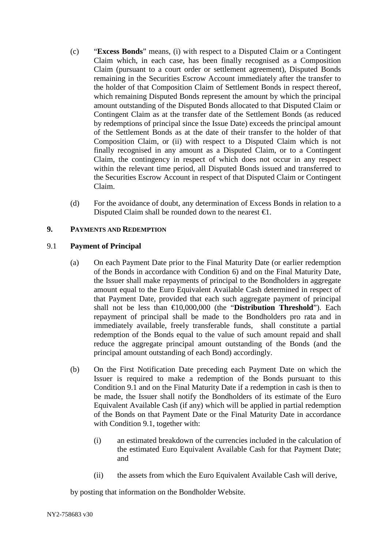- (c) "**Excess Bonds**" means, (i) with respect to a Disputed Claim or a Contingent Claim which, in each case, has been finally recognised as a Composition Claim (pursuant to a court order or settlement agreement), Disputed Bonds remaining in the Securities Escrow Account immediately after the transfer to the holder of that Composition Claim of Settlement Bonds in respect thereof, which remaining Disputed Bonds represent the amount by which the principal amount outstanding of the Disputed Bonds allocated to that Disputed Claim or Contingent Claim as at the transfer date of the Settlement Bonds (as reduced by redemptions of principal since the Issue Date) exceeds the principal amount of the Settlement Bonds as at the date of their transfer to the holder of that Composition Claim, or (ii) with respect to a Disputed Claim which is not finally recognised in any amount as a Disputed Claim, or to a Contingent Claim, the contingency in respect of which does not occur in any respect within the relevant time period, all Disputed Bonds issued and transferred to the Securities Escrow Account in respect of that Disputed Claim or Contingent Claim.
- (d) For the avoidance of doubt, any determination of Excess Bonds in relation to a Disputed Claim shall be rounded down to the nearest  $\epsilon$ .

# **9. PAYMENTS AND REDEMPTION**

## 9.1 **Payment of Principal**

- (a) On each Payment Date prior to the Final Maturity Date (or earlier redemption of the Bonds in accordance with Condition 6) and on the Final Maturity Date, the Issuer shall make repayments of principal to the Bondholders in aggregate amount equal to the Euro Equivalent Available Cash determined in respect of that Payment Date, provided that each such aggregate payment of principal shall not be less than €10,000,000 (the "**Distribution Threshold**"). Each repayment of principal shall be made to the Bondholders pro rata and in immediately available, freely transferable funds, shall constitute a partial redemption of the Bonds equal to the value of such amount repaid and shall reduce the aggregate principal amount outstanding of the Bonds (and the principal amount outstanding of each Bond) accordingly.
- (b) On the First Notification Date preceding each Payment Date on which the Issuer is required to make a redemption of the Bonds pursuant to this Condition 9.1 and on the Final Maturity Date if a redemption in cash is then to be made, the Issuer shall notify the Bondholders of its estimate of the Euro Equivalent Available Cash (if any) which will be applied in partial redemption of the Bonds on that Payment Date or the Final Maturity Date in accordance with Condition 9.1, together with:
	- (i) an estimated breakdown of the currencies included in the calculation of the estimated Euro Equivalent Available Cash for that Payment Date; and
	- (ii) the assets from which the Euro Equivalent Available Cash will derive,

by posting that information on the Bondholder Website.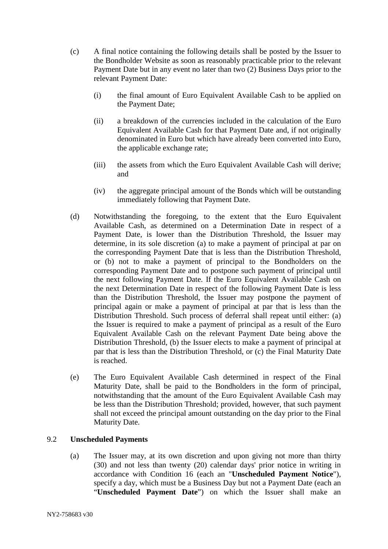- (c) A final notice containing the following details shall be posted by the Issuer to the Bondholder Website as soon as reasonably practicable prior to the relevant Payment Date but in any event no later than two (2) Business Days prior to the relevant Payment Date:
	- (i) the final amount of Euro Equivalent Available Cash to be applied on the Payment Date;
	- (ii) a breakdown of the currencies included in the calculation of the Euro Equivalent Available Cash for that Payment Date and, if not originally denominated in Euro but which have already been converted into Euro, the applicable exchange rate;
	- (iii) the assets from which the Euro Equivalent Available Cash will derive; and
	- (iv) the aggregate principal amount of the Bonds which will be outstanding immediately following that Payment Date.
- (d) Notwithstanding the foregoing, to the extent that the Euro Equivalent Available Cash, as determined on a Determination Date in respect of a Payment Date, is lower than the Distribution Threshold, the Issuer may determine, in its sole discretion (a) to make a payment of principal at par on the corresponding Payment Date that is less than the Distribution Threshold, or (b) not to make a payment of principal to the Bondholders on the corresponding Payment Date and to postpone such payment of principal until the next following Payment Date. If the Euro Equivalent Available Cash on the next Determination Date in respect of the following Payment Date is less than the Distribution Threshold, the Issuer may postpone the payment of principal again or make a payment of principal at par that is less than the Distribution Threshold. Such process of deferral shall repeat until either: (a) the Issuer is required to make a payment of principal as a result of the Euro Equivalent Available Cash on the relevant Payment Date being above the Distribution Threshold, (b) the Issuer elects to make a payment of principal at par that is less than the Distribution Threshold, or (c) the Final Maturity Date is reached.
- (e) The Euro Equivalent Available Cash determined in respect of the Final Maturity Date, shall be paid to the Bondholders in the form of principal, notwithstanding that the amount of the Euro Equivalent Available Cash may be less than the Distribution Threshold; provided, however, that such payment shall not exceed the principal amount outstanding on the day prior to the Final Maturity Date.

## 9.2 **Unscheduled Payments**

(a) The Issuer may, at its own discretion and upon giving not more than thirty (30) and not less than twenty (20) calendar days' prior notice in writing in accordance with Condition 16 (each an "**Unscheduled Payment Notice**"), specify a day, which must be a Business Day but not a Payment Date (each an "**Unscheduled Payment Date**") on which the Issuer shall make an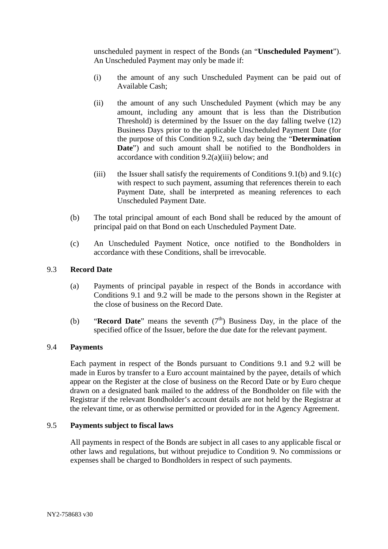unscheduled payment in respect of the Bonds (an "**Unscheduled Payment**"). An Unscheduled Payment may only be made if:

- (i) the amount of any such Unscheduled Payment can be paid out of Available Cash;
- (ii) the amount of any such Unscheduled Payment (which may be any amount, including any amount that is less than the Distribution Threshold) is determined by the Issuer on the day falling twelve (12) Business Days prior to the applicable Unscheduled Payment Date (for the purpose of this Condition 9.2, such day being the "**Determination Date**") and such amount shall be notified to the Bondholders in accordance with condition 9.2(a)(iii) below; and
- (iii) the Issuer shall satisfy the requirements of Conditions  $9.1(b)$  and  $9.1(c)$ with respect to such payment, assuming that references therein to each Payment Date, shall be interpreted as meaning references to each Unscheduled Payment Date.
- (b) The total principal amount of each Bond shall be reduced by the amount of principal paid on that Bond on each Unscheduled Payment Date.
- (c) An Unscheduled Payment Notice, once notified to the Bondholders in accordance with these Conditions, shall be irrevocable.

## 9.3 **Record Date**

- (a) Payments of principal payable in respect of the Bonds in accordance with Conditions 9.1 and 9.2 will be made to the persons shown in the Register at the close of business on the Record Date.
- (b) **"Record Date"** means the seventh  $(7<sup>th</sup>)$  Business Day, in the place of the specified office of the Issuer, before the due date for the relevant payment.

## 9.4 **Payments**

Each payment in respect of the Bonds pursuant to Conditions 9.1 and 9.2 will be made in Euros by transfer to a Euro account maintained by the payee, details of which appear on the Register at the close of business on the Record Date or by Euro cheque drawn on a designated bank mailed to the address of the Bondholder on file with the Registrar if the relevant Bondholder's account details are not held by the Registrar at the relevant time, or as otherwise permitted or provided for in the Agency Agreement.

## 9.5 **Payments subject to fiscal laws**

All payments in respect of the Bonds are subject in all cases to any applicable fiscal or other laws and regulations, but without prejudice to Condition 9. No commissions or expenses shall be charged to Bondholders in respect of such payments.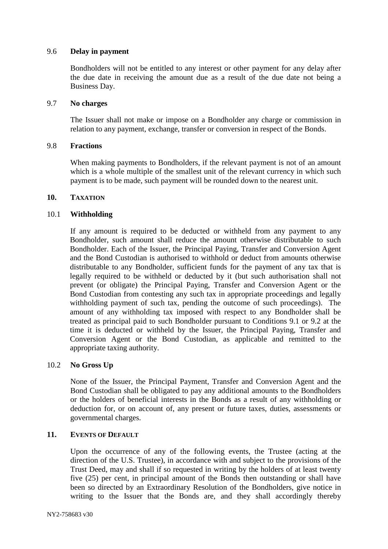## 9.6 **Delay in payment**

Bondholders will not be entitled to any interest or other payment for any delay after the due date in receiving the amount due as a result of the due date not being a Business Day.

### 9.7 **No charges**

The Issuer shall not make or impose on a Bondholder any charge or commission in relation to any payment, exchange, transfer or conversion in respect of the Bonds.

## 9.8 **Fractions**

When making payments to Bondholders, if the relevant payment is not of an amount which is a whole multiple of the smallest unit of the relevant currency in which such payment is to be made, such payment will be rounded down to the nearest unit.

#### **10. TAXATION**

## 10.1 **Withholding**

If any amount is required to be deducted or withheld from any payment to any Bondholder, such amount shall reduce the amount otherwise distributable to such Bondholder. Each of the Issuer, the Principal Paying, Transfer and Conversion Agent and the Bond Custodian is authorised to withhold or deduct from amounts otherwise distributable to any Bondholder, sufficient funds for the payment of any tax that is legally required to be withheld or deducted by it (but such authorisation shall not prevent (or obligate) the Principal Paying, Transfer and Conversion Agent or the Bond Custodian from contesting any such tax in appropriate proceedings and legally withholding payment of such tax, pending the outcome of such proceedings). The amount of any withholding tax imposed with respect to any Bondholder shall be treated as principal paid to such Bondholder pursuant to Conditions 9.1 or 9.2 at the time it is deducted or withheld by the Issuer, the Principal Paying, Transfer and Conversion Agent or the Bond Custodian, as applicable and remitted to the appropriate taxing authority.

#### 10.2 **No Gross Up**

None of the Issuer, the Principal Payment, Transfer and Conversion Agent and the Bond Custodian shall be obligated to pay any additional amounts to the Bondholders or the holders of beneficial interests in the Bonds as a result of any withholding or deduction for, or on account of, any present or future taxes, duties, assessments or governmental charges.

#### **11. EVENTS OF DEFAULT**

Upon the occurrence of any of the following events, the Trustee (acting at the direction of the U.S. Trustee), in accordance with and subject to the provisions of the Trust Deed, may and shall if so requested in writing by the holders of at least twenty five (25) per cent, in principal amount of the Bonds then outstanding or shall have been so directed by an Extraordinary Resolution of the Bondholders, give notice in writing to the Issuer that the Bonds are, and they shall accordingly thereby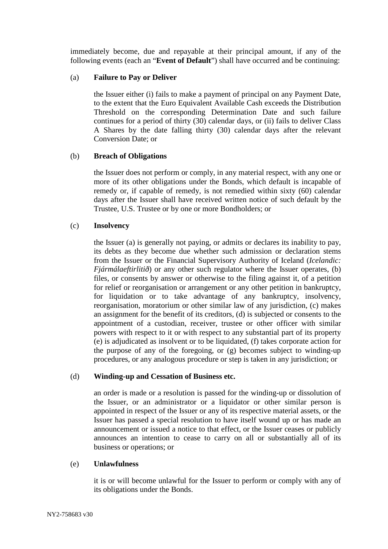immediately become, due and repayable at their principal amount, if any of the following events (each an "**Event of Default**") shall have occurred and be continuing:

## (a) **Failure to Pay or Deliver**

the Issuer either (i) fails to make a payment of principal on any Payment Date, to the extent that the Euro Equivalent Available Cash exceeds the Distribution Threshold on the corresponding Determination Date and such failure continues for a period of thirty (30) calendar days, or (ii) fails to deliver Class A Shares by the date falling thirty (30) calendar days after the relevant Conversion Date; or

# (b) **Breach of Obligations**

the Issuer does not perform or comply, in any material respect, with any one or more of its other obligations under the Bonds, which default is incapable of remedy or, if capable of remedy, is not remedied within sixty (60) calendar days after the Issuer shall have received written notice of such default by the Trustee, U.S. Trustee or by one or more Bondholders; or

# (c) **Insolvency**

the Issuer (a) is generally not paying, or admits or declares its inability to pay, its debts as they become due whether such admission or declaration stems from the Issuer or the Financial Supervisory Authority of Iceland (*Icelandic: Fjármálaeftirlitið*) or any other such regulator where the Issuer operates, (b) files, or consents by answer or otherwise to the filing against it, of a petition for relief or reorganisation or arrangement or any other petition in bankruptcy, for liquidation or to take advantage of any bankruptcy, insolvency, reorganisation, moratorium or other similar law of any jurisdiction, (c) makes an assignment for the benefit of its creditors, (d) is subjected or consents to the appointment of a custodian, receiver, trustee or other officer with similar powers with respect to it or with respect to any substantial part of its property (e) is adjudicated as insolvent or to be liquidated, (f) takes corporate action for the purpose of any of the foregoing, or (g) becomes subject to winding-up procedures, or any analogous procedure or step is taken in any jurisdiction; or

# (d) **Winding-up and Cessation of Business etc.**

an order is made or a resolution is passed for the winding-up or dissolution of the Issuer, or an administrator or a liquidator or other similar person is appointed in respect of the Issuer or any of its respective material assets, or the Issuer has passed a special resolution to have itself wound up or has made an announcement or issued a notice to that effect, or the Issuer ceases or publicly announces an intention to cease to carry on all or substantially all of its business or operations; or

## (e) **Unlawfulness**

it is or will become unlawful for the Issuer to perform or comply with any of its obligations under the Bonds.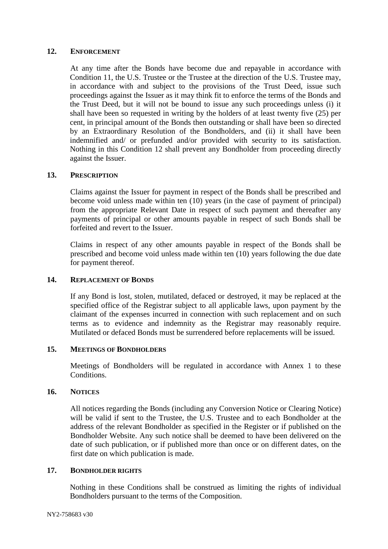#### **12. ENFORCEMENT**

At any time after the Bonds have become due and repayable in accordance with Condition 11, the U.S. Trustee or the Trustee at the direction of the U.S. Trustee may, in accordance with and subject to the provisions of the Trust Deed, issue such proceedings against the Issuer as it may think fit to enforce the terms of the Bonds and the Trust Deed, but it will not be bound to issue any such proceedings unless (i) it shall have been so requested in writing by the holders of at least twenty five (25) per cent, in principal amount of the Bonds then outstanding or shall have been so directed by an Extraordinary Resolution of the Bondholders, and (ii) it shall have been indemnified and/ or prefunded and/or provided with security to its satisfaction. Nothing in this Condition 12 shall prevent any Bondholder from proceeding directly against the Issuer.

#### **13. PRESCRIPTION**

Claims against the Issuer for payment in respect of the Bonds shall be prescribed and become void unless made within ten (10) years (in the case of payment of principal) from the appropriate Relevant Date in respect of such payment and thereafter any payments of principal or other amounts payable in respect of such Bonds shall be forfeited and revert to the Issuer.

Claims in respect of any other amounts payable in respect of the Bonds shall be prescribed and become void unless made within ten (10) years following the due date for payment thereof.

## **14. REPLACEMENT OF BONDS**

If any Bond is lost, stolen, mutilated, defaced or destroyed, it may be replaced at the specified office of the Registrar subject to all applicable laws, upon payment by the claimant of the expenses incurred in connection with such replacement and on such terms as to evidence and indemnity as the Registrar may reasonably require. Mutilated or defaced Bonds must be surrendered before replacements will be issued.

### **15. MEETINGS OF BONDHOLDERS**

Meetings of Bondholders will be regulated in accordance with Annex 1 to these Conditions.

## **16. NOTICES**

All notices regarding the Bonds (including any Conversion Notice or Clearing Notice) will be valid if sent to the Trustee, the U.S. Trustee and to each Bondholder at the address of the relevant Bondholder as specified in the Register or if published on the Bondholder Website. Any such notice shall be deemed to have been delivered on the date of such publication, or if published more than once or on different dates, on the first date on which publication is made.

## **17. BONDHOLDER RIGHTS**

Nothing in these Conditions shall be construed as limiting the rights of individual Bondholders pursuant to the terms of the Composition.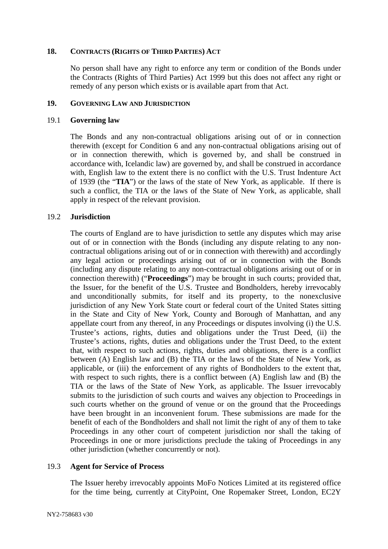### **18. CONTRACTS (RIGHTS OF THIRD PARTIES) ACT**

No person shall have any right to enforce any term or condition of the Bonds under the Contracts (Rights of Third Parties) Act 1999 but this does not affect any right or remedy of any person which exists or is available apart from that Act.

#### **19. GOVERNING LAW AND JURISDICTION**

#### 19.1 **Governing law**

The Bonds and any non-contractual obligations arising out of or in connection therewith (except for Condition 6 and any non-contractual obligations arising out of or in connection therewith, which is governed by, and shall be construed in accordance with, Icelandic law) are governed by, and shall be construed in accordance with, English law to the extent there is no conflict with the U.S. Trust Indenture Act of 1939 (the "**TIA**") or the laws of the state of New York, as applicable. If there is such a conflict, the TIA or the laws of the State of New York, as applicable, shall apply in respect of the relevant provision.

## 19.2 **Jurisdiction**

The courts of England are to have jurisdiction to settle any disputes which may arise out of or in connection with the Bonds (including any dispute relating to any noncontractual obligations arising out of or in connection with therewith) and accordingly any legal action or proceedings arising out of or in connection with the Bonds (including any dispute relating to any non-contractual obligations arising out of or in connection therewith) ("**Proceedings**") may be brought in such courts; provided that, the Issuer, for the benefit of the U.S. Trustee and Bondholders, hereby irrevocably and unconditionally submits, for itself and its property, to the nonexclusive jurisdiction of any New York State court or federal court of the United States sitting in the State and City of New York, County and Borough of Manhattan, and any appellate court from any thereof, in any Proceedings or disputes involving (i) the U.S. Trustee's actions, rights, duties and obligations under the Trust Deed, (ii) the Trustee's actions, rights, duties and obligations under the Trust Deed, to the extent that, with respect to such actions, rights, duties and obligations, there is a conflict between (A) English law and (B) the TIA or the laws of the State of New York, as applicable, or (iii) the enforcement of any rights of Bondholders to the extent that, with respect to such rights, there is a conflict between (A) English law and (B) the TIA or the laws of the State of New York, as applicable. The Issuer irrevocably submits to the jurisdiction of such courts and waives any objection to Proceedings in such courts whether on the ground of venue or on the ground that the Proceedings have been brought in an inconvenient forum. These submissions are made for the benefit of each of the Bondholders and shall not limit the right of any of them to take Proceedings in any other court of competent jurisdiction nor shall the taking of Proceedings in one or more jurisdictions preclude the taking of Proceedings in any other jurisdiction (whether concurrently or not).

## 19.3 **Agent for Service of Process**

The Issuer hereby irrevocably appoints MoFo Notices Limited at its registered office for the time being, currently at CityPoint, One Ropemaker Street, London, EC2Y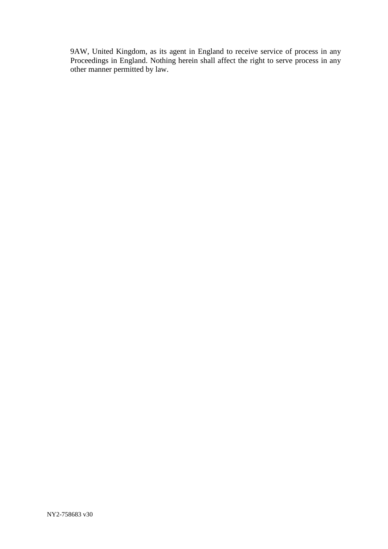9AW, United Kingdom, as its agent in England to receive service of process in any Proceedings in England. Nothing herein shall affect the right to serve process in any other manner permitted by law.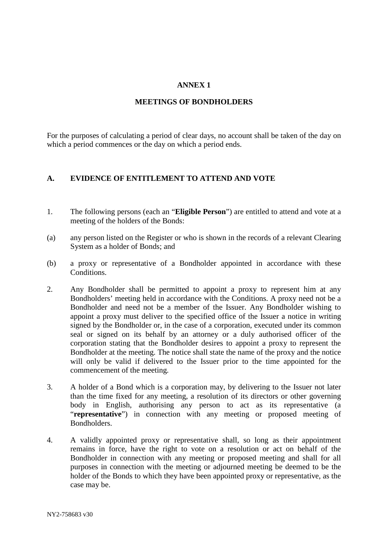## **ANNEX 1**

#### **MEETINGS OF BONDHOLDERS**

For the purposes of calculating a period of clear days, no account shall be taken of the day on which a period commences or the day on which a period ends.

#### **A. EVIDENCE OF ENTITLEMENT TO ATTEND AND VOTE**

- 1. The following persons (each an "**Eligible Person**") are entitled to attend and vote at a meeting of the holders of the Bonds:
- (a) any person listed on the Register or who is shown in the records of a relevant Clearing System as a holder of Bonds; and
- (b) a proxy or representative of a Bondholder appointed in accordance with these Conditions.
- 2. Any Bondholder shall be permitted to appoint a proxy to represent him at any Bondholders' meeting held in accordance with the Conditions. A proxy need not be a Bondholder and need not be a member of the Issuer. Any Bondholder wishing to appoint a proxy must deliver to the specified office of the Issuer a notice in writing signed by the Bondholder or, in the case of a corporation, executed under its common seal or signed on its behalf by an attorney or a duly authorised officer of the corporation stating that the Bondholder desires to appoint a proxy to represent the Bondholder at the meeting. The notice shall state the name of the proxy and the notice will only be valid if delivered to the Issuer prior to the time appointed for the commencement of the meeting.
- 3. A holder of a Bond which is a corporation may, by delivering to the Issuer not later than the time fixed for any meeting, a resolution of its directors or other governing body in English, authorising any person to act as its representative (a "**representative**") in connection with any meeting or proposed meeting of Bondholders.
- 4. A validly appointed proxy or representative shall, so long as their appointment remains in force, have the right to vote on a resolution or act on behalf of the Bondholder in connection with any meeting or proposed meeting and shall for all purposes in connection with the meeting or adjourned meeting be deemed to be the holder of the Bonds to which they have been appointed proxy or representative, as the case may be.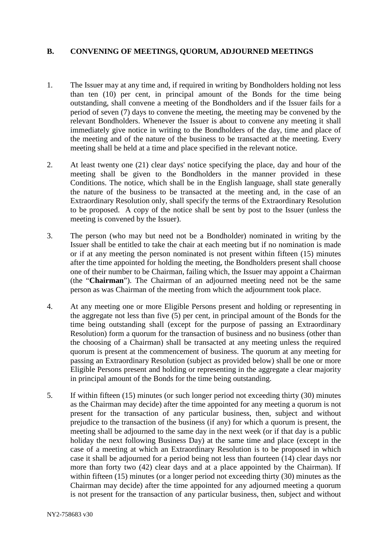# **B. CONVENING OF MEETINGS, QUORUM, ADJOURNED MEETINGS**

- 1. The Issuer may at any time and, if required in writing by Bondholders holding not less than ten (10) per cent, in principal amount of the Bonds for the time being outstanding, shall convene a meeting of the Bondholders and if the Issuer fails for a period of seven (7) days to convene the meeting, the meeting may be convened by the relevant Bondholders. Whenever the Issuer is about to convene any meeting it shall immediately give notice in writing to the Bondholders of the day, time and place of the meeting and of the nature of the business to be transacted at the meeting. Every meeting shall be held at a time and place specified in the relevant notice.
- 2. At least twenty one (21) clear days' notice specifying the place, day and hour of the meeting shall be given to the Bondholders in the manner provided in these Conditions. The notice, which shall be in the English language, shall state generally the nature of the business to be transacted at the meeting and, in the case of an Extraordinary Resolution only, shall specify the terms of the Extraordinary Resolution to be proposed. A copy of the notice shall be sent by post to the Issuer (unless the meeting is convened by the Issuer).
- 3. The person (who may but need not be a Bondholder) nominated in writing by the Issuer shall be entitled to take the chair at each meeting but if no nomination is made or if at any meeting the person nominated is not present within fifteen (15) minutes after the time appointed for holding the meeting, the Bondholders present shall choose one of their number to be Chairman, failing which, the Issuer may appoint a Chairman (the "**Chairman**"). The Chairman of an adjourned meeting need not be the same person as was Chairman of the meeting from which the adjournment took place.
- 4. At any meeting one or more Eligible Persons present and holding or representing in the aggregate not less than five (5) per cent, in principal amount of the Bonds for the time being outstanding shall (except for the purpose of passing an Extraordinary Resolution) form a quorum for the transaction of business and no business (other than the choosing of a Chairman) shall be transacted at any meeting unless the required quorum is present at the commencement of business. The quorum at any meeting for passing an Extraordinary Resolution (subject as provided below) shall be one or more Eligible Persons present and holding or representing in the aggregate a clear majority in principal amount of the Bonds for the time being outstanding.
- 5. If within fifteen (15) minutes (or such longer period not exceeding thirty (30) minutes as the Chairman may decide) after the time appointed for any meeting a quorum is not present for the transaction of any particular business, then, subject and without prejudice to the transaction of the business (if any) for which a quorum is present, the meeting shall be adjourned to the same day in the next week (or if that day is a public holiday the next following Business Day) at the same time and place (except in the case of a meeting at which an Extraordinary Resolution is to be proposed in which case it shall be adjourned for a period being not less than fourteen (14) clear days nor more than forty two (42) clear days and at a place appointed by the Chairman). If within fifteen (15) minutes (or a longer period not exceeding thirty (30) minutes as the Chairman may decide) after the time appointed for any adjourned meeting a quorum is not present for the transaction of any particular business, then, subject and without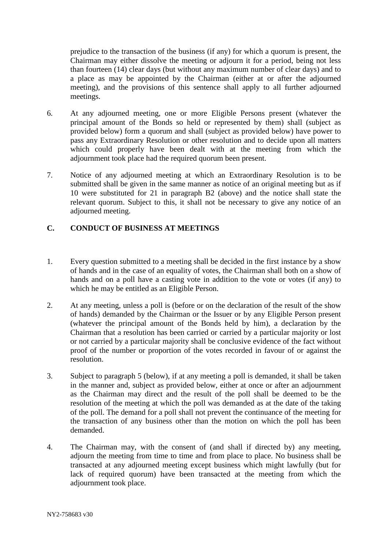prejudice to the transaction of the business (if any) for which a quorum is present, the Chairman may either dissolve the meeting or adjourn it for a period, being not less than fourteen (14) clear days (but without any maximum number of clear days) and to a place as may be appointed by the Chairman (either at or after the adjourned meeting), and the provisions of this sentence shall apply to all further adjourned meetings.

- 6. At any adjourned meeting, one or more Eligible Persons present (whatever the principal amount of the Bonds so held or represented by them) shall (subject as provided below) form a quorum and shall (subject as provided below) have power to pass any Extraordinary Resolution or other resolution and to decide upon all matters which could properly have been dealt with at the meeting from which the adjournment took place had the required quorum been present.
- 7. Notice of any adjourned meeting at which an Extraordinary Resolution is to be submitted shall be given in the same manner as notice of an original meeting but as if 10 were substituted for 21 in paragraph B2 (above) and the notice shall state the relevant quorum. Subject to this, it shall not be necessary to give any notice of an adjourned meeting.

# **C. CONDUCT OF BUSINESS AT MEETINGS**

- 1. Every question submitted to a meeting shall be decided in the first instance by a show of hands and in the case of an equality of votes, the Chairman shall both on a show of hands and on a poll have a casting vote in addition to the vote or votes (if any) to which he may be entitled as an Eligible Person.
- 2. At any meeting, unless a poll is (before or on the declaration of the result of the show of hands) demanded by the Chairman or the Issuer or by any Eligible Person present (whatever the principal amount of the Bonds held by him), a declaration by the Chairman that a resolution has been carried or carried by a particular majority or lost or not carried by a particular majority shall be conclusive evidence of the fact without proof of the number or proportion of the votes recorded in favour of or against the resolution.
- 3. Subject to paragraph 5 (below), if at any meeting a poll is demanded, it shall be taken in the manner and, subject as provided below, either at once or after an adjournment as the Chairman may direct and the result of the poll shall be deemed to be the resolution of the meeting at which the poll was demanded as at the date of the taking of the poll. The demand for a poll shall not prevent the continuance of the meeting for the transaction of any business other than the motion on which the poll has been demanded.
- 4. The Chairman may, with the consent of (and shall if directed by) any meeting, adjourn the meeting from time to time and from place to place. No business shall be transacted at any adjourned meeting except business which might lawfully (but for lack of required quorum) have been transacted at the meeting from which the adjournment took place.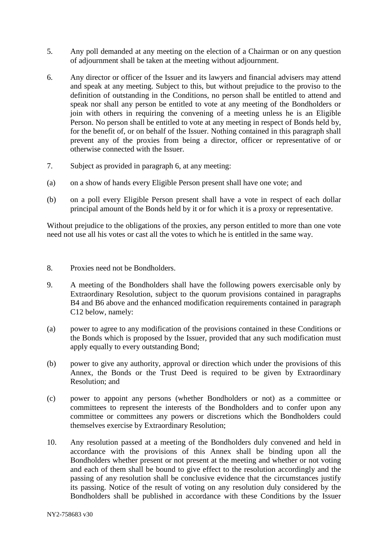- 5. Any poll demanded at any meeting on the election of a Chairman or on any question of adjournment shall be taken at the meeting without adjournment.
- 6. Any director or officer of the Issuer and its lawyers and financial advisers may attend and speak at any meeting. Subject to this, but without prejudice to the proviso to the definition of outstanding in the Conditions, no person shall be entitled to attend and speak nor shall any person be entitled to vote at any meeting of the Bondholders or join with others in requiring the convening of a meeting unless he is an Eligible Person. No person shall be entitled to vote at any meeting in respect of Bonds held by, for the benefit of, or on behalf of the Issuer. Nothing contained in this paragraph shall prevent any of the proxies from being a director, officer or representative of or otherwise connected with the Issuer.
- 7. Subject as provided in paragraph 6, at any meeting:
- (a) on a show of hands every Eligible Person present shall have one vote; and
- (b) on a poll every Eligible Person present shall have a vote in respect of each dollar principal amount of the Bonds held by it or for which it is a proxy or representative.

Without prejudice to the obligations of the proxies, any person entitled to more than one vote need not use all his votes or cast all the votes to which he is entitled in the same way.

- 8. Proxies need not be Bondholders.
- 9. A meeting of the Bondholders shall have the following powers exercisable only by Extraordinary Resolution, subject to the quorum provisions contained in paragraphs B4 and B6 above and the enhanced modification requirements contained in paragraph C12 below, namely:
- (a) power to agree to any modification of the provisions contained in these Conditions or the Bonds which is proposed by the Issuer, provided that any such modification must apply equally to every outstanding Bond;
- (b) power to give any authority, approval or direction which under the provisions of this Annex, the Bonds or the Trust Deed is required to be given by Extraordinary Resolution; and
- (c) power to appoint any persons (whether Bondholders or not) as a committee or committees to represent the interests of the Bondholders and to confer upon any committee or committees any powers or discretions which the Bondholders could themselves exercise by Extraordinary Resolution;
- 10. Any resolution passed at a meeting of the Bondholders duly convened and held in accordance with the provisions of this Annex shall be binding upon all the Bondholders whether present or not present at the meeting and whether or not voting and each of them shall be bound to give effect to the resolution accordingly and the passing of any resolution shall be conclusive evidence that the circumstances justify its passing. Notice of the result of voting on any resolution duly considered by the Bondholders shall be published in accordance with these Conditions by the Issuer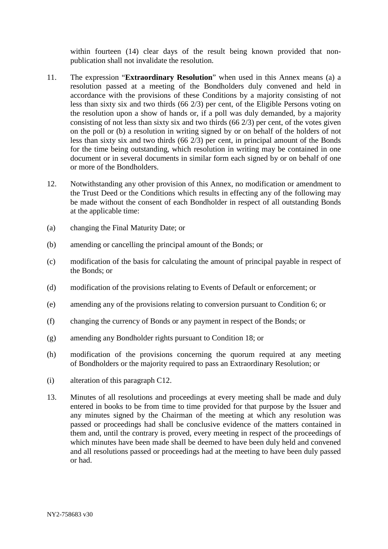within fourteen (14) clear days of the result being known provided that nonpublication shall not invalidate the resolution.

- 11. The expression "**Extraordinary Resolution**" when used in this Annex means (a) a resolution passed at a meeting of the Bondholders duly convened and held in accordance with the provisions of these Conditions by a majority consisting of not less than sixty six and two thirds (66 2/3) per cent, of the Eligible Persons voting on the resolution upon a show of hands or, if a poll was duly demanded, by a majority consisting of not less than sixty six and two thirds (66 2/3) per cent, of the votes given on the poll or (b) a resolution in writing signed by or on behalf of the holders of not less than sixty six and two thirds (66 2/3) per cent, in principal amount of the Bonds for the time being outstanding, which resolution in writing may be contained in one document or in several documents in similar form each signed by or on behalf of one or more of the Bondholders.
- 12. Notwithstanding any other provision of this Annex, no modification or amendment to the Trust Deed or the Conditions which results in effecting any of the following may be made without the consent of each Bondholder in respect of all outstanding Bonds at the applicable time:
- (a) changing the Final Maturity Date; or
- (b) amending or cancelling the principal amount of the Bonds; or
- (c) modification of the basis for calculating the amount of principal payable in respect of the Bonds; or
- (d) modification of the provisions relating to Events of Default or enforcement; or
- (e) amending any of the provisions relating to conversion pursuant to Condition 6; or
- (f) changing the currency of Bonds or any payment in respect of the Bonds; or
- (g) amending any Bondholder rights pursuant to Condition 18; or
- (h) modification of the provisions concerning the quorum required at any meeting of Bondholders or the majority required to pass an Extraordinary Resolution; or
- (i) alteration of this paragraph C12.
- 13. Minutes of all resolutions and proceedings at every meeting shall be made and duly entered in books to be from time to time provided for that purpose by the Issuer and any minutes signed by the Chairman of the meeting at which any resolution was passed or proceedings had shall be conclusive evidence of the matters contained in them and, until the contrary is proved, every meeting in respect of the proceedings of which minutes have been made shall be deemed to have been duly held and convened and all resolutions passed or proceedings had at the meeting to have been duly passed or had.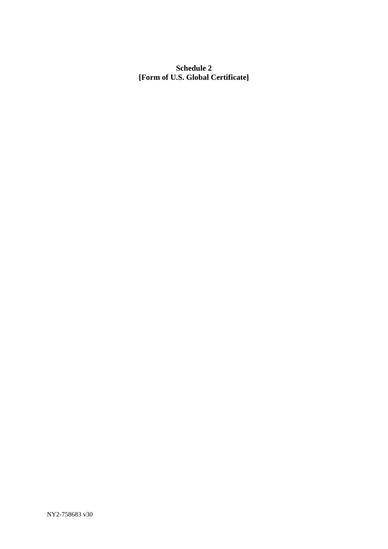# **Schedule 2 [Form of U.S. Global Certificate]**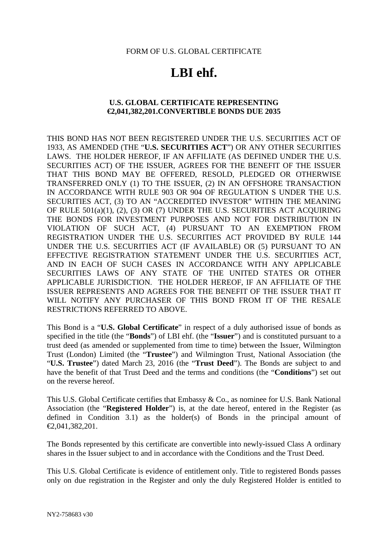FORM OF U.S. GLOBAL CERTIFICATE

# **LBI ehf.**

# **U.S. GLOBAL CERTIFICATE REPRESENTING €2,041,382,201.CONVERTIBLE BONDS DUE 2035**

THIS BOND HAS NOT BEEN REGISTERED UNDER THE U.S. SECURITIES ACT OF 1933, AS AMENDED (THE "**U.S. SECURITIES ACT**") OR ANY OTHER SECURITIES LAWS. THE HOLDER HEREOF, IF AN AFFILIATE (AS DEFINED UNDER THE U.S. SECURITIES ACT) OF THE ISSUER, AGREES FOR THE BENEFIT OF THE ISSUER THAT THIS BOND MAY BE OFFERED, RESOLD, PLEDGED OR OTHERWISE TRANSFERRED ONLY (1) TO THE ISSUER, (2) IN AN OFFSHORE TRANSACTION IN ACCORDANCE WITH RULE 903 OR 904 OF REGULATION S UNDER THE U.S. SECURITIES ACT, (3) TO AN "ACCREDITED INVESTOR" WITHIN THE MEANING OF RULE 501(a)(1), (2), (3) OR (7) UNDER THE U.S. SECURITIES ACT ACQUIRING THE BONDS FOR INVESTMENT PURPOSES AND NOT FOR DISTRIBUTION IN VIOLATION OF SUCH ACT, (4) PURSUANT TO AN EXEMPTION FROM REGISTRATION UNDER THE U.S. SECURITIES ACT PROVIDED BY RULE 144 UNDER THE U.S. SECURITIES ACT (IF AVAILABLE) OR (5) PURSUANT TO AN EFFECTIVE REGISTRATION STATEMENT UNDER THE U.S. SECURITIES ACT, AND IN EACH OF SUCH CASES IN ACCORDANCE WITH ANY APPLICABLE SECURITIES LAWS OF ANY STATE OF THE UNITED STATES OR OTHER APPLICABLE JURISDICTION. THE HOLDER HEREOF, IF AN AFFILIATE OF THE ISSUER REPRESENTS AND AGREES FOR THE BENEFIT OF THE ISSUER THAT IT WILL NOTIFY ANY PURCHASER OF THIS BOND FROM IT OF THE RESALE RESTRICTIONS REFERRED TO ABOVE.

This Bond is a "**U.S. Global Certificate**" in respect of a duly authorised issue of bonds as specified in the title (the "**Bonds**") of LBI ehf. (the "**Issuer**") and is constituted pursuant to a trust deed (as amended or supplemented from time to time) between the Issuer, Wilmington Trust (London) Limited (the "**Trustee**") and Wilmington Trust, National Association (the "**U.S. Trustee**") dated March 23, 2016 (the "**Trust Deed**"). The Bonds are subject to and have the benefit of that Trust Deed and the terms and conditions (the "**Conditions**") set out on the reverse hereof.

This U.S. Global Certificate certifies that Embassy & Co., as nominee for U.S. Bank National Association (the "**Registered Holder**") is, at the date hereof, entered in the Register (as defined in Condition 3.1) as the holder(s) of Bonds in the principal amount of €2,041,382,201.

The Bonds represented by this certificate are convertible into newly-issued Class A ordinary shares in the Issuer subject to and in accordance with the Conditions and the Trust Deed.

This U.S. Global Certificate is evidence of entitlement only. Title to registered Bonds passes only on due registration in the Register and only the duly Registered Holder is entitled to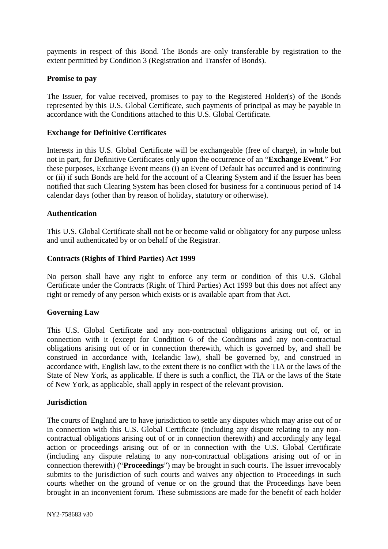payments in respect of this Bond. The Bonds are only transferable by registration to the extent permitted by Condition 3 (Registration and Transfer of Bonds).

## **Promise to pay**

The Issuer, for value received, promises to pay to the Registered Holder(s) of the Bonds represented by this U.S. Global Certificate, such payments of principal as may be payable in accordance with the Conditions attached to this U.S. Global Certificate.

# **Exchange for Definitive Certificates**

Interests in this U.S. Global Certificate will be exchangeable (free of charge), in whole but not in part, for Definitive Certificates only upon the occurrence of an "**Exchange Event**." For these purposes, Exchange Event means (i) an Event of Default has occurred and is continuing or (ii) if such Bonds are held for the account of a Clearing System and if the Issuer has been notified that such Clearing System has been closed for business for a continuous period of 14 calendar days (other than by reason of holiday, statutory or otherwise).

## **Authentication**

This U.S. Global Certificate shall not be or become valid or obligatory for any purpose unless and until authenticated by or on behalf of the Registrar.

## **Contracts (Rights of Third Parties) Act 1999**

No person shall have any right to enforce any term or condition of this U.S. Global Certificate under the Contracts (Right of Third Parties) Act 1999 but this does not affect any right or remedy of any person which exists or is available apart from that Act.

## **Governing Law**

This U.S. Global Certificate and any non-contractual obligations arising out of, or in connection with it (except for Condition 6 of the Conditions and any non-contractual obligations arising out of or in connection therewith, which is governed by, and shall be construed in accordance with, Icelandic law), shall be governed by, and construed in accordance with, English law, to the extent there is no conflict with the TIA or the laws of the State of New York, as applicable. If there is such a conflict, the TIA or the laws of the State of New York, as applicable, shall apply in respect of the relevant provision.

## **Jurisdiction**

The courts of England are to have jurisdiction to settle any disputes which may arise out of or in connection with this U.S. Global Certificate (including any dispute relating to any noncontractual obligations arising out of or in connection therewith) and accordingly any legal action or proceedings arising out of or in connection with the U.S. Global Certificate (including any dispute relating to any non-contractual obligations arising out of or in connection therewith) ("**Proceedings**") may be brought in such courts. The Issuer irrevocably submits to the jurisdiction of such courts and waives any objection to Proceedings in such courts whether on the ground of venue or on the ground that the Proceedings have been brought in an inconvenient forum. These submissions are made for the benefit of each holder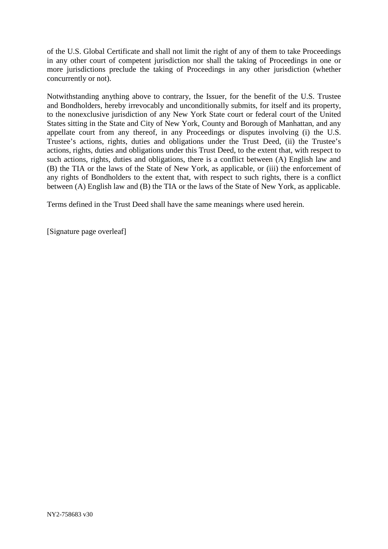of the U.S. Global Certificate and shall not limit the right of any of them to take Proceedings in any other court of competent jurisdiction nor shall the taking of Proceedings in one or more jurisdictions preclude the taking of Proceedings in any other jurisdiction (whether concurrently or not).

Notwithstanding anything above to contrary, the Issuer, for the benefit of the U.S. Trustee and Bondholders, hereby irrevocably and unconditionally submits, for itself and its property, to the nonexclusive jurisdiction of any New York State court or federal court of the United States sitting in the State and City of New York, County and Borough of Manhattan, and any appellate court from any thereof, in any Proceedings or disputes involving (i) the U.S. Trustee's actions, rights, duties and obligations under the Trust Deed, (ii) the Trustee's actions, rights, duties and obligations under this Trust Deed, to the extent that, with respect to such actions, rights, duties and obligations, there is a conflict between (A) English law and (B) the TIA or the laws of the State of New York, as applicable, or (iii) the enforcement of any rights of Bondholders to the extent that, with respect to such rights, there is a conflict between (A) English law and (B) the TIA or the laws of the State of New York, as applicable.

Terms defined in the Trust Deed shall have the same meanings where used herein.

[Signature page overleaf]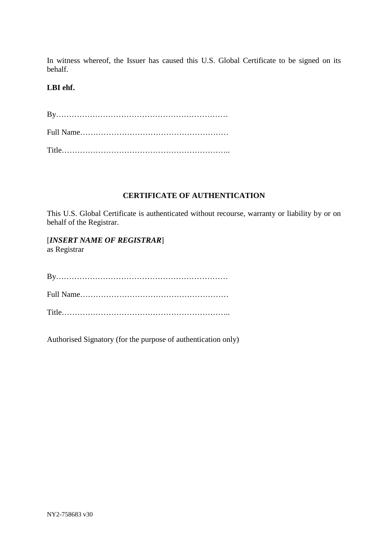In witness whereof, the Issuer has caused this U.S. Global Certificate to be signed on its behalf.

# **LBI ehf.**

#### **CERTIFICATE OF AUTHENTICATION**

This U.S. Global Certificate is authenticated without recourse, warranty or liability by or on behalf of the Registrar.

[*INSERT NAME OF REGISTRAR*] as Registrar

By………………………………………………………… Full Name………………………………………………… Title………………………………………………………..

Authorised Signatory (for the purpose of authentication only)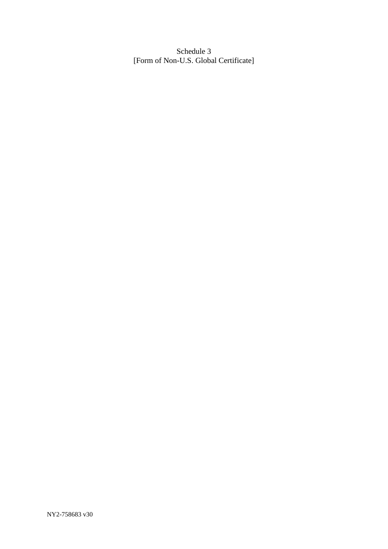Schedule 3 [Form of Non-U.S. Global Certificate]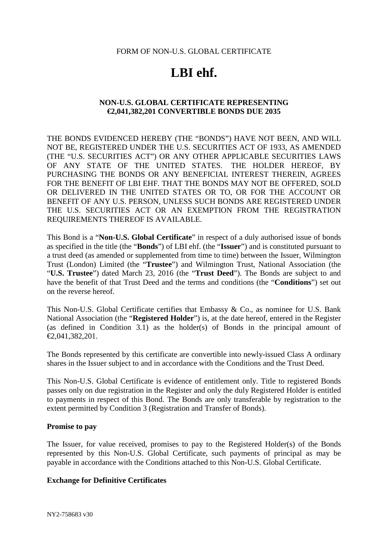#### FORM OF NON-U.S. GLOBAL CERTIFICATE

# **LBI ehf.**

## **NON-U.S. GLOBAL CERTIFICATE REPRESENTING €2,041,382,201 CONVERTIBLE BONDS DUE 2035**

THE BONDS EVIDENCED HEREBY (THE "BONDS") HAVE NOT BEEN, AND WILL NOT BE, REGISTERED UNDER THE U.S. SECURITIES ACT OF 1933, AS AMENDED (THE "U.S. SECURITIES ACT") OR ANY OTHER APPLICABLE SECURITIES LAWS OF ANY STATE OF THE UNITED STATES. THE HOLDER HEREOF, BY PURCHASING THE BONDS OR ANY BENEFICIAL INTEREST THEREIN, AGREES FOR THE BENEFIT OF LBI EHF. THAT THE BONDS MAY NOT BE OFFERED, SOLD OR DELIVERED IN THE UNITED STATES OR TO, OR FOR THE ACCOUNT OR BENEFIT OF ANY U.S. PERSON, UNLESS SUCH BONDS ARE REGISTERED UNDER THE U.S. SECURITIES ACT OR AN EXEMPTION FROM THE REGISTRATION REQUIREMENTS THEREOF IS AVAILABLE.

This Bond is a "**Non-U.S. Global Certificate**" in respect of a duly authorised issue of bonds as specified in the title (the "**Bonds**") of LBI ehf. (the "**Issuer**") and is constituted pursuant to a trust deed (as amended or supplemented from time to time) between the Issuer, Wilmington Trust (London) Limited (the "**Trustee**") and Wilmington Trust, National Association (the "**U.S. Trustee**") dated March 23, 2016 (the "**Trust Deed**"). The Bonds are subject to and have the benefit of that Trust Deed and the terms and conditions (the "**Conditions**") set out on the reverse hereof.

This Non-U.S. Global Certificate certifies that Embassy & Co., as nominee for U.S. Bank National Association (the "**Registered Holder**") is, at the date hereof, entered in the Register (as defined in Condition 3.1) as the holder(s) of Bonds in the principal amount of €2,041,382,201.

The Bonds represented by this certificate are convertible into newly-issued Class A ordinary shares in the Issuer subject to and in accordance with the Conditions and the Trust Deed.

This Non-U.S. Global Certificate is evidence of entitlement only. Title to registered Bonds passes only on due registration in the Register and only the duly Registered Holder is entitled to payments in respect of this Bond. The Bonds are only transferable by registration to the extent permitted by Condition 3 (Registration and Transfer of Bonds).

## **Promise to pay**

The Issuer, for value received, promises to pay to the Registered Holder(s) of the Bonds represented by this Non-U.S. Global Certificate, such payments of principal as may be payable in accordance with the Conditions attached to this Non-U.S. Global Certificate.

## **Exchange for Definitive Certificates**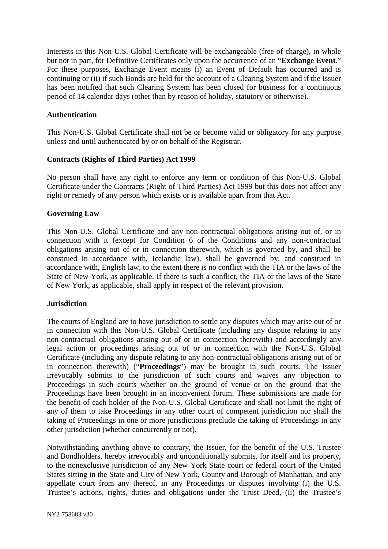Interests in this Non-U.S. Global Certificate will be exchangeable (free of charge), in whole but not in part, for Definitive Certificates only upon the occurrence of an "**Exchange Event**." For these purposes, Exchange Event means (i) an Event of Default has occurred and is continuing or (ii) if such Bonds are held for the account of a Clearing System and if the Issuer has been notified that such Clearing System has been closed for business for a continuous period of 14 calendar days (other than by reason of holiday, statutory or otherwise).

## **Authentication**

This Non-U.S. Global Certificate shall not be or become valid or obligatory for any purpose unless and until authenticated by or on behalf of the Registrar.

# **Contracts (Rights of Third Parties) Act 1999**

No person shall have any right to enforce any term or condition of this Non-U.S. Global Certificate under the Contracts (Right of Third Parties) Act 1999 but this does not affect any right or remedy of any person which exists or is available apart from that Act.

# **Governing Law**

This Non-U.S. Global Certificate and any non-contractual obligations arising out of, or in connection with it (except for Condition 6 of the Conditions and any non-contractual obligations arising out of or in connection therewith, which is governed by, and shall be construed in accordance with, Icelandic law), shall be governed by, and construed in accordance with, English law, to the extent there is no conflict with the TIA or the laws of the State of New York, as applicable. If there is such a conflict, the TIA or the laws of the State of New York, as applicable, shall apply in respect of the relevant provision.

## **Jurisdiction**

The courts of England are to have jurisdiction to settle any disputes which may arise out of or in connection with this Non-U.S. Global Certificate (including any dispute relating to any non-contractual obligations arising out of or in connection therewith) and accordingly any legal action or proceedings arising out of or in connection with the Non-U.S. Global Certificate (including any dispute relating to any non-contractual obligations arising out of or in connection therewith) ("**Proceedings**") may be brought in such courts. The Issuer irrevocably submits to the jurisdiction of such courts and waives any objection to Proceedings in such courts whether on the ground of venue or on the ground that the Proceedings have been brought in an inconvenient forum. These submissions are made for the benefit of each holder of the Non-U.S. Global Certificate and shall not limit the right of any of them to take Proceedings in any other court of competent jurisdiction nor shall the taking of Proceedings in one or more jurisdictions preclude the taking of Proceedings in any other jurisdiction (whether concurrently or not).

Notwithstanding anything above to contrary, the Issuer, for the benefit of the U.S. Trustee and Bondholders, hereby irrevocably and unconditionally submits, for itself and its property, to the nonexclusive jurisdiction of any New York State court or federal court of the United States sitting in the State and City of New York, County and Borough of Manhattan, and any appellate court from any thereof, in any Proceedings or disputes involving (i) the U.S. Trustee's actions, rights, duties and obligations under the Trust Deed, (ii) the Trustee's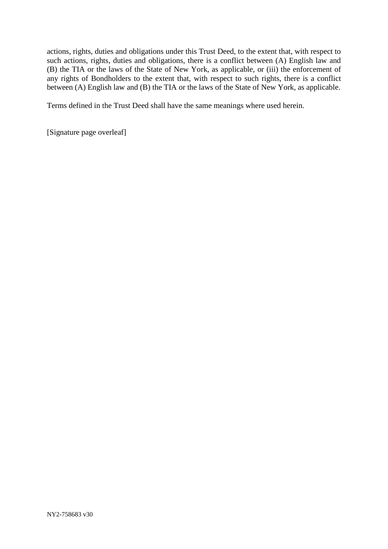actions, rights, duties and obligations under this Trust Deed, to the extent that, with respect to such actions, rights, duties and obligations, there is a conflict between (A) English law and (B) the TIA or the laws of the State of New York, as applicable, or (iii) the enforcement of any rights of Bondholders to the extent that, with respect to such rights, there is a conflict between (A) English law and (B) the TIA or the laws of the State of New York, as applicable.

Terms defined in the Trust Deed shall have the same meanings where used herein.

[Signature page overleaf]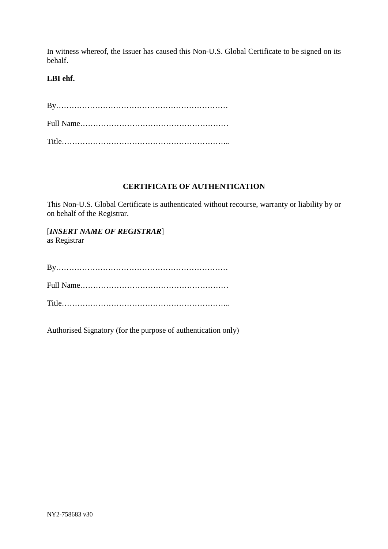In witness whereof, the Issuer has caused this Non-U.S. Global Certificate to be signed on its behalf.

# **LBI ehf.**

# **CERTIFICATE OF AUTHENTICATION**

This Non-U.S. Global Certificate is authenticated without recourse, warranty or liability by or on behalf of the Registrar.

[*INSERT NAME OF REGISTRAR*] as Registrar

Title………………………………………………………..

Authorised Signatory (for the purpose of authentication only)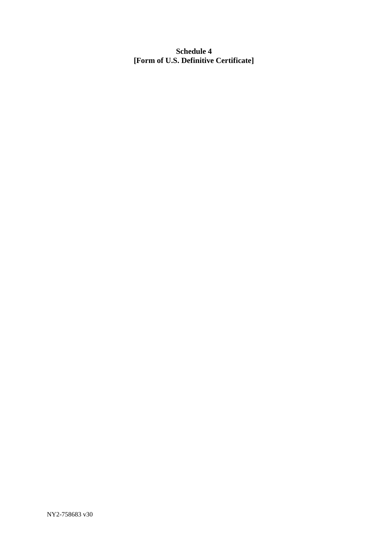**Schedule 4 [Form of U.S. Definitive Certificate]**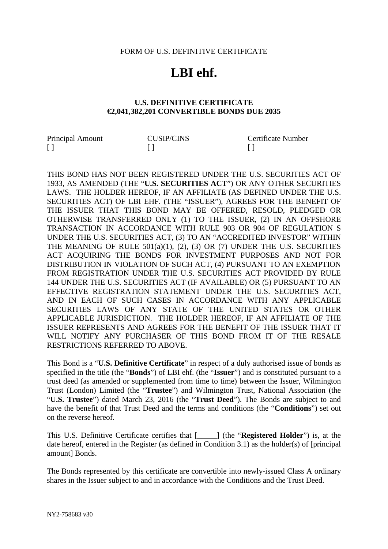#### FORM OF U.S. DEFINITIVE CERTIFICATE

# **LBI ehf.**

## **U.S. DEFINITIVE CERTIFICATE €2,041,382,201 CONVERTIBLE BONDS DUE 2035**

| Principal Amount | <b>CUSIP/CINS</b> | Certificate Number |
|------------------|-------------------|--------------------|
|                  |                   |                    |

THIS BOND HAS NOT BEEN REGISTERED UNDER THE U.S. SECURITIES ACT OF 1933, AS AMENDED (THE "**U.S. SECURITIES ACT**") OR ANY OTHER SECURITIES LAWS. THE HOLDER HEREOF, IF AN AFFILIATE (AS DEFINED UNDER THE U.S. SECURITIES ACT) OF LBI EHF. (THE "ISSUER"), AGREES FOR THE BENEFIT OF THE ISSUER THAT THIS BOND MAY BE OFFERED, RESOLD, PLEDGED OR OTHERWISE TRANSFERRED ONLY (1) TO THE ISSUER, (2) IN AN OFFSHORE TRANSACTION IN ACCORDANCE WITH RULE 903 OR 904 OF REGULATION S UNDER THE U.S. SECURITIES ACT, (3) TO AN "ACCREDITED INVESTOR" WITHIN THE MEANING OF RULE 501(a)(1), (2), (3) OR (7) UNDER THE U.S. SECURITIES ACT ACQUIRING THE BONDS FOR INVESTMENT PURPOSES AND NOT FOR DISTRIBUTION IN VIOLATION OF SUCH ACT, (4) PURSUANT TO AN EXEMPTION FROM REGISTRATION UNDER THE U.S. SECURITIES ACT PROVIDED BY RULE 144 UNDER THE U.S. SECURITIES ACT (IF AVAILABLE) OR (5) PURSUANT TO AN EFFECTIVE REGISTRATION STATEMENT UNDER THE U.S. SECURITIES ACT, AND IN EACH OF SUCH CASES IN ACCORDANCE WITH ANY APPLICABLE SECURITIES LAWS OF ANY STATE OF THE UNITED STATES OR OTHER APPLICABLE JURISDICTION. THE HOLDER HEREOF, IF AN AFFILIATE OF THE ISSUER REPRESENTS AND AGREES FOR THE BENEFIT OF THE ISSUER THAT IT WILL NOTIFY ANY PURCHASER OF THIS BOND FROM IT OF THE RESALE RESTRICTIONS REFERRED TO ABOVE.

This Bond is a "**U.S. Definitive Certificate**" in respect of a duly authorised issue of bonds as specified in the title (the "**Bonds**") of LBI ehf. (the "**Issuer**") and is constituted pursuant to a trust deed (as amended or supplemented from time to time) between the Issuer, Wilmington Trust (London) Limited (the "**Trustee**") and Wilmington Trust, National Association (the "**U.S. Trustee**") dated March 23, 2016 (the "**Trust Deed**"). The Bonds are subject to and have the benefit of that Trust Deed and the terms and conditions (the "**Conditions**") set out on the reverse hereof.

This U.S. Definitive Certificate certifies that [\_\_\_\_\_] (the "**Registered Holder**") is, at the date hereof, entered in the Register (as defined in Condition 3.1) as the holder(s) of [principal amount] Bonds.

The Bonds represented by this certificate are convertible into newly-issued Class A ordinary shares in the Issuer subject to and in accordance with the Conditions and the Trust Deed.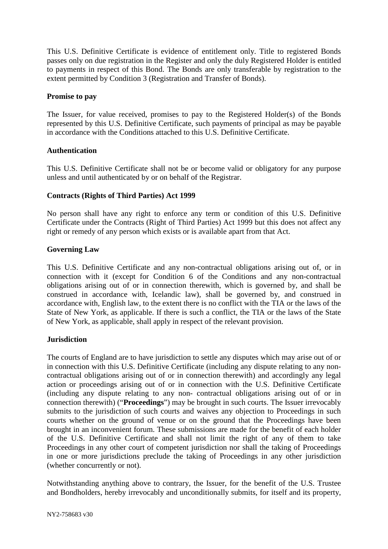This U.S. Definitive Certificate is evidence of entitlement only. Title to registered Bonds passes only on due registration in the Register and only the duly Registered Holder is entitled to payments in respect of this Bond. The Bonds are only transferable by registration to the extent permitted by Condition 3 (Registration and Transfer of Bonds).

# **Promise to pay**

The Issuer, for value received, promises to pay to the Registered Holder(s) of the Bonds represented by this U.S. Definitive Certificate, such payments of principal as may be payable in accordance with the Conditions attached to this U.S. Definitive Certificate.

# **Authentication**

This U.S. Definitive Certificate shall not be or become valid or obligatory for any purpose unless and until authenticated by or on behalf of the Registrar.

# **Contracts (Rights of Third Parties) Act 1999**

No person shall have any right to enforce any term or condition of this U.S. Definitive Certificate under the Contracts (Right of Third Parties) Act 1999 but this does not affect any right or remedy of any person which exists or is available apart from that Act.

# **Governing Law**

This U.S. Definitive Certificate and any non-contractual obligations arising out of, or in connection with it (except for Condition 6 of the Conditions and any non-contractual obligations arising out of or in connection therewith, which is governed by, and shall be construed in accordance with, Icelandic law), shall be governed by, and construed in accordance with, English law, to the extent there is no conflict with the TIA or the laws of the State of New York, as applicable. If there is such a conflict, the TIA or the laws of the State of New York, as applicable, shall apply in respect of the relevant provision.

## **Jurisdiction**

The courts of England are to have jurisdiction to settle any disputes which may arise out of or in connection with this U.S. Definitive Certificate (including any dispute relating to any noncontractual obligations arising out of or in connection therewith) and accordingly any legal action or proceedings arising out of or in connection with the U.S. Definitive Certificate (including any dispute relating to any non- contractual obligations arising out of or in connection therewith) ("**Proceedings**") may be brought in such courts. The Issuer irrevocably submits to the jurisdiction of such courts and waives any objection to Proceedings in such courts whether on the ground of venue or on the ground that the Proceedings have been brought in an inconvenient forum. These submissions are made for the benefit of each holder of the U.S. Definitive Certificate and shall not limit the right of any of them to take Proceedings in any other court of competent jurisdiction nor shall the taking of Proceedings in one or more jurisdictions preclude the taking of Proceedings in any other jurisdiction (whether concurrently or not).

Notwithstanding anything above to contrary, the Issuer, for the benefit of the U.S. Trustee and Bondholders, hereby irrevocably and unconditionally submits, for itself and its property,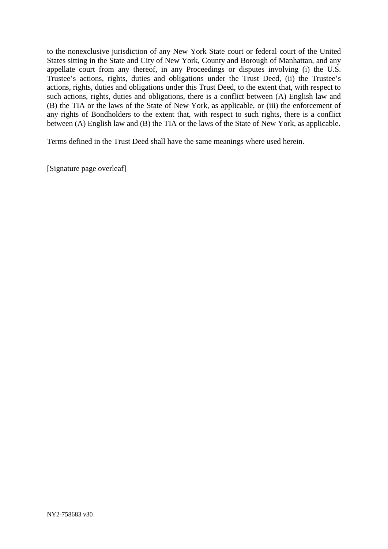to the nonexclusive jurisdiction of any New York State court or federal court of the United States sitting in the State and City of New York, County and Borough of Manhattan, and any appellate court from any thereof, in any Proceedings or disputes involving (i) the U.S. Trustee's actions, rights, duties and obligations under the Trust Deed, (ii) the Trustee's actions, rights, duties and obligations under this Trust Deed, to the extent that, with respect to such actions, rights, duties and obligations, there is a conflict between (A) English law and (B) the TIA or the laws of the State of New York, as applicable, or (iii) the enforcement of any rights of Bondholders to the extent that, with respect to such rights, there is a conflict between (A) English law and (B) the TIA or the laws of the State of New York, as applicable.

Terms defined in the Trust Deed shall have the same meanings where used herein.

[Signature page overleaf]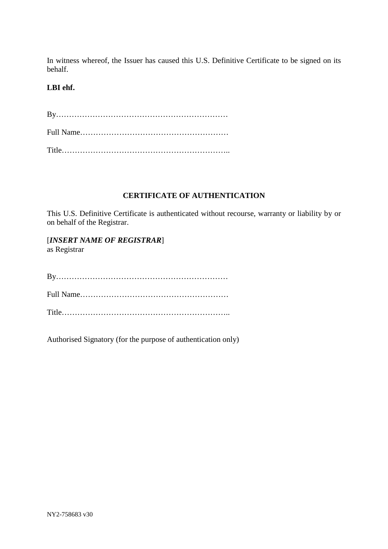In witness whereof, the Issuer has caused this U.S. Definitive Certificate to be signed on its behalf.

# **LBI ehf.**

# **CERTIFICATE OF AUTHENTICATION**

This U.S. Definitive Certificate is authenticated without recourse, warranty or liability by or on behalf of the Registrar.

[*INSERT NAME OF REGISTRAR*] as Registrar

By………………………………………………………… Full Name………………………………………………… Title………………………………………………………..

Authorised Signatory (for the purpose of authentication only)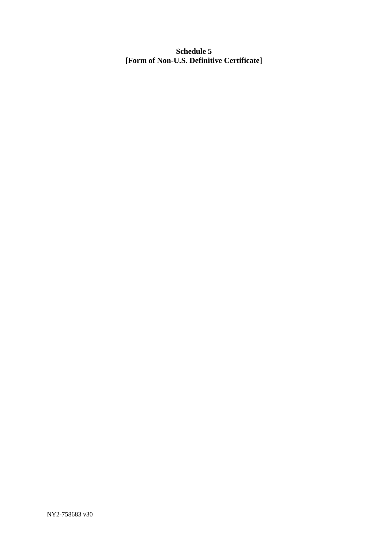**Schedule 5 [Form of Non-U.S. Definitive Certificate]**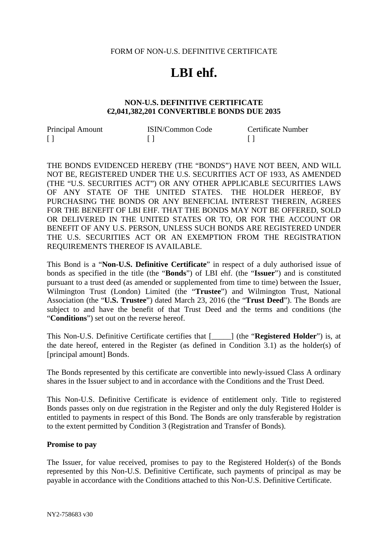#### FORM OF NON-U.S. DEFINITIVE CERTIFICATE

# **LBI ehf.**

#### **NON-U.S. DEFINITIVE CERTIFICATE €2,041,382,201 CONVERTIBLE BONDS DUE 2035**

| Principal Amount | <b>ISIN/Common Code</b> | Certificate Number |
|------------------|-------------------------|--------------------|
|                  |                         |                    |

THE BONDS EVIDENCED HEREBY (THE "BONDS") HAVE NOT BEEN, AND WILL NOT BE, REGISTERED UNDER THE U.S. SECURITIES ACT OF 1933, AS AMENDED (THE "U.S. SECURITIES ACT") OR ANY OTHER APPLICABLE SECURITIES LAWS OF ANY STATE OF THE UNITED STATES. THE HOLDER HEREOF, BY PURCHASING THE BONDS OR ANY BENEFICIAL INTEREST THEREIN, AGREES FOR THE BENEFIT OF LBI EHF. THAT THE BONDS MAY NOT BE OFFERED, SOLD OR DELIVERED IN THE UNITED STATES OR TO, OR FOR THE ACCOUNT OR BENEFIT OF ANY U.S. PERSON, UNLESS SUCH BONDS ARE REGISTERED UNDER THE U.S. SECURITIES ACT OR AN EXEMPTION FROM THE REGISTRATION REQUIREMENTS THEREOF IS AVAILABLE.

This Bond is a "**Non-U.S. Definitive Certificate**" in respect of a duly authorised issue of bonds as specified in the title (the "**Bonds**") of LBI ehf. (the "**Issuer**") and is constituted pursuant to a trust deed (as amended or supplemented from time to time) between the Issuer, Wilmington Trust (London) Limited (the "**Trustee**") and Wilmington Trust, National Association (the "**U.S. Trustee**") dated March 23, 2016 (the "**Trust Deed**"). The Bonds are subject to and have the benefit of that Trust Deed and the terms and conditions (the "**Conditions**") set out on the reverse hereof.

This Non-U.S. Definitive Certificate certifies that [\_\_\_\_\_] (the "**Registered Holder**") is, at the date hereof, entered in the Register (as defined in Condition 3.1) as the holder(s) of [principal amount] Bonds.

The Bonds represented by this certificate are convertible into newly-issued Class A ordinary shares in the Issuer subject to and in accordance with the Conditions and the Trust Deed.

This Non-U.S. Definitive Certificate is evidence of entitlement only. Title to registered Bonds passes only on due registration in the Register and only the duly Registered Holder is entitled to payments in respect of this Bond. The Bonds are only transferable by registration to the extent permitted by Condition 3 (Registration and Transfer of Bonds).

#### **Promise to pay**

The Issuer, for value received, promises to pay to the Registered Holder(s) of the Bonds represented by this Non-U.S. Definitive Certificate, such payments of principal as may be payable in accordance with the Conditions attached to this Non-U.S. Definitive Certificate.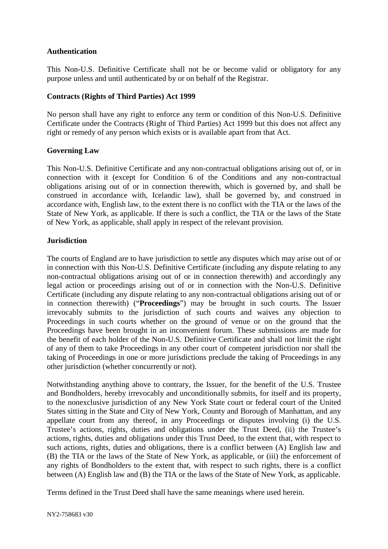# **Authentication**

This Non-U.S. Definitive Certificate shall not be or become valid or obligatory for any purpose unless and until authenticated by or on behalf of the Registrar.

# **Contracts (Rights of Third Parties) Act 1999**

No person shall have any right to enforce any term or condition of this Non-U.S. Definitive Certificate under the Contracts (Right of Third Parties) Act 1999 but this does not affect any right or remedy of any person which exists or is available apart from that Act.

# **Governing Law**

This Non-U.S. Definitive Certificate and any non-contractual obligations arising out of, or in connection with it (except for Condition 6 of the Conditions and any non-contractual obligations arising out of or in connection therewith, which is governed by, and shall be construed in accordance with, Icelandic law), shall be governed by, and construed in accordance with, English law, to the extent there is no conflict with the TIA or the laws of the State of New York, as applicable. If there is such a conflict, the TIA or the laws of the State of New York, as applicable, shall apply in respect of the relevant provision.

# **Jurisdiction**

The courts of England are to have jurisdiction to settle any disputes which may arise out of or in connection with this Non-U.S. Definitive Certificate (including any dispute relating to any non-contractual obligations arising out of or in connection therewith) and accordingly any legal action or proceedings arising out of or in connection with the Non-U.S. Definitive Certificate (including any dispute relating to any non-contractual obligations arising out of or in connection therewith) ("**Proceedings**") may be brought in such courts. The Issuer irrevocably submits to the jurisdiction of such courts and waives any objection to Proceedings in such courts whether on the ground of venue or on the ground that the Proceedings have been brought in an inconvenient forum. These submissions are made for the benefit of each holder of the Non-U.S. Definitive Certificate and shall not limit the right of any of them to take Proceedings in any other court of competent jurisdiction nor shall the taking of Proceedings in one or more jurisdictions preclude the taking of Proceedings in any other jurisdiction (whether concurrently or not).

Notwithstanding anything above to contrary, the Issuer, for the benefit of the U.S. Trustee and Bondholders, hereby irrevocably and unconditionally submits, for itself and its property, to the nonexclusive jurisdiction of any New York State court or federal court of the United States sitting in the State and City of New York, County and Borough of Manhattan, and any appellate court from any thereof, in any Proceedings or disputes involving (i) the U.S. Trustee's actions, rights, duties and obligations under the Trust Deed, (ii) the Trustee's actions, rights, duties and obligations under this Trust Deed, to the extent that, with respect to such actions, rights, duties and obligations, there is a conflict between (A) English law and (B) the TIA or the laws of the State of New York, as applicable, or (iii) the enforcement of any rights of Bondholders to the extent that, with respect to such rights, there is a conflict between (A) English law and (B) the TIA or the laws of the State of New York, as applicable.

Terms defined in the Trust Deed shall have the same meanings where used herein.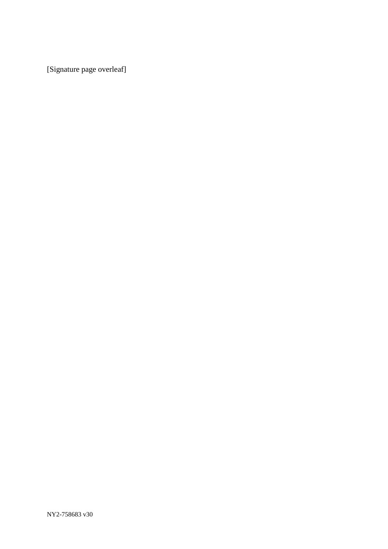[Signature page overleaf]